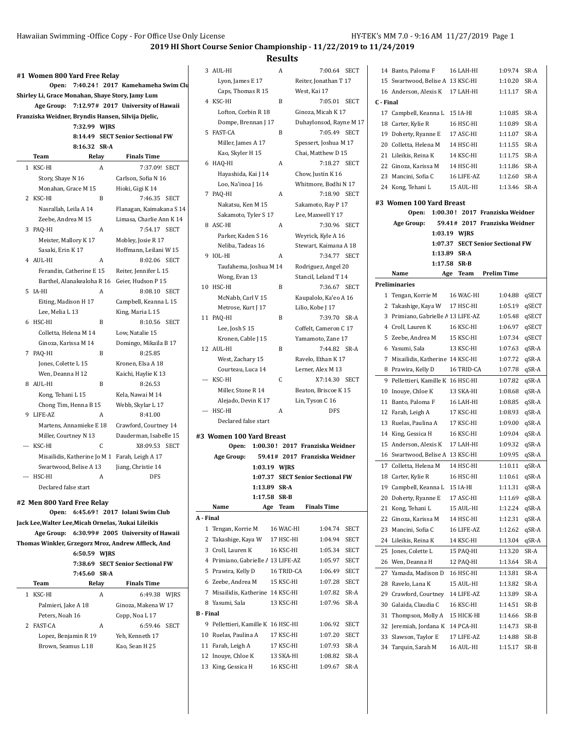|   | Shirley Li, Grace Monahan, Shaye Story, Jamy Lum   |              |                |                                                |  |
|---|----------------------------------------------------|--------------|----------------|------------------------------------------------|--|
|   | Age Group:                                         |              |                | 7:12.97# 2017 University of Hawaii             |  |
|   | Franziska Weidner, Bryndis Hansen, Silvija Djelic, |              |                |                                                |  |
|   |                                                    | 7:32.99 WJRS |                |                                                |  |
|   |                                                    |              |                | 8:14.49 SECT Senior Sectional FW               |  |
|   |                                                    | 8:16.32 SR-A |                |                                                |  |
|   | Team                                               | Relay        |                | <b>Finals Time</b>                             |  |
| 1 | KSC-HI                                             |              | A              | 7:37.09! SECT                                  |  |
|   | Story, Shaye N 16                                  |              |                | Carlson, Sofia N 16                            |  |
|   | Monahan, Grace M 15                                |              |                | Hioki, Gigi K 14                               |  |
|   | 2 KSC-HI                                           |              | B              | 7:46.35 SECT                                   |  |
|   | Nasrallah, Leila A 14                              |              |                | Flanagan, Kaimakana S 14                       |  |
|   | Zeebe, Andrea M 15                                 |              |                | Limasa, Charlie Ann K 14                       |  |
|   | 3 PAQ-HI                                           |              | A              | 7:54.17 SECT                                   |  |
|   | Meister, Mallory K 17                              |              |                | Mobley, Josie R 17                             |  |
|   | Sasaki, Erin K 17                                  |              |                | Hoffmann, Leilani W 15                         |  |
|   | 4 AUL-HI                                           |              | A              | 8:02.06 SECT                                   |  |
|   | Ferandin, Catherine E 15                           |              |                | Reiter, Jennifer L 15                          |  |
|   | Barthel, Alanakealoha R 16                         |              |                | Geier, Hudson P 15                             |  |
|   | 5 IA-HI                                            |              | A              | 8:08.10 SECT                                   |  |
|   | Eiting, Madison H 17                               |              |                | Campbell, Keanna L 15                          |  |
|   | Lee, Melia L 13                                    |              |                | King, Maria L 15                               |  |
| 6 | HSC-HI                                             |              | B              | 8:10.56<br><b>SECT</b>                         |  |
|   | Colletta, Helena M 14                              |              |                | Low, Natalie 15                                |  |
|   | Ginoza, Karissa M 14                               |              |                | Domingo, Mikaila B 17                          |  |
|   | 7 PAQ-HI                                           |              | B              | 8:25.85                                        |  |
|   | Jones, Colette L 15                                |              |                | Kronen, Elsa A 18                              |  |
|   | Wen, Deanna H 12                                   |              |                | Kaichi, Haylie K 13                            |  |
|   | 8 AUL-HI                                           |              | $\overline{B}$ | 8:26.53                                        |  |
|   | Kong, Tehani L 15                                  |              |                | Kela, Nawai M 14                               |  |
|   | Chong Tim, Henna B 15                              |              |                | Webb, Skylar L 17                              |  |
|   | 9 LIFE-AZ                                          |              | A              | 8:41.00                                        |  |
|   | Martens, Annamieke E 18                            |              |                | Crawford, Courtney 14                          |  |
|   | Miller, Courtney N 13                              |              |                | Dauderman, Isabelle 15                         |  |
|   | --- KSC-HI                                         |              | C              | X8:09.53 SECT                                  |  |
|   |                                                    |              |                | Misailidis, Katherine Jo M 1 Farah, Leigh A 17 |  |
|   | Swartwood, Belise A 13                             |              |                | Jiang, Christie 14                             |  |
|   | --- HSC-HI                                         |              | A              | DFS                                            |  |
|   | Declared false start                               |              |                |                                                |  |

Jack Lee, Walter Lee, Micah Ornelas, 'Aukai Lile **Age Group: 6:30.99# 2005 University of Hawaii Thomas Winkler, Grzegorz Mroz, Andrew Affleck, And 6:50.59 WJRS**

**A - Final**

**B - Final**

|                      |              | 7:38.69 SECT Senior Sectional FW |             |
|----------------------|--------------|----------------------------------|-------------|
|                      | 7:45.60 SR-A |                                  |             |
| Team                 | Relay        | <b>Finals Time</b>               |             |
| KSC-HI               | A            | 6:49.38                          | <b>WIRS</b> |
| Palmieri, Jake A 18  |              | Ginoza, Makena W 17              |             |
| Peters, Noah 16      |              | Copp, Noa L 17                   |             |
| 2 FAST-CA            | A            | 6:59.46 SECT                     |             |
| Lopez, Benjamin R 19 |              | Yeh, Kenneth 17                  |             |
| Brown, Seamus L 18   |              | Kao, Sean H 25                   |             |
|                      |              |                                  |             |

|                | Lyon, James E 17                   |          |            | Reiter, Jonathan T 17           |             |
|----------------|------------------------------------|----------|------------|---------------------------------|-------------|
|                | Caps, Thomas R 15                  |          |            | West, Kai 17                    |             |
| 4              | KSC-HI                             |          | B          | 7:05.01 SECT                    |             |
|                | Lofton, Corbin R 18                |          |            | Ginoza, Micah K 17              |             |
|                | Dompe, Brennan J 17                |          |            | Duhaylonsod, Rayne M 17         |             |
| 5              | <b>FAST-CA</b>                     |          | B          | 7:05.49                         | <b>SECT</b> |
|                | Miller, James A 17                 |          |            | Spessert, Joshua M 17           |             |
|                | Kao, Skyler H 15                   |          |            | Chai, Matthew D 15              |             |
| 6              | HAQ-HI                             |          | A          | 7:18.27 SECT                    |             |
|                |                                    |          |            |                                 |             |
|                | Hayashida, Kai J 14                |          |            | Chow, Justin K 16               |             |
|                | Loo, Na'inoa J 16                  |          |            | Whitmore, Bodhi N 17            |             |
| 7              | PAQ-HI                             |          | A          | 7:18.90 SECT                    |             |
|                | Nakatsu, Ken M 15                  |          |            | Sakamoto, Ray P 17              |             |
|                | Sakamoto, Tyler S 17               |          |            | Lee, Maxwell Y 17               |             |
| 8              | ASC-HI                             |          | A          | 7:30.96 SECT                    |             |
|                | Parker, Kaden S 16                 |          |            | Weyrick, Kyle A 16              |             |
|                | Neliba, Tadeas 16                  |          |            | Stewart, Kaimana A 18           |             |
| 9              | IOL-HI                             |          | A          | 7:34.77 SECT                    |             |
|                | Taufahema, Joshua M 14             |          |            | Rodriguez, Angel 20             |             |
|                | Wong, Evan 13                      |          |            | Stancil, Leland T 14            |             |
| 10             | HSC-HI                             |          | B          | 7:36.67 SECT                    |             |
|                | McNabb, Carl V 15                  |          |            | Kaupalolo, Ka'eo A 16           |             |
|                | Metrose, Kurt J 17                 |          |            | Lilio, Kobe J 17                |             |
|                | 11 PAQ-HI                          |          | B          | 7.39.70                         | SR-A        |
|                | Lee, Josh S 15                     |          |            | Coffelt, Cameron C 17           |             |
|                | Kronen, Cable J 15                 |          |            | Yamamoto, Zane 17               |             |
|                | 12 AUL-HI                          |          | B          | 7:44.82 SR-A                    |             |
|                |                                    |          |            |                                 |             |
|                | West, Zachary 15                   |          |            | Ravelo, Ethan K 17              |             |
| $\overline{a}$ | Courteau, Luca 14<br>KSC-HI        |          | C          | Lerner, Alex M 13               |             |
|                |                                    |          |            | X7:14.30 SECT                   |             |
|                | Miller, Stone R 14                 |          |            | Beaton, Briscoe K 15            |             |
|                | Alejado, Devin K 17                |          |            | Lin, Tyson C 16                 |             |
| $\overline{a}$ | HSC-HI                             |          | A          | DFS                             |             |
|                | Declared false start               |          |            |                                 |             |
|                | #3 Women 100 Yard Breast           |          |            |                                 |             |
|                | Open:                              | 1:00.30! |            | 2017 Franziska Weidner          |             |
|                | Age Group:                         | 59.41#   |            | 2017 Franziska Weidner          |             |
|                |                                    | 1:03.19  | WJRS       |                                 |             |
|                |                                    | 1:07.37  |            | <b>SECT Senior Sectional FW</b> |             |
|                |                                    | 1:13.89  | SR-A       |                                 |             |
|                |                                    | 1:17.58  | SR B       |                                 |             |
|                | Name                               | Age      | Team       | <b>Finals Time</b>              |             |
| A - Final      |                                    |          |            |                                 |             |
| $\mathbf{1}$   | Tengan, Korrie M                   |          | 16 WAC-HI  | 1:04.74                         | <b>SECT</b> |
|                | 2 Takashige, Kaya W                |          | 17 HSC-HI  | 1:04.94                         | SECT        |
| 3              | Croll, Lauren K                    |          | 16 KSC-HI  | 1:05.34                         | SECT        |
|                | 4 Primiano, Gabrielle A 13 LIFE-AZ |          |            | 1:05.97                         | SECT        |
|                |                                    |          |            |                                 |             |
|                | 5 Prawira, Kelly D                 |          | 16 TRID-CA | 1:06.49                         | <b>SECT</b> |
|                | 6 Zeebe, Andrea M                  |          | 15 KSC-HI  | 1:07.28                         | SECT        |
|                | 7 Misailidis, Katherine 14 KSC-HI  |          |            | 1:07.82                         | SR-A        |
|                | 8 Yasumi, Sala                     |          | 13 KSC-HI  | 1:07.96                         | SR-A        |
| B - Final      |                                    |          |            |                                 |             |
|                | 9 Pellettieri, Kamille K 16 HSC-HI |          |            | 1:06.92                         | SECT        |
|                | 10 Ruelas, Paulina A               |          | 17 KSC-HI  | 1:07.20                         | SECT        |
|                | 11 Farah, Leigh A                  |          | 17 KSC-HI  | 1:07.93                         | SR-A        |
|                | 12 Inouye, Chloe K                 |          | 13 SKA-HI  | 1:08.82                         | SR-A        |

13 King, Gessica H 16 KSC-HI 1:09.67 SR-A

| 3 AUL-HI                           | A            | 7:00.64 SECT                     |           | 14 Banto, Paloma F                        | 16 LAH-HI    | 1:09.74 SR-A                     |       |
|------------------------------------|--------------|----------------------------------|-----------|-------------------------------------------|--------------|----------------------------------|-------|
| Lyon, James E 17                   |              | Reiter, Jonathan T 17            |           | 15 Swartwood, Belise A 13 KSC-HI          |              | 1:10.20 SR-A                     |       |
| Caps, Thomas R 15                  |              | West, Kai 17                     |           | 16 Anderson, Alexis K                     | 17 LAH-HI    | 1:11.17 SR-A                     |       |
| 4 KSC-HI                           | B            | 7:05.01 SECT                     | C - Final |                                           |              |                                  |       |
| Lofton, Corbin R 18                |              | Ginoza, Micah K 17               |           | 17 Campbell, Keanna L 15 IA-HI            |              | 1:10.85                          | SR-A  |
| Dompe, Brennan J 17                |              | Duhaylonsod, Rayne M 17          |           | 18 Carter, Kylie R                        | 16 HSC-HI    | 1:10.89                          | SR-A  |
| 5 FAST-CA                          | B            | 7:05.49 SECT                     |           | 19 Doherty, Ryanne E                      | 17 ASC-HI    | 1:11.07 SR-A                     |       |
| Miller, James A 17                 |              | Spessert, Joshua M 17            |           | 20 Colletta, Helena M                     | 14 HSC-HI    | 1:11.55 SR-A                     |       |
| Kao, Skyler H 15                   |              | Chai, Matthew D 15               |           | 21 Lileikis, Reina K                      | 14 KSC-HI    | 1:11.75 SR-A                     |       |
| 6 HAQ-HI                           | Α            | 7:18.27 SECT                     |           | 22 Ginoza, Karissa M                      | 14 HSC-HI    | 1:11.86 SR-A                     |       |
| Hayashida, Kai J 14                |              | Chow, Justin K 16                |           | 23 Mancini, Sofia C                       | 16 LIFE-AZ   | 1:12.60 SR-A                     |       |
| Loo, Na'inoa J 16                  |              | Whitmore, Bodhi N 17             |           |                                           |              | 1:13.46 SR-A                     |       |
| 7 PAQ-HI                           | Α            | 7:18.90 SECT                     |           | 24 Kong, Tehani L                         | 15 AUL-HI    |                                  |       |
| Nakatsu, Ken M 15                  |              | Sakamoto, Ray P 17               |           | #3 Women 100 Yard Breast                  |              |                                  |       |
| Sakamoto, Tyler S 17               |              | Lee, Maxwell Y 17                |           | Open:                                     |              | 1:00.30! 2017 Franziska Weidner  |       |
| 8 ASC-HI                           | Α            | 7:30.96 SECT                     |           | Age Group:                                |              | 59.41# 2017 Franziska Weidner    |       |
| Parker, Kaden S 16                 |              | Weyrick, Kyle A 16               |           |                                           | 1:03.19 WJRS |                                  |       |
| Neliba, Tadeas 16                  |              | Stewart, Kaimana A 18            |           |                                           |              | 1:07.37 SECT Senior Sectional FW |       |
| 9 IOL-HI                           | Α            | 7:34.77 SECT                     |           |                                           | 1:13.89 SR-A |                                  |       |
| Taufahema, Joshua M 14             |              | Rodriguez, Angel 20              |           |                                           | 1:17.58 SR-B |                                  |       |
| Wong, Evan 13                      |              | Stancil, Leland T 14             |           | Name                                      | Team<br>Age  | <b>Prelim Time</b>               |       |
| 0 HSC-HI                           | B            | 7:36.67 SECT                     |           | <b>Preliminaries</b>                      |              |                                  |       |
| McNabb, Carl V 15                  |              | Kaupalolo, Ka'eo A 16            |           | 1 Tengan, Korrie M                        | 16 WAC-HI    | 1:04.88                          | qSECT |
| Metrose, Kurt J 17                 |              | Lilio, Kobe J 17                 |           | 2 Takashige, Kaya W                       | 17 HSC-HI    | 1:05.19                          | qSECT |
| 1 PAQ-HI                           | B            | 7:39.70 SR-A                     |           | 3 Primiano, Gabrielle A 13 LIFE-AZ        |              | 1:05.48                          | qSECT |
| Lee, Josh S 15                     |              | Coffelt, Cameron C 17            |           | 4 Croll, Lauren K                         | 16 KSC-HI    | 1:06.97                          | qSECT |
| Kronen, Cable J 15                 |              | Yamamoto, Zane 17                |           | 5 Zeebe, Andrea M                         | 15 KSC-HI    | 1:07.34                          | qSECT |
| 2 AUL-HI                           | B            | 7:44.82 SR-A                     |           | 6 Yasumi, Sala                            | 13 KSC-HI    | 1:07.63                          | qSR-A |
| West, Zachary 15                   |              | Ravelo, Ethan K 17               |           | 7 Misailidis, Katherine 14 KSC-HI         |              | 1:07.72                          | qSR-A |
| Courteau, Luca 14                  |              | Lerner, Alex M 13                |           | 8 Prawira, Kelly D                        | 16 TRID-CA   | 1:07.78                          | qSR-A |
| -- KSC-HI                          | C            | X7:14.30 SECT                    |           | 9 Pellettieri, Kamille K 16 HSC-HI        |              | 1:07.82                          | qSR-A |
| Miller, Stone R 14                 |              | Beaton, Briscoe K 15             |           | 10 Inouye, Chloe K                        | 13 SKA-HI    | 1:08.68                          | qSR-A |
| Alejado, Devin K 17                |              | Lin, Tyson C 16                  |           | 11 Banto, Paloma F                        | 16 LAH-HI    | 1:08.85                          | qSR-A |
| -- HSC-HI                          | Α            | DFS                              |           | 12 Farah, Leigh A                         | 17 KSC-HI    | 1:08.93                          | qSR-A |
| Declared false start               |              |                                  |           | 13 Ruelas, Paulina A                      | 17 KSC-HI    | 1:09.00                          | qSR-A |
| <b>Women 100 Yard Breast</b>       |              |                                  |           | 14 King, Gessica H                        | 16 KSC-HI    | 1:09.04                          | qSR-A |
| Open:                              |              | 1:00.30! 2017 Franziska Weidner  |           | 15 Anderson, Alexis K                     | 17 LAH-HI    | 1:09.32 qSR-A                    |       |
| Age Group:                         |              | 59.41# 2017 Franziska Weidner    |           | 16 Swartwood, Belise A 13 KSC-HI          |              | 1:09.95                          | qSR-A |
|                                    | 1:03.19 WJRS |                                  |           | 17 Colletta. Helena M                     | 14 HSC-HI    | $1:10.11$ qSR-A                  |       |
|                                    |              | 1:07.37 SECT Senior Sectional FW |           | 18 Carter, Kylie R                        | 16 HSC-HI    | 1:10.61 qSR-A                    |       |
|                                    | 1:13.89 SR-A |                                  |           | 19 Campbell, Keanna L                     | 15 IA-HI     | 1:11.31 qSR-A                    |       |
|                                    | 1:17.58 SR-B |                                  | 20        | Doherty, Ryanne E                         | 17 ASC-HI    | 1:11.69                          | qSR-A |
| Name<br>Age                        | <b>Team</b>  | <b>Finals Time</b>               |           | 21 Kong, Tehani L                         | 15 AUL-HI    | 1:12.24                          | qSR-A |
| Final                              |              |                                  |           | 22 Ginoza, Karissa M                      | 14 HSC-HI    | 1:12.31                          | qSR-A |
| 1 Tengan, Korrie M                 | 16 WAC-HI    | 1:04.74 SECT                     |           | 23 Mancini, Sofia C                       | 16 LIFE-AZ   | 1:12.62                          | qSR-A |
| 2 Takashige, Kaya W                | 17 HSC-HI    | 1:04.94 SECT                     |           | 24 Lileikis, Reina K                      | 14 KSC-HI    | 1:13.04                          | qSR-A |
| 3 Croll, Lauren K                  | 16 KSC-HI    | 1:05.34 SECT                     |           | 25 Jones, Colette L                       | 15 PAQ-HI    | 1:13.20                          | SR-A  |
| 4 Primiano, Gabrielle A 13 LIFE-AZ |              | 1:05.97 SECT                     |           | 26 Wen, Deanna H                          | 12 PAQ-HI    | 1:13.64                          | SR-A  |
| 5 Prawira, Kelly D                 | 16 TRID-CA   | 1:06.49 SECT                     |           |                                           | 16 HSC-HI    |                                  | SR-A  |
| 6 Zeebe, Andrea M                  | 15 KSC-HI    | 1:07.28 SECT                     |           | 27 Yamada, Madison D<br>28 Ravelo, Lana K | 15 AUL-HI    | 1:13.81                          |       |
| 7 Misailidis, Katherine 14 KSC-HI  |              | 1:07.82 SR-A                     |           | 29 Crawford, Courtney                     |              | 1:13.82                          | SR-A  |
| 8  Yasumi, Sala                    | 13 KSC-HI    | 1:07.96 SR-A                     |           |                                           | 14 LIFE-AZ   | 1:13.89                          | SR-A  |
| Final                              |              |                                  |           | 30 Galaida, Claudia C                     | 16 KSC-HI    | 1:14.51 SR-B                     |       |
| 9 Pellettieri, Kamille K 16 HSC-HI |              | 1:06.92 SECT                     |           | 31 Thompson, Molly A                      | 15 HICK-HI   | 1:14.66                          | SR-B  |
| 0 Ruelas, Paulina A                | 17 KSC-HI    | SECT<br>1:07.20                  |           | 32 Jeremiah, Jordana K                    | 14 PCA-HI    | 1:14.73 SR-B                     |       |
| 1 Farah, Leigh A                   | 17 KSC-HI    | 1:07.93 SR-A                     |           | 33 Slawson, Taylor E                      | 17 LIFE-AZ   | 1:14.88                          | SR-B  |
|                                    |              |                                  |           | 34 Tarquin, Sarah M                       | 16 AUL-HI    | 1:15.17                          | SR-B  |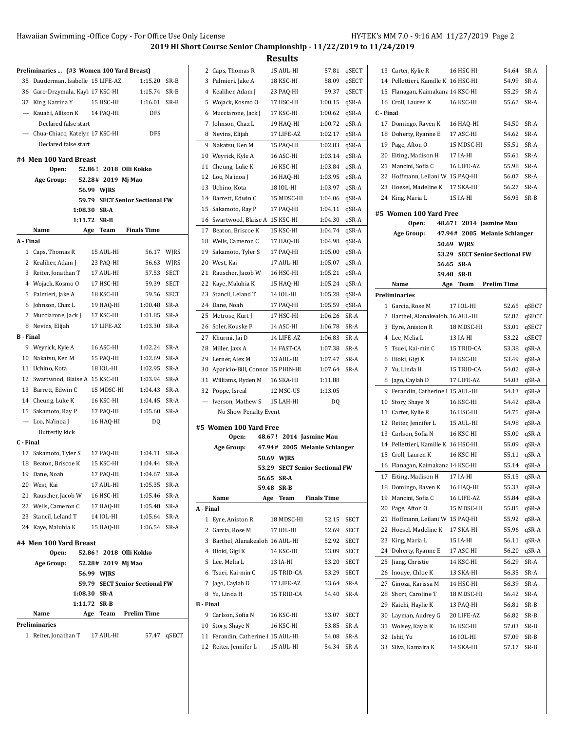**2019 HI Short Course Senior Championship - 11/22/2019 to 11/24/2019**

|                | Preliminaries  (#3 Women 100 Yard Breast) |     |                    |                                 |             |
|----------------|-------------------------------------------|-----|--------------------|---------------------------------|-------------|
|                | 35 Dauderman, Isabelle 15 LIFE-AZ         |     |                    | 1:15.20                         | SR-B        |
|                | 36 Garo-Drzymala, Kayl 17 KSC-HI          |     |                    | 1:15.74                         | SR-B        |
|                | 37 King, Katrina Y                        |     | 15 HSC-HI          | 1:16.01                         | SR-B        |
| $\overline{a}$ | Kauahi, Allison K 14 PAQ-HI               |     |                    | <b>DFS</b>                      |             |
|                | Declared false start                      |     |                    |                                 |             |
| $\cdots$       | Chua-Chiaco, Katelyr 17 KSC-HI            |     |                    | <b>DFS</b>                      |             |
|                | Declared false start                      |     |                    |                                 |             |
|                |                                           |     |                    |                                 |             |
|                | #4 Men 100 Yard Breast<br>Open:           |     |                    | 52.86! 2018 Olli Kokko          |             |
|                | Age Group:                                |     | 52.28# 2019 Mj Mao |                                 |             |
|                | 56.99                                     |     | WJRS               |                                 |             |
|                | 59.79                                     |     |                    | <b>SECT Senior Sectional FW</b> |             |
|                | 1:08.30                                   |     | SR-A               |                                 |             |
|                | 1:11.72                                   |     | SR-B               |                                 |             |
|                | Name                                      | Age | Team               | <b>Finals Time</b>              |             |
| A - Final      |                                           |     |                    |                                 |             |
|                | 1 Caps, Thomas R                          |     | 15 AUL-HI          | 56.17                           | <b>WIRS</b> |
|                | 2 Kealiher, Adam J                        |     | 23 PAQ-HI          | 56.63                           | WJRS        |
|                | 3 Reiter, Jonathan T                      |     | 17 AUL-HI          | 57.53                           | <b>SECT</b> |
|                | 4 Wojack, Kosmo O                         |     | 17 HSC-HI          | 59.39                           | <b>SECT</b> |
|                |                                           |     | 18 KSC-HI          |                                 | <b>SECT</b> |
|                | 5 Palmieri, Jake A                        |     |                    | 59.56<br>1:00.48                |             |
|                | 6 Johnson, Chaz L                         |     | 19 HAQ-HI          |                                 | SR-A        |
|                | 7 Mucciarone, Jack J                      |     | 17 KSC-HI          | 1:01.85                         | SR-A        |
| 8              | Nevins, Elijah                            |     | 17 LIFE-AZ         | 1:03.30                         | SR-A        |
| <b>B</b> Final |                                           |     |                    |                                 |             |
|                | 9 Weyrick, Kyle A                         |     | 16 ASC-HI          | 1:02.24                         | SR-A        |
|                | 10 Nakatsu, Ken M                         |     | 15 PAQ-HI          | 1:02.69                         | SR-A        |
|                | 11 Uchino, Kota                           |     | 18 IOL-HI          | 1:02.95                         | SR-A        |
|                | 12 Swartwood, Blaise A 15 KSC-HI          |     |                    | 1:03.94                         | SR-A        |
|                | 13 Barrett, Edwin C                       |     | 15 MDSC-HI         | 1:04.43                         | SR-A        |
|                | 14 Cheung, Luke K                         |     | 16 KSC-HI          | 1:04.45                         | SR-A        |
|                | 15 Sakamoto, Ray P                        |     | 17 PAQ-HI          | 1:05.60                         | SR-A        |
|                | --- Loo, Na'inoa J                        |     | 16 HAQ-HI          | DQ                              |             |
|                | <b>Butterfly kick</b>                     |     |                    |                                 |             |
| C - Final      |                                           |     |                    |                                 |             |
|                | 17 Sakamoto, Tyler S                      |     | 17 PAQ-HI          | 1:04.11                         | SR-A        |
|                | 18 Beaton, Briscoe K                      |     | 15 KSC-HI          | 1:04.44                         | SR-A        |
|                | 19 Dane, Noah                             |     | 17 PAQ-HI          | 1:04.67 SR-A                    |             |
|                | 20 West, Kai                              |     | 17 AUL-HI          | 1:05.35 SR-A                    |             |
|                | 21 Rauscher, Jacob W                      |     | 16 HSC-HI          | 1:05.46 SR-A                    |             |
|                | 22 Wells, Cameron C                       |     | 17 HAQ-HI          | 1:05.48 SR-A                    |             |
|                | 23 Stancil, Leland T                      |     | 14 IOL-HI          | 1:05.64 SR-A                    |             |
|                | 24 Kaye, Maluhia K                        |     | 15 HAQ-HI          | 1:06.54 SR-A                    |             |
|                |                                           |     |                    |                                 |             |
|                | #4 Men 100 Yard Breast                    |     |                    |                                 |             |
|                | Open:                                     |     |                    | 52.86! 2018 Olli Kokko          |             |
|                | Age Group:                                |     | 52.28# 2019 Mj Mao |                                 |             |
|                |                                           |     | 56.99 WJRS         |                                 |             |
|                |                                           |     |                    | 59.79 SECT Senior Sectional FW  |             |
|                | 1:08.30 SR-A                              |     |                    |                                 |             |
|                | 1:11.72 SR-B                              |     |                    |                                 |             |
|                | Name                                      |     |                    | Age Team Prelim Time            |             |
|                | Preliminaries                             |     |                    |                                 |             |
|                | 1 Reiter, Jonathan T 17 AUL-HI            |     |                    |                                 | 57.47 qSECT |

|                          | 2 Caps, Thomas R                                         |       | 15 AUL-HI  | 57.81                           | qSECT        |
|--------------------------|----------------------------------------------------------|-------|------------|---------------------------------|--------------|
| 3                        | Palmieri, Jake A                                         |       | 18 KSC-HI  | 58.09                           | qSECT        |
| 4                        | Kealiher, Adam J                                         |       | 23 PAQ-HI  | 59.37                           | qSECT        |
| 5                        | Wojack, Kosmo O                                          |       | 17 HSC-HI  | 1:00.15                         | qSR-A        |
| 6                        | Mucciarone, Jack J                                       |       | 17 KSC-HI  | 1:00.62                         | qSR-A        |
| 7                        | Johnson, Chaz L                                          |       | 19 HAQ-HI  | 1:00.72                         | qSR-A        |
| 8                        | Nevins, Elijah                                           |       | 17 LIFE-AZ | 1:02.17                         | qSR-A        |
| 9                        | Nakatsu, Ken M                                           |       | 15 PAQ-HI  | 1:02.83                         | qSR-A        |
| 10                       | Weyrick, Kyle A                                          |       | 16 ASC-HI  | 1:03.14                         | qSR-A        |
| 11                       | Cheung, Luke K                                           |       | 16 KSC-HI  | 1:03.84                         | qSR-A        |
| 12                       | Loo, Na'inoa J                                           |       | 16 HAQ-HI  | 1:03.95                         | qSR-A        |
| 13                       | Uchino, Kota                                             |       | 18 IOL-HI  | 1:03.97                         | qSR-A        |
| 14                       | Barrett, Edwin C                                         |       | 15 MDSC-HI | 1:04.06                         | qSR-A        |
| 15                       | Sakamoto, Ray P                                          |       | 17 PAQ-HI  | 1:04.11                         | qSR-A        |
| 16                       | Swartwood, Blaise A                                      |       | 15 KSC-HI  | 1:04.30                         | qSR-A        |
| 17                       | Beaton, Briscoe K                                        |       | 15 KSC-HI  | 1:04.74                         | qSR-A        |
| 18                       | Wells, Cameron C                                         |       | 17 HAQ-HI  | 1:04.98                         | qSR-A        |
| 19                       | Sakamoto, Tyler S                                        |       | 17 PAQ-HI  | 1:05.00                         | qSR-A        |
| 20                       | West, Kai                                                |       | 17 AUL-HI  | 1:05.07                         | qSR-A        |
| 21                       | Rauscher, Jacob W                                        |       | 16 HSC-HI  | 1:05.21                         | qSR-A        |
| 22                       | Kaye, Maluhia K                                          |       | 15 HAQ-HI  | 1:05.24                         | qSR-A        |
| 23                       | Stancil, Leland T                                        |       | 14 IOL-HI  | 1:05.28                         | qSR-A        |
| 24                       | Dane, Noah                                               |       | 17 PAQ-HI  | 1:05.59                         | qSR-A        |
| 25                       |                                                          |       | 17 HSC-HI  | 1:06.26                         | SR-A         |
|                          | Metrose, Kurt J                                          |       |            | 1:06.78                         | SR-A         |
| 26                       | Soler, Kouske P                                          |       | 14 ASC-HI  |                                 |              |
| 27                       | Khurmi, Jai D                                            |       | 14 LIFE-AZ | 1:06.83                         | SR-A         |
| 28                       | Miller, Jaxx A                                           |       | 14 FAST-CA | 1:07.38                         | SR-A         |
| 29                       | Lerner, Alex M                                           |       | 13 AUL-HI  | 1:07.47                         | SR-A         |
|                          |                                                          |       |            |                                 |              |
| 30                       | Aparicio-Bill, Connor 15 PHIN-HI                         |       |            | 1:07.64                         | SR-A         |
| 31                       | Williams, Ryden M                                        |       | 16 SKA-HI  | 1:11.88                         |              |
| 32                       | Poppe, Isreal                                            |       | 12 MSC-US  | 1:13.05                         |              |
| $\overline{\phantom{a}}$ | Iverson, Mathew S                                        |       | 15 LAH-HI  | DQ                              |              |
|                          | No Show Penalty Event                                    |       |            |                                 |              |
|                          | #5 Women 100 Yard Free                                   |       |            |                                 |              |
|                          | Open:                                                    |       |            | 48.67! 2014 Jasmine Mau         |              |
|                          | Age Group:                                               |       |            | 47.94# 2005 Melanie Schlanger   |              |
|                          |                                                          | 50.69 | WJRS       |                                 |              |
|                          |                                                          | 53.29 |            | <b>SECT Senior Sectional FW</b> |              |
|                          |                                                          | 56.65 | SR-A       |                                 |              |
|                          |                                                          | 59.48 | SR B       |                                 |              |
|                          | Name                                                     | Age   | Team       | <b>Finals Time</b>              |              |
| A - Final                |                                                          |       |            |                                 |              |
| $\mathbf{1}$             | Eyre, Aniston R                                          |       | 18 MDSC-HI | 52.15                           | <b>SECT</b>  |
|                          | 2 Garcia, Rose M                                         |       | 17 IOL-HI  | 52.69                           | SECT         |
| 3                        | Barthel, Alanakealoh 16 AUL-HI                           |       |            | 52.92                           | SECT         |
| 4                        | Hioki, Gigi K                                            |       | 14 KSC-HI  | 53.09                           | SECT         |
| 5                        | Lee, Melia L                                             |       | 13 IA-HI   | 53.20                           | SECT         |
| 6                        | Tsuei, Kai-min C                                         |       | 15 TRID-CA | 53.29                           | SECT         |
| 7                        | Jago, Caylah D                                           |       | 17 LIFE-AZ | 53.64                           | SR-A         |
|                          | 8 Yu, Linda H                                            |       | 15 TRID-CA | 54.40                           | SR-A         |
| <b>B</b> - Final         |                                                          |       |            |                                 |              |
| 9                        | Carlson, Sofia N                                         |       | 16 KSC-HI  | 53.07                           | SECT         |
| 10                       | Story, Shaye N                                           |       | 16 KSC-HI  | 53.85                           | SR-A         |
| 12                       | 11 Ferandin, Catherine I 15 AUL-HI<br>Reiter, Jennifer L |       | 15 AUL-HI  | 54.08<br>54.34                  | SR-A<br>SR-A |

|                | 13 Carter, Kylie R                  |        | 16 HSC-HI  |                                 | 54.64 | SR-A  |
|----------------|-------------------------------------|--------|------------|---------------------------------|-------|-------|
| 14             | Pellettieri, Kamille K 16 HSC-HI    |        |            |                                 | 54.99 | SR-A  |
| 15             | Flanagan, Kaimakana 14 KSC-HI       |        |            |                                 | 55.29 | SR-A  |
|                | 16 Croll, Lauren K                  |        | 16 KSC-HI  |                                 | 55.62 | SR-A  |
| C - Final      |                                     |        |            |                                 |       |       |
| 17             | Domingo, Raven K                    |        | 16 HAQ-HI  |                                 | 54.50 | SR-A  |
| 18             | Doherty, Ryanne E                   |        | 17 ASC-HI  |                                 | 54.62 | SR-A  |
| 19             | Page, Afton O                       |        | 15 MDSC-HI |                                 | 55.51 | SR-A  |
|                | 20 Eiting, Madison H                |        | 17 IA-HI   |                                 | 55.61 | SR-A  |
| 21             | Mancini, Sofia C                    |        | 16 LIFE-AZ |                                 | 55.98 | SR-A  |
| 22             | Hoffmann, Leilani W 15 PAQ-HI       |        |            |                                 | 56.07 | SR-A  |
| 23             | Hoesel. Madeline K                  |        | 17 SKA-HI  |                                 | 56.27 | SR-A  |
|                | 24 King, Maria L                    |        | 15 IA-HI   |                                 | 56.93 | SR-B  |
|                |                                     |        |            |                                 |       |       |
|                | #5 Women 100 Yard Free              | 48.67! |            | 2014 Jasmine Mau                |       |       |
|                | Open:<br>Age Group:                 | 47.94# |            | 2005 Melanie Schlanger          |       |       |
|                |                                     |        |            |                                 |       |       |
|                |                                     | 53.29  | 50.69 WJRS |                                 |       |       |
|                |                                     | 56.65  | SR-A       | <b>SECT Senior Sectional FW</b> |       |       |
|                |                                     | 59.48  | SR-B       |                                 |       |       |
|                | Name                                | Age    | Team       | <b>Prelim Time</b>              |       |       |
|                | <b>Preliminaries</b>                |        |            |                                 |       |       |
|                | 1 Garcia, Rose M                    |        | 17 IOL-HI  |                                 | 52.65 | qSECT |
| $\overline{2}$ | Barthel, Alanakealoh 16 AUL-HI      |        |            |                                 | 52.82 | qSECT |
| 3              | Eyre, Aniston R                     |        | 18 MDSC-HI |                                 | 53.01 | qSECT |
|                | 4 Lee, Melia L                      |        | 13 IA-HI   |                                 | 53.22 | qSECT |
| 5              | Tsuei, Kai-min C                    |        | 15 TRID-CA |                                 | 53.38 | qSR-A |
| 6              | Hioki, Gigi K                       |        | 14 KSC-HI  |                                 |       |       |
|                |                                     |        |            |                                 | 53.49 | qSR-A |
| 7              | Yu, Linda H                         |        | 15 TRID-CA |                                 | 54.02 | qSR-A |
| 8              | Jago, Caylah D                      |        | 17 LIFE-AZ |                                 | 54.03 | qSR-A |
| 9              | Ferandin, Catherine 1 15 AUL-HI     |        |            |                                 | 54.13 | qSR-A |
| 10             | Story, Shaye N                      |        | 16 KSC-HI  |                                 | 54.42 | qSR-A |
| 11             | Carter, Kylie R                     |        | 16 HSC-HI  |                                 | 54.75 | qSR-A |
| 12             | Reiter, Jennifer L                  |        | 15 AUL-HI  |                                 | 54.98 | qSR-A |
| 13             | Carlson, Sofia N                    |        | 16 KSC-HI  |                                 | 55.00 | qSR-A |
|                | 14 Pellettieri, Kamille K 16 HSC-HI |        |            |                                 | 55.09 | qSR-A |
| 15             | Croll, Lauren K                     |        | 16 KSC-HI  |                                 | 55.11 | qSR-A |
| 16             | Flanagan, Kaimakana 14 KSC-HI       |        |            |                                 | 55.14 | qSR-A |
| 17             | Eiting, Madison H                   |        | 17 IA-HI   |                                 | 55.15 | qSR-A |
| 18             | Domingo, Raven K                    |        | 16 HAQ-HI  |                                 | 55.33 | qSR-A |
| 19             | Mancini, Sofia C                    |        | 16 LIFE-AZ |                                 | 55.84 | qSR-A |
| 20             | Page, Afton O                       |        | 15 MDSC-HI |                                 | 55.85 | qSR-A |
| 21             | Hoffmann, Leilani W                 |        | 15 PAQ-HI  |                                 | 55.92 | qSR-A |
| 22             | Hoesel. Madeline K                  |        | 17 SKA-HI  |                                 | 55.96 | qSR-A |
| 23             | King, Maria L                       |        | 15 IA-HI   |                                 | 56.11 | qSR-A |
| 24             | Doherty, Ryanne E                   |        | 17 ASC-HI  |                                 | 56.20 | qSR-A |
| 25             | Jiang, Christie                     |        | 14 KSC-HI  |                                 | 56.29 | SR-A  |
| 26             | Inouye, Chloe K                     |        | 13 SKA-HI  |                                 | 56.35 | SR-A  |
| 27             | Ginoza, Karissa M                   |        | 14 HSC-HI  |                                 | 56.39 | SR-A  |
| 28             | Short, Caroline T                   |        | 18 MDSC-HI |                                 | 56.42 | SR-A  |
| 29             | Kaichi, Haylie K                    |        | 13 PAQ-HI  |                                 | 56.81 | SR-B  |
| 30             | Layman, Audrey G                    |        | 20 LIFE-AZ |                                 | 56.82 | SR-B  |
| 31             | Wolsey, Kayla K                     |        | 16 KSC-HI  |                                 | 57.03 | SR-B  |
| 32             | Ishii, Yu                           |        | 16 IOL-HI  |                                 | 57.09 | SR-B  |
| 33             | Silva, Kamaira K                    |        | 14 SKA-HI  |                                 | 57.17 | SR-B  |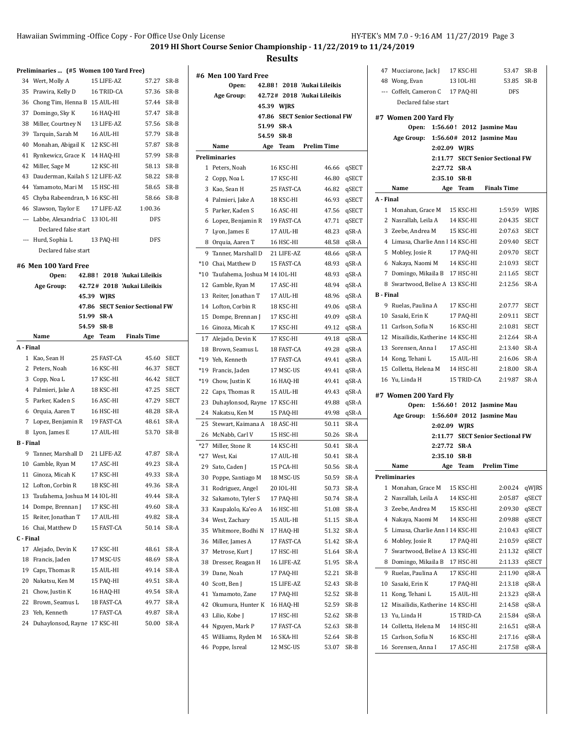**2019 HI Short Course Senior Championship - 11/22/2019 to 11/24/2019**

## **Results**

| Preliminaries  (#5 Women 100 Yard Free) |  |  |
|-----------------------------------------|--|--|
|                                         |  |  |

|                  | Preliminaries  (#5 Women 100 Yard Free) |            |                                 |             |
|------------------|-----------------------------------------|------------|---------------------------------|-------------|
|                  | 34 Wert, Molly A                        | 15 LIFE-AZ | 57.27                           | $SR-B$      |
| 35               | Prawira, Kelly D                        | 16 TRID-CA | 57.36                           | $SR-B$      |
|                  | 36 Chong Tim, Henna B 15 AUL-HI         |            | 57.44                           | $SR-B$      |
|                  | 37 Domingo, Sky K                       | 16 HAQ-HI  | 57.47                           | SR-B        |
|                  | 38 Miller, Courtney N                   | 13 LIFE-AZ | 57.56                           | $SR-B$      |
|                  | 39 Tarquin, Sarah M                     | 16 AUL-HI  | 57.79                           | SR-B        |
| 40               | Monahan, Abigail K                      | 12 KSC-HI  | 57.87                           | SR-B        |
| 41               | Rynkewicz, Grace K                      | 14 HAQ-HI  | 57.99                           | SR-B        |
| 42               | Miller, Sage M                          | 12 KSC-HI  | 58.13                           | $SR-B$      |
| 43               | Dauderman, Kailah S 12 LIFE-AZ          |            | 58.22                           | SR-B        |
|                  | 44 Yamamoto, Mari M                     | 15 HSC-HI  | 58.65                           | SR-B        |
| 45               | Chyba Rabeendran, M 16 KSC-HI           |            | 58.66                           | SR-B        |
|                  | 46 Slawson, Taylor E                    | 17 LIFE-AZ | 1:00.36                         |             |
|                  | --- Labbe, Alexandria C                 | 13 IOL-HI  | <b>DFS</b>                      |             |
|                  | Declared false start                    |            |                                 |             |
| $---$            | Hurd, Sophia L                          | 13 PAQ-HI  | <b>DFS</b>                      |             |
|                  | Declared false start                    |            |                                 |             |
|                  |                                         |            |                                 |             |
|                  | #6 Men 100 Yard Free<br>Open:           |            | 42.88! 2018 'Aukai Lileikis     |             |
|                  | Age Group:                              |            | 42.72# 2018 'Aukai Lileikis     |             |
|                  |                                         | 45.39 WJRS |                                 |             |
|                  | 47.86                                   |            | <b>SECT Senior Sectional FW</b> |             |
|                  | 51.99                                   | SR-A       |                                 |             |
|                  | 54.59                                   | SR-B       |                                 |             |
|                  | Name<br>Age                             | Team       | <b>Finals Time</b>              |             |
| A Final          |                                         |            |                                 |             |
| 1                | Kao, Sean H                             | 25 FAST-CA | 45.60                           | <b>SECT</b> |
|                  | 2 Peters, Noah                          | 16 KSC-HI  | 46.37                           | <b>SECT</b> |
|                  | 3 Copp, Noa L                           | 17 KSC-HI  | 46.42                           | <b>SECT</b> |
|                  | 4 Palmieri, Jake A                      | 18 KSC-HI  | 47.25                           | <b>SECT</b> |
| 5                | Parker, Kaden S                         | 16 ASC-HI  | 47.29                           | <b>SECT</b> |
|                  | 6 Orquia, Aaren T                       | 16 HSC-HI  | 48.28                           | SR-A        |
| 7                | Lopez, Benjamin R                       | 19 FAST-CA | 48.61                           | SR-A        |
| 8                | Lyon, James E                           | 17 AUL-HI  | 53.70                           | SR-B        |
| <b>B</b> - Final |                                         |            |                                 |             |
|                  | 9 Tanner, Marshall D                    | 21 LIFE-AZ | 47.87                           | SR-A        |
|                  | 10 Gamble, Ryan M                       | 17 ASC-HI  | 49.23                           | SR-A        |
| 11               | Ginoza, Micah K                         | 17 KSC-HI  |                                 | SR-A        |
| 12               | Lofton, Corbin R                        |            | 49.33                           |             |
|                  |                                         | 18 KSC-HI  | 49.36                           | SR-A        |
|                  | 13 Taufahema, Joshua M 14 IOL-HI        |            | 49.44                           | SR-A        |
|                  | 14 Dompe, Brennan J                     | 17 KSC-HI  | 49.60                           | SR-A        |
| 15               | Reiter, Jonathan T                      | 17 AUL-HI  | 49.82                           | SR-A        |
| 16               | Chai, Matthew D                         | 15 FAST-CA | 50.14                           | SR-A        |
| C - Final        |                                         |            |                                 |             |
| 17               | Alejado, Devin K                        | 17 KSC-HI  | 48.61                           | SR-A        |
| 18               | Francis, Jaden                          | 17 MSC-US  | 48.69                           | SR-A        |
| 19               | Caps, Thomas R                          | 15 AUL-HI  | 49.14                           | SR-A        |
|                  | 20 Nakatsu, Ken M                       | 15 PAQ-HI  | 49.51                           | SR-A        |
| 21               | Chow, Justin K                          | 16 HAQ-HI  | 49.54                           | SR-A        |
|                  | 22 Brown, Seamus L                      | 18 FAST-CA | 49.77                           | SR-A        |
| 23               | Yeh, Kenneth                            | 17 FAST-CA | 49.87                           | SR-A        |
| 24               | Duhaylonsod, Rayne                      | 17 KSC-HI  | 50.00                           | SR-A        |

|       | #6 Men 100 Yard Free          |        |            |                                 |       |
|-------|-------------------------------|--------|------------|---------------------------------|-------|
|       | Open:                         | 42.88! |            | 2018 'Aukai Lileikis            |       |
|       | Age Group:                    | 42.72# |            | 2018 'Aukai Lileikis            |       |
|       |                               |        | 45.39 WIRS |                                 |       |
|       | 47.86                         |        |            | <b>SECT Senior Sectional FW</b> |       |
|       | 51.99                         |        | SR-A       |                                 |       |
|       | 54.59                         |        | SR-B       |                                 |       |
|       | Name                          | Age    | Team       | <b>Prelim Time</b>              |       |
|       | <b>Preliminaries</b>          |        |            |                                 |       |
| 1     | Peters, Noah                  |        | 16 KSC-HI  | 46.66                           | qSECT |
| 2     | Copp, Noa L                   |        | 17 KSC-HI  | 46.80                           | qSECT |
| 3     | Kao, Sean H                   |        | 25 FAST-CA | 46.82                           | qSECT |
| 4     | Palmieri, Jake A              |        | 18 KSC-HI  | 46.93                           | qSECT |
| 5     | Parker, Kaden S               |        | 16 ASC-HI  | 47.56                           | qSECT |
| 6     | Lopez, Benjamin R             |        | 19 FAST-CA | 47.71                           | qSECT |
| 7     | Lyon, James E                 |        | 17 AUL-HI  | 48.23                           | qSR-A |
| 8     | Orquia, Aaren T               |        | 16 HSC-HI  | 48.58                           | qSR-A |
| 9     | Tanner, Marshall D            |        | 21 LIFE-AZ | 48.66                           | qSR-A |
| $*10$ | Chai, Matthew D               |        | 15 FAST-CA | 48.93                           | qSR-A |
| $*10$ | Taufahema, Joshua M 14 IOL-HI |        |            | 48.93                           | qSR-A |
| 12    | Gamble, Ryan M                |        | 17 ASC-HI  | 48.94                           | qSR-A |
| 13    | Reiter, Jonathan T            |        | 17 AUL-HI  | 48.96                           | qSR-A |
| 14    | Lofton, Corbin R              |        | 18 KSC-HI  | 49.06                           | qSR-A |
| 15    | Dompe, Brennan J              |        | 17 KSC-HI  | 49.09                           | qSR-A |
| 16    | Ginoza, Micah K               |        | 17 KSC-HI  | 49.12                           | qSR-A |
| 17    | Alejado, Devin K              |        | 17 KSC-HI  | 49.18                           | qSR-A |
| 18    | Brown, Seamus L               |        | 18 FAST-CA | 49.28                           | qSR-A |
| $*19$ | Yeh, Kenneth                  |        | 17 FAST-CA | 49.41                           | qSR-A |
| *19   | Francis, Jaden                |        | 17 MSC-US  | 49.41                           | qSR-A |
| *19   | Chow, Justin K                |        | 16 HAQ-HI  | 49.41                           | qSR-A |
| 22    | Caps, Thomas R                |        | 15 AUL-HI  | 49.43                           | qSR-A |
| 23    | Duhaylonsod, Rayne            |        | 17 KSC-HI  | 49.88                           | qSR-A |
| 24    | Nakatsu, Ken M                |        | 15 PAQ-HI  | 49.98                           | qSR-A |
| 25    | Stewart, Kaimana A            |        | 18 ASC-HI  | 50.11                           | SR-A  |
| 26    | McNabb, Carl V                |        | 15 HSC-HI  | 50.26                           | SR-A  |
| $*27$ | Miller, Stone R               |        | 14 KSC-HI  | 50.41                           | SR-A  |
| $*27$ | West, Kai                     |        | 17 AUL-HI  | 50.41                           | SR-A  |
| 29    | Sato, Caden J                 |        | 15 PCA-HI  | 50.56                           | SR-A  |
| 30    | Poppe, Santiago M             |        | 18 MSC-US  | 50.59                           | SR-A  |
| 31    | Rodriguez, Angel              |        | 20 IOL-HI  | 50.73                           | SR-A  |
| 32    | Sakamoto, Tyler S             |        | 17 PAQ-HI  | 50.74                           | SR-A  |
| 33    | Kaupalolo, Ka'eo A            |        | 16 HSC-HI  | 51.08                           | SR-A  |
| 34    | West, Zachary                 |        | 15 AUL-HI  | 51.15                           | SR-A  |
| 35    | Whitmore, Bodhi N             |        | 17 HAQ-HI  | 51.32                           | SR-A  |
| 36    | Miller, James A               |        | 17 FAST-CA | 51.42                           | SR-A  |
| 37    | Metrose, Kurt J               |        | 17 HSC-HI  | 51.64                           | SR-A  |
| 38    | Dresser, Reagan H             |        | 16 LIFE-AZ | 51.95                           | SR-A  |
| 39    | Dane, Noah                    |        | 17 PAQ-HI  | 52.21                           | SR-B  |
| 40    | Scott, Ben J                  |        | 15 LIFE-AZ | 52.43                           | SR-B  |
| 41    | Yamamoto, Zane                |        | 17 PAQ-HI  | 52.52                           | SR-B  |
| 42    | Okumura, Hunter K             |        | 16 HAQ-HI  | 52.59                           | SR-B  |
| 43    | Lilio, Kobe J                 |        | 17 HSC-HI  | 52.62                           | SR-B  |
| 44    | Nguyen, Mark P                |        | 17 FAST-CA | 52.63                           | SR-B  |
| 45    | Williams, Ryden M             |        | 16 SKA-HI  | 52.64                           | SR-B  |
| 46    | Poppe, Isreal                 |        | 12 MSC-US  | 53.07                           | SR-B  |
|       |                               |        |            |                                 |       |

| 47               | Mucciarone, Jack J                 |              | 17 KSC-HI    | 53.47                            | $SR-B$      |
|------------------|------------------------------------|--------------|--------------|----------------------------------|-------------|
|                  | 48 Wong, Evan                      |              | 13 IOL-HI    | 53.85                            | $SR-B$      |
|                  | --- Coffelt, Cameron C             |              | 17 PAQ-HI    | <b>DFS</b>                       |             |
|                  | Declared false start               |              |              |                                  |             |
|                  | #7 Women 200 Yard Fly              |              |              |                                  |             |
|                  | Open:                              |              |              | 1:56.60! 2012 Jasmine Mau        |             |
|                  | Age Group:                         | 1:56.60#     |              | 2012 Jasmine Mau                 |             |
|                  |                                    | 2:02.09 WJRS |              |                                  |             |
|                  |                                    |              |              | 2:11.77 SECT Senior Sectional FW |             |
|                  |                                    | 2:27.72 SR-A |              |                                  |             |
|                  |                                    | 2:35.10 SR-B |              |                                  |             |
|                  | Name                               | Age          | Team         | <b>Finals Time</b>               |             |
| A - Final        |                                    |              |              |                                  |             |
|                  | 1 Monahan, Grace M                 |              | 15 KSC-HI    | 1:59.59                          | WJRS        |
|                  | 2 Nasrallah, Leila A               |              | 14 KSC-HI    | 2:04.35                          | <b>SECT</b> |
|                  | 3 Zeebe, Andrea M                  |              | 15 KSC-HI    | 2:07.63                          | <b>SECT</b> |
|                  | 4 Limasa, Charlie Ann   14 KSC-HI  |              |              | 2:09.40                          | <b>SECT</b> |
| 5                | Mobley, Josie R                    |              | 17 PAQ-HI    | 2:09.70                          | <b>SECT</b> |
|                  | 6   Nakaya, Naomi M                |              | 14 KSC-HI    | 2:10.93                          | <b>SECT</b> |
| 7                | Domingo, Mikaila B                 |              | 17 HSC-HI    | 2:11.65                          | <b>SECT</b> |
|                  | 8 Swartwood, Belise A 13 KSC-HI    |              |              | 2:12.56                          | SR-A        |
| <b>B</b> - Final |                                    |              |              |                                  |             |
|                  | 9 Ruelas, Paulina A                |              | 17 KSC-HI    | 2:07.77                          | <b>SECT</b> |
|                  | 10 Sasaki, Erin K                  |              | 17 PAQ-HI    | 2:09.11                          | <b>SECT</b> |
|                  | 11 Carlson, Sofia N                |              | 16 KSC-HI    | 2:10.81                          | <b>SECT</b> |
|                  | 12 Misailidis, Katherine 14 KSC-HI |              |              | 2:12.64                          | SR-A        |
|                  | 13 Sorensen, Anna I                |              | 17 ASC-HI    | 2:13.40                          | SR-A        |
|                  | 14 Kong, Tehani L                  |              | 15 AUL-HI    | 2:16.06                          | SR-A        |
|                  | 15 Colletta, Helena M              |              | 14 HSC-HI    | 2:18.00                          | SR-A        |
|                  |                                    |              |              |                                  |             |
|                  | 16 Yu, Linda H                     |              | 15 TRID-CA   | 2:19.87                          | SR-A        |
|                  |                                    |              |              |                                  |             |
|                  | #7 Women 200 Yard Fly<br>Open:     |              |              | 1:56.60! 2012 Jasmine Mau        |             |
|                  | Age Group:                         |              |              | 1:56.60# 2012 Jasmine Mau        |             |
|                  |                                    |              | 2:02.09 WJRS |                                  |             |
|                  |                                    |              |              | 2:11.77 SECT Senior Sectional FW |             |
|                  |                                    | 2:27.72 SR-A |              |                                  |             |
|                  |                                    | 2:35.10 SR-B |              |                                  |             |
|                  | Name                               | Age          | Team         | <b>Prelim Time</b>               |             |
|                  | <b>Preliminaries</b>               |              |              |                                  |             |
| 1                | Monahan, Grace M                   |              | 15 KSC-HI    | 2:00.24                          | qWJRS       |
| 2                | Nasrallah, Leila A                 |              | 14 KSC-HI    | 2:05.87                          | qSECT       |
| 3                | Zeebe, Andrea M                    |              | 15 KSC-HI    | 2:09.30                          | qSECT       |
| 4                | Nakaya, Naomi M                    |              | 14 KSC-HI    | 2:09.88                          | qSECT       |
| 5                | Limasa, Charlie Ann   14 KSC-HI    |              |              | 2:10.43                          | qSECT       |
| 6                | Mobley, Josie R                    |              | 17 PAQ-HI    | 2:10.59                          | qSECT       |
| 7                | Swartwood, Belise A                |              | 13 KSC-HI    | 2:11.32                          | qSECT       |
| 8                | Domingo, Mikaila B                 |              | 17 HSC-HI    | 2:11.33                          | qSECT       |
| 9                | Ruelas, Paulina A                  |              | 17 KSC-HI    | 2:11.90                          | qSR-A       |
| 10               | Sasaki, Erin K                     |              | 17 PAQ-HI    | 2:13.18                          | qSR-A       |
| 11               | Kong, Tehani L                     |              | 15 AUL-HI    | 2:13.23                          | qSR-A       |
| 12               | Misailidis, Katherine              |              | 14 KSC-HI    | 2:14.58                          | qSR-A       |
| 13               | Yu, Linda H                        |              | 15 TRID-CA   | 2:15.84                          | qSR-A       |
| 14               | Colletta, Helena M                 |              | 14 HSC-HI    | 2:16.51                          | qSR-A       |
| 15               | Carlson, Sofia N                   |              | 16 KSC-HI    | 2:17.16                          | qSR-A       |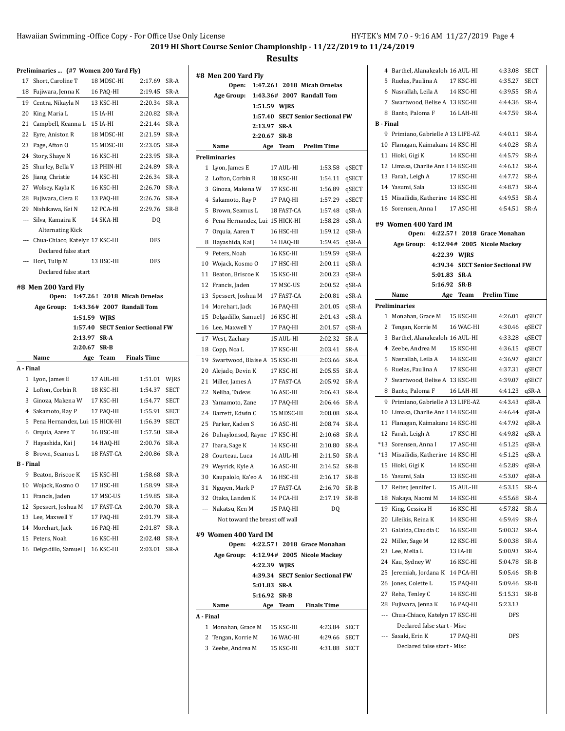## **2019 HI Short Course Senior Championship - 11/22/2019 to 11/24/2019**

## **Results**

**#8 Men 200 Yard Fly**

| Preliminaries  (#7 Women 200 Yard Fly) |                   |
|----------------------------------------|-------------------|
| 17 Short, Caroline T                   | 2:1<br>18 MDSC-HI |

| 17             | Short, Caroline T              |     | 18 MDSC-HI  | 2:17.69                         | SR-A        |
|----------------|--------------------------------|-----|-------------|---------------------------------|-------------|
| 18             | Fujiwara, Jenna K              |     | 16 PAQ-HI   | 2:19.45                         | SR-A        |
| 19             | Centra, Nikayla N              |     | 13 KSC-HI   | 2:20.34                         | SR-A        |
| 20             | King, Maria L                  |     | 15 IA-HI    | 2:20.82                         | SR-A        |
| 21             | Campbell, Keanna L             |     | 15 IA-HI    | 2:21.44                         | SR-A        |
| 22             | Eyre, Aniston R                |     | 18 MDSC-HI  | 2:21.59                         | SR-A        |
| 23             | Page, Afton O                  |     | 15 MDSC-HI  | 2:23.05                         | SR-A        |
| 24             | Story, Shaye N                 |     | 16 KSC-HI   | 2:23.95                         | SR-A        |
| 25             | Shurley, Bella V               |     | 13 PHIN-HI  | 2:24.89                         | SR-A        |
| 26             | Jiang, Christie                |     | 14 KSC-HI   | 2:26.34                         | SR-A        |
| 27             | Wolsey, Kayla K                |     | 16 KSC-HI   | 2:26.70                         | SR-A        |
| 28             | Fujiwara, Ciera E              |     | 13 PAQ-HI   | 2:26.76                         | SR-A        |
| 29             | Nishikawa, Kei N               |     | 12 PCA-HI   | 2:29.76                         | $SR-B$      |
| $\cdots$       | Silva, Kamaira K               |     | 14 SKA-HI   | DO                              |             |
|                | <b>Alternating Kick</b>        |     |             |                                 |             |
| ---            | Chua-Chiaco, Katelyr 17 KSC-HI |     |             | <b>DFS</b>                      |             |
|                | Declared false start           |     |             |                                 |             |
| $\overline{a}$ | Hori, Tulip M                  |     | 13 HSC-HI   | <b>DFS</b>                      |             |
|                | Declared false start           |     |             |                                 |             |
|                | #8 Men 200 Yard Flv            |     |             |                                 |             |
|                | 1:47.26!<br>Open:              |     |             | 2018 Micah Ornelas              |             |
|                | Age Group:<br>1:43.36#         |     |             | 2007 Randall Tom                |             |
|                | 1:51.59                        |     | <b>WIRS</b> |                                 |             |
|                | 1:57.40                        |     |             | <b>SECT Senior Sectional FW</b> |             |
|                | 2:13.97                        |     | SR-A        |                                 |             |
|                | 2:20.67                        |     | SR-B        |                                 |             |
|                | Name                           | Age | Team        | <b>Finals Time</b>              |             |
| A - Final      |                                |     |             |                                 |             |
| 1              | Lyon, James E                  |     | 17 AUL-HI   | 1:51.01                         | WJRS        |
| 2              | Lofton, Corbin R               |     | 18 KSC-HI   | 1:54.37                         | <b>SECT</b> |
| 3              | Ginoza, Makena W               |     | 17 KSC-HI   | 1:54.77                         | <b>SECT</b> |
| 4              | Sakamoto, Ray P                |     | 17 PAQ-HI   | 1:55.91                         | <b>SECT</b> |
| 5              | Pena Hernandez, Lui 15 HICK-HI |     |             | 1:56.39                         | <b>SECT</b> |
| 6              | Orquia, Aaren T                |     | 16 HSC-HI   | 1:57.50                         | SR-A        |
| 7              | Hayashida, Kai J               |     | 14 HAQ-HI   | 2:00.76                         | SR-A        |
| 8              | Brown, Seamus L                |     | 18 FAST-CA  | 2:00.86                         | SR-A        |

9 Beaton, Briscoe K 15 KSC-HI 1:58.68 SR-A Wojack, Kosmo O 17 HSC-HI 1:58.99 SR-A Francis, Jaden 17 MSC-US 1:59.85 SR-A Spessert, Joshua M 17 FAST-CA 2:00.70 SR-A Lee, Maxwell Y 17 PAQ-HI 2:01.79 SR-A Morehart, Jack 16 PAQ-HI 2:01.87 SR-A Peters, Noah 16 KSC-HI 2:02.48 SR-A Delgadillo, Samuel J 16 KSC-HI 2:03.01 SR-A

**B - Final**

|           | Open:                           | 1:47.26!    |             | 2018 Micah Ornelas                     |       |
|-----------|---------------------------------|-------------|-------------|----------------------------------------|-------|
|           | Age Group:                      | 1:43.36#    |             | 2007 Randall Tom                       |       |
|           |                                 | 1:51.59     | <b>WJRS</b> |                                        |       |
|           |                                 | 1:57.40     |             | <b>SECT Senior Sectional FW</b>        |       |
|           |                                 | 2:13.97     | SR-A        |                                        |       |
|           |                                 | 2:20.67     | SR-B        |                                        |       |
|           | Name                            | Age         | Team        | <b>Prelim Time</b>                     |       |
|           | <b>Preliminaries</b>            |             |             |                                        |       |
|           | 1 Lyon, James E                 |             | 17 AUL-HI   | 1:53.58                                | qSECT |
| 2         | Lofton, Corbin R                |             | 18 KSC-HI   | 1:54.11                                | qSECT |
| 3         | Ginoza. Makena W                |             | 17 KSC-HI   | 1:56.89                                | qSECT |
| 4         | Sakamoto, Ray P                 |             | 17 PAQ-HI   | 1:57.29                                | qSECT |
| 5         | Brown, Seamus L                 |             | 18 FAST-CA  | 1:57.48                                | qSR-A |
| 6         | Pena Hernandez, Lui: 15 HICK-HI |             |             | 1:58.28                                | qSR-A |
| 7         | Orquia, Aaren T                 |             | 16 HSC-HI   | 1:59.12                                | qSR-A |
| 8         | Hayashida, Kai J                |             | 14 HAQ-HI   | 1:59.45                                | qSR-A |
| 9         | Peters, Noah                    |             | 16 KSC-HI   | 1:59.59                                | qSR-A |
| 10        | Wojack, Kosmo O                 |             | 17 HSC-HI   | 2:00.11                                | qSR-A |
| 11        | Beaton, Briscoe K               |             | 15 KSC-HI   | 2:00.23                                | qSR-A |
| 12        | Francis, Jaden                  |             | 17 MSC-US   | 2:00.52                                | qSR-A |
| 13        | Spessert, Joshua M              |             | 17 FAST-CA  | 2:00.81                                | qSR-A |
| 14        | Morehart, Jack                  |             | 16 PAQ-HI   | 2:01.05                                | qSR-A |
| 15        | Delgadillo, Samuel J            |             | 16 KSC-HI   | 2:01.43                                | qSR-A |
| 16        | Lee, Maxwell Y                  |             | 17 PAQ-HI   | 2:01.57                                | qSR-A |
| 17        | West, Zachary                   |             | 15 AUL-HI   | 2:02.32                                | SR-A  |
|           | 18 Copp, Noa L                  |             | 17 KSC-HI   | 2:03.41                                | SR-A  |
| 19        | Swartwood, Blaise A             |             | 15 KSC-HI   | 2:03.66                                | SR-A  |
| 20        | Alejado, Devin K                |             | 17 KSC-HI   | 2:05.55                                | SR-A  |
| 21        | Miller, James A                 |             | 17 FAST-CA  | 2:05.92                                | SR-A  |
| 22        | Neliba, Tadeas                  |             | 16 ASC-HI   | 2:06.43                                | SR-A  |
| 23        | Yamamoto, Zane                  |             | 17 PAQ-HI   | 2:06.46                                | SR-A  |
| 24        |                                 |             | 15 MDSC-HI  |                                        | SR-A  |
|           | Barrett, Edwin C                |             | 16 ASC-HI   | 2:08.08                                | SR-A  |
| 25        | Parker, Kaden S                 |             |             | 2:08.74                                |       |
| 26        | Duhaylonsod, Rayne              |             | 17 KSC-HI   | 2:10.68                                | SR-A  |
| 27        | Ibara, Sage K                   |             | 14 KSC-HI   | 2:10.80                                | SR-A  |
| 28        | Courteau, Luca                  |             | 14 AUL-HI   | 2:11.50                                | SR-A  |
| 29        | Weyrick, Kyle A                 |             | 16 ASC-HI   | 2:14.52                                | SR-B  |
| 30        | Kaupalolo, Ka'eo A              |             | 16 HSC-HI   | 2:16.17                                | SR-B  |
| 31        | Nguyen, Mark P                  |             | 17 FAST-CA  | 2:16.70                                | SR-B  |
|           | 32 Otaka, Landen K              |             | 14 PCA-HI   | 2:17.19                                | SR-B  |
|           | --- Nakatsu, Ken M              |             | 15 PAQ-HI   | DQ                                     |       |
|           | Not toward the breast off wall  |             |             |                                        |       |
|           | #9 Women 400 Yard IM            |             |             |                                        |       |
|           |                                 |             |             | Open: 4:22.57! 2018 Grace Monahan      |       |
|           |                                 |             |             | Age Group: 4:12.94# 2005 Nicole Mackey |       |
|           |                                 | 4:22.39     | <b>WIRS</b> |                                        |       |
|           |                                 |             |             | 4:39.34 SECT Senior Sectional FW       |       |
|           |                                 | 5:01.83 SRA |             |                                        |       |
|           |                                 | 5:16.92     | SR-B        |                                        |       |
|           | Name                            |             | Age Team    | <b>Finals Time</b>                     |       |
| A - Final |                                 |             |             |                                        |       |
|           | 1 Monahan, Grace M              |             | 15 KSC-HI   | 4:23.84                                | SECT  |
|           | 2 Tengan, Korrie M              |             | 16 WAC-HI   | 4:29.66                                | SECT  |
|           | 3 Zeebe, Andrea M               |             | 15 KSC-HI   | 4:31.88                                | SECT  |
|           |                                 |             |             |                                        |       |

| 4                | Barthel, Alanakealoh 16 AUL-HI     |           | 4:33.08                         | <b>SECT</b> |
|------------------|------------------------------------|-----------|---------------------------------|-------------|
| 5                | Ruelas, Paulina A                  | 17 KSC-HI | 4:35.27                         | <b>SECT</b> |
| 6                | Nasrallah, Leila A                 | 14 KSC-HI | 4:39.55                         | SR-A        |
| 7                | Swartwood, Belise A 13 KSC-HI      |           | 4:44.36                         | SR-A        |
| 8                | Banto, Paloma F                    | 16 LAH-HI | 4:47.59                         | SR-A        |
| <b>B</b> - Final |                                    |           |                                 |             |
| 9                | Primiano, Gabrielle A 13 LIFE-AZ   |           | 4:40.11                         | SR-A        |
| 10               | Flanagan, Kaimakana 14 KSC-HI      |           | 4:40.28                         | SR-A        |
| 11               | Hioki, Gigi K                      | 14 KSC-HI | 4:45.79                         | SR-A        |
|                  | 12 Limasa, Charlie Ann   14 KSC-HI |           | 4:46.12                         | SR-A        |
| 13               | Farah, Leigh A                     | 17 KSC-HI | 4:47.72                         | SR-A        |
|                  | 14 Yasumi, Sala                    | 13 KSC-HI | 4:48.73                         | SR-A        |
| 15               | Misailidis, Katherine 14 KSC-HI    |           | 4:49.53                         | SR-A        |
|                  |                                    |           |                                 |             |
|                  | 16 Sorensen, Anna I                | 17 ASC-HI | 4:54.51                         | SR-A        |
|                  | #9 Women 400 Yard IM               |           |                                 |             |
|                  | Open:<br>4:22.57!                  |           | 2018 Grace Monahan              |             |
|                  | Age Group:                         |           | 4:12.94# 2005 Nicole Mackey     |             |
|                  | 4:22.39 WJRS                       |           |                                 |             |
|                  | 4:39.34                            |           | <b>SECT Senior Sectional FW</b> |             |
|                  | 5:01.83                            | SR-A      |                                 |             |
|                  | 5:16.92                            | SR-B      |                                 |             |
|                  | Name<br>Age                        | Team      | <b>Prelim Time</b>              |             |
|                  | Preliminaries                      |           |                                 |             |
| 1                | Monahan, Grace M                   | 15 KSC-HI | 4:26.01                         | qSECT       |
| 2                | Tengan, Korrie M                   | 16 WAC-HI | 4:30.46                         | qSECT       |
| 3                | Barthel, Alanakealoh 16 AUL-HI     |           | 4:33.28                         | qSECT       |
|                  | 4 Zeebe, Andrea M                  | 15 KSC-HI | 4:36.15                         | qSECT       |
| 5                | Nasrallah, Leila A                 | 14 KSC-HI | 4:36.97                         | qSECT       |
| 6                | Ruelas, Paulina A                  | 17 KSC-HI | 4:37.31                         | qSECT       |
| 7                | Swartwood, Belise A 13 KSC-HI      |           | 4:39.07                         | qSECT       |
| 8                | Banto, Paloma F                    | 16 LAH-HI | 4:41.23                         | qSR-A       |
| 9                | Primiano, Gabrielle A 13 LIFE-AZ   |           | 4:43.43                         | qSR-A       |
| 10               | Limasa, Charlie Ann   14 KSC-HI    |           | 4:46.44                         | qSR-A       |
| 11               | Flanagan, Kaimakana 14 KSC-HI      |           | 4:47.92                         | qSR-A       |
| 12               | Farah, Leigh A                     | 17 KSC-HI | 4:49.82                         | qSR-A       |
| $*13$            | Sorensen, Anna I                   | 17 ASC-HI | 4:51.25                         | qSR-A       |
| *13              | Misailidis, Katherine 14 KSC-HI    |           | 4:51.25                         | qSR-A       |
| 15               | Hioki, Gigi K                      | 14 KSC-HI | 4:52.89                         | qSR-A       |
| 16               | Yasumi, Sala                       | 13 KSC-HI | 4:53.07                         | qSR-A       |
| 17               | Reiter, Jennifer L                 | 15 AUL-HI | 4:53.15                         | SR-A        |
| 18               | Nakaya, Naomi M                    | 14 KSC-HI | 4:55.68                         | SR-A        |
| 19               | King, Gessica H                    | 16 KSC-HI | 4:57.82                         | SR-A        |
| 20               | Lileikis, Reina K                  | 14 KSC-HI | 4:59.49                         | SR-A        |
| 21               | Galaida, Claudia C                 | 16 KSC-HI | 5:00.32                         | SR-A        |
| 22               | Miller, Sage M                     | 12 KSC-HI | 5:00.38                         | SR-A        |
| 23               | Lee, Melia L                       | 13 IA-HI  | 5:00.93                         | SR-A        |
| 24               | Kau, Sydney W                      | 16 KSC-HI | 5:04.78                         | SR-B        |
| 25               | Jeremiah, Jordana K                | 14 PCA-HI | 5:05.46                         | SR-B        |
|                  | 26 Jones, Colette L                | 15 PAQ-HI | 5:09.46                         | SR-B        |
| 27               | Reha, Tenley C                     | 14 KSC-HI | 5:15.31                         | SR-B        |
|                  | 28 Fujiwara, Jenna K               | 16 PAQ-HI | 5:23.13                         |             |
|                  |                                    |           |                                 |             |
|                  | --- Chua-Chiaco, Katelyr 17 KSC-HI |           | DFS                             |             |
|                  | Declared false start - Misc        |           |                                 |             |
| ---              | Sasaki, Erin K                     | 17 PAQ-HI | DFS                             |             |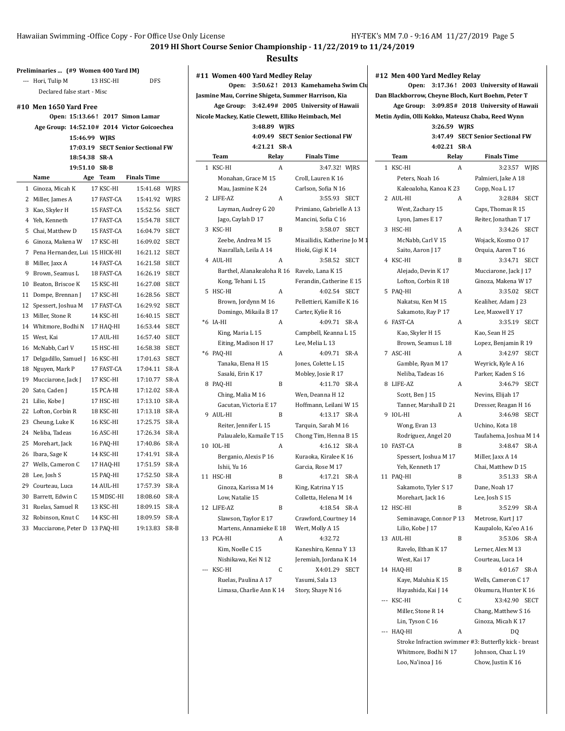$\overline{1}$ 

## **2019 HI Short Course Senior Championship - 11/22/2019 to 11/24/2019**

## **Results**

| Preliminaries  (#9 Women 400 Yard IM)       |               |                                   |             |                                                               |              |          |
|---------------------------------------------|---------------|-----------------------------------|-------------|---------------------------------------------------------------|--------------|----------|
| --- Hori, Tulip M                           | 13 HSC-HI     | <b>DFS</b>                        |             | #11 Women 400 Yard Medley Relay<br>3:50.62! 2013 Kan<br>Open: |              |          |
| Declared false start - Misc                 |               |                                   |             | Jasmine Mau, Corrine Shigeta, Summer H                        |              |          |
| #10 Men 1650 Yard Free                      |               |                                   |             | Age Group:<br>3:42.49# 2005 Univ                              |              |          |
| Open: 15:13.66! 2017 Simon Lamar            |               |                                   |             | Nicole Mackey, Katie Clewett, Elliko Heim                     |              |          |
| Age Group: 14:52.10# 2014 Victor Goicoechea |               |                                   |             | 3:48.89 WJRS                                                  |              |          |
|                                             | 15:46.99 WJRS |                                   |             | 4:09.49 SECT Senior                                           |              |          |
|                                             |               | 17:03.19 SECT Senior Sectional FW |             | 4:21.21 SR-A                                                  |              |          |
|                                             | 18:54.38 SR-A |                                   |             | Team                                                          | Relay        | Fil      |
|                                             | 19:51.10 SR-B |                                   |             | 1 KSC-HI                                                      | A            |          |
| Name                                        | Age<br>Team   | <b>Finals Time</b>                |             | Monahan, Grace M 15                                           |              | Croll, I |
| 1 Ginoza, Micah K                           | 17 KSC-HI     | 15:41.68 WJRS                     |             | Mau, Jasmine K 24                                             |              | Carlso   |
| 2 Miller, James A                           | 17 FAST-CA    | 15:41.92 WJRS                     |             | 2 LIFE-AZ                                                     | A            |          |
| 3 Kao, Skyler H                             | 15 FAST-CA    | 15:52.56                          | SECT        | Layman, Audrey G 20                                           |              | Primia   |
| 4 Yeh, Kenneth                              | 17 FAST-CA    | 15:54.78 SECT                     |             | Jago, Caylah D 17                                             |              | Manci    |
| 5 Chai, Matthew D                           | 15 FAST-CA    | 16:04.79 SECT                     |             | 3 KSC-HI                                                      | B            |          |
| 6 Ginoza, Makena W                          | 17 KSC-HI     | 16:09.02 SECT                     |             | Zeebe, Andrea M 15                                            |              | Misaili  |
| 7 Pena Hernandez, Lui 15 HICK-HI            |               | 16:21.12 SECT                     |             | Nasrallah, Leila A 14                                         |              | Hioki,   |
| 8 Miller, Jaxx A                            | 14 FAST-CA    | 16:21.58 SECT                     |             | 4 AUL-HI                                                      | A            |          |
| 9 Brown, Seamus L                           | 18 FAST-CA    | 16:26.19                          | <b>SECT</b> | Barthel, Alanakealoha R 16                                    |              | Ravelo   |
| 10 Beaton, Briscoe K                        | 15 KSC-HI     | 16:27.08 SECT                     |             | Kong, Tehani L 15                                             |              | Ferano   |
| 11 Dompe, Brennan J                         | 17 KSC-HI     | 16:28.56 SECT                     |             | 5 HSC-HI                                                      | A            |          |
| 12 Spessert, Joshua M                       | 17 FAST-CA    | 16:29.92 SECT                     |             | Brown, Jordynn M 16                                           |              | Pellett  |
| 13 Miller, Stone R                          | 14 KSC-HI     | 16:40.15                          | SECT        | Domingo, Mikaila B 17                                         |              | Carter   |
| 14 Whitmore, Bodhi N                        | 17 HAQ-HI     | 16:53.44                          | <b>SECT</b> | *6 IA-HI                                                      | A            |          |
| 15 West, Kai                                | 17 AUL-HI     | 16:57.40                          | SECT        | King, Maria L 15                                              |              | Campl    |
| 16 McNabb, Carl V                           | 15 HSC-HI     | 16:58.38 SECT                     |             | Eiting, Madison H 17<br>*6 PAQ-HI                             | Α            | Lee, M   |
| 17 Delgadillo, Samuel J                     | 16 KSC-HI     | 17:01.63 SECT                     |             | Tanaka, Elena H 15                                            |              | Jones,   |
| 18 Nguyen, Mark P                           | 17 FAST-CA    | 17:04.11                          | SR-A        | Sasaki, Erin K 17                                             |              | Moble    |
| 19 Mucciarone, Jack J                       | 17 KSC-HI     | 17:10.77                          | SR-A        | 8 PAQ-HI                                                      | B            |          |
| 20 Sato, Caden J                            | 15 PCA-HI     | 17:12.02 SR-A                     |             | Ching, Malia M 16                                             |              | Wen, I   |
| 21 Lilio, Kobe J                            | 17 HSC-HI     | 17:13.10 SR-A                     |             | Gacutan, Victoria E 17                                        |              | Hoffm    |
| 22 Lofton, Corbin R                         | 18 KSC-HI     | 17:13.18                          | SR-A        | 9 AUL-HI                                                      | B            |          |
| 23 Cheung, Luke K                           | 16 KSC-HI     | 17:25.75 SR-A                     |             | Reiter, Jennifer L 15                                         |              | Tarqui   |
| 24 Neliba, Tadeas                           | 16 ASC-HI     | 17:26.34 SR-A                     |             | Palaualelo, Kamaile T 15                                      |              | Chong    |
| 25 Morehart, Jack                           | 16 PAQ-HI     | 17:40.86 SR-A                     |             | 10 IOL-HI                                                     | A            |          |
| 26 Ibara, Sage K                            | 14 KSC-HI     | 17:41.91                          | SR-A        | Berganio, Alexis P 16                                         |              | Kurao!   |
| 27 Wells, Cameron C                         | 17 HAQ-HI     | 17:51.59                          | SR-A        | Ishii, Yu 16                                                  |              | Garcia   |
| 28 Lee, Josh S                              | 15 PAQ-HI     | 17:52.50                          | SR-A        | 11 HSC-HI                                                     | B            |          |
| 29 Courteau, Luca                           | 14 AUL-HI     | 17:57.39                          | SR-A        | Ginoza, Karissa M 14                                          |              | King, I  |
| 30 Barrett, Edwin C                         | 15 MDSC-HI    | 18:08.60                          | SR-A        | Low, Natalie 15                                               |              | Collett  |
| 31 Ruelas, Samuel R                         | 13 KSC-HI     | 18:09.15                          | SR-A        | 12 LIFE-AZ                                                    | $\, {\bf B}$ |          |
| 32 Robinson, Knut C                         | 14 KSC-HI     | 18:09.59                          | SR-A        | Slawson, Taylor E 17                                          |              | Crawfo   |
| 33 Mucciarone, Peter D 13 PAQ-HI            |               | 19:13.83                          | SR-B        | Martens, Annamieke E 18                                       |              | Wert, I  |

|              |                                                    |   | Open: 3:50.62! 2013 Kamehameha Swim Clu       |
|--------------|----------------------------------------------------|---|-----------------------------------------------|
|              | Jasmine Mau, Corrine Shigeta, Summer Harrison, Kia |   |                                               |
|              |                                                    |   | Age Group: 3:42.49# 2005 University of Hawaii |
|              | Nicole Mackey, Katie Clewett, Elliko Heimbach, Mel |   |                                               |
|              | 3:48.89 WJRS                                       |   |                                               |
|              |                                                    |   | 4:09.49 SECT Senior Sectional FW              |
|              | 4:21.21 SR-A                                       |   |                                               |
|              | Team<br>Relay                                      |   | Finals Time                                   |
| $\mathbf{1}$ | KSC-HI                                             | A | 3:47.32! WJRS                                 |
|              | Monahan, Grace M 15                                |   | Croll, Lauren K 16                            |
|              | Mau, Jasmine K 24                                  |   | Carlson, Sofia N 16                           |
|              | 2 LIFE-AZ                                          | A | 3:55.93 SECT                                  |
|              | Layman, Audrey G 20                                |   | Primiano, Gabrielle A 13                      |
|              | Jago, Caylah D 17                                  |   | Mancini, Sofia C 16                           |
| 3            | KSC-HI                                             | B | 3:58.07 SECT                                  |
|              | Zeebe, Andrea M 15                                 |   | Misailidis, Katherine Jo M 1                  |
|              | Nasrallah, Leila A 14                              |   | Hioki, Gigi K 14                              |
|              | 4 AUL-HI                                           | A | 3:58.52<br><b>SECT</b>                        |
|              | Barthel, Alanakealoha R 16                         |   | Ravelo, Lana K 15                             |
|              | Kong, Tehani L 15                                  |   | Ferandin, Catherine E 15                      |
| 5            | HSC-HI                                             | A | 4:02.54 SECT                                  |
|              | Brown, Jordynn M 16                                |   | Pellettieri, Kamille K 16                     |
|              | Domingo, Mikaila B 17                              |   | Carter, Kylie R 16                            |
|              | *6 IA-HI                                           | A | 4:09.71<br>SR-A                               |
|              | King, Maria L 15                                   |   | Campbell, Keanna L 15                         |
|              | Eiting, Madison H 17                               |   | Lee, Melia L 13                               |
|              | *6 PAQ-HI                                          | A | 4:09.71 SR-A                                  |
|              | Tanaka, Elena H 15                                 |   | Jones, Colette L 15                           |
|              | Sasaki, Erin K 17                                  |   | Mobley, Josie R 17                            |
|              | 8 PAQ-HI                                           | B | 4:11.70 SR-A                                  |
|              | Ching, Malia M 16                                  |   | Wen, Deanna H 12                              |
|              | Gacutan, Victoria E 17                             |   | Hoffmann, Leilani W 15                        |
|              | 9 AUL-HI                                           | B | 4:13.17 SR-A                                  |
|              | Reiter, Jennifer L 15                              |   | Tarquin, Sarah M 16                           |
|              | Palaualelo, Kamaile T 15                           |   | Chong Tim, Henna B 15                         |
|              | 10 IOL-HI                                          | A | 4:16.12 SR-A                                  |
|              | Berganio, Alexis P 16                              |   | Kuraoka, Kiralee K 16                         |
|              | Ishii, Yu 16                                       |   | Garcia, Rose M 17                             |
| 11           | HSC-HI                                             | B | 4:17.21<br>SR-A                               |
|              | Ginoza, Karissa M 14                               |   | King, Katrina Y 15                            |
|              | Low, Natalie 15                                    |   | Colletta, Helena M 14                         |
| 12           | LIFE-AZ                                            | B | 4:18.54<br>SR-A                               |
|              | Slawson, Taylor E 17                               |   | Crawford, Courtney 14                         |
|              | Martens, Annamieke E 18                            |   | Wert, Molly A 15                              |
| 13           | PCA-HI                                             | A | 4:32.72                                       |
|              | Kim, Noelle C 15                                   |   | Kaneshiro, Kenna Y 13                         |
|              | Nishikawa, Kei N 12                                |   | Jeremiah, Jordana K 14                        |
| ---          | KSC-HI                                             | C | X4:01.29<br>SECT                              |
|              | Ruelas, Paulina A 17                               |   | Yasumi, Sala 13                               |
|              | Limasa, Charlie Ann K 14                           |   | Story, Shaye N 16                             |
|              |                                                    |   |                                               |

**#12 Men 400 Yard Medley Relay Open: 3:17.36 ! 2003 University of Hawaii Dan Blackborrow, Cheyne Bloch, Kurt Boehm, Peter T Age Group: 3:09.85# 2018 University of Hawaii Metin Aydin, Olli Kokko, Mateusz Chaba, Reed Wynn**

**3:26.59 WJRS**

**3:47.49 SECT Senior Sectional FW 4:02.21 SR-A**

|    |     | 4:U4.41 JR A            |   |                                                       |
|----|-----|-------------------------|---|-------------------------------------------------------|
|    |     | Team<br>Relay           |   | <b>Finals Time</b>                                    |
|    |     | 1 KSC-HI                | A | 3:23.57<br>WJRS                                       |
|    |     | Peters, Noah 16         |   | Palmieri, Jake A 18                                   |
|    |     | Kaleoaloha, Kanoa K 23  |   | Copp, Noa L 17                                        |
|    |     | 2 AUL-HI                | A | <b>SECT</b><br>3:28.84                                |
|    |     | West, Zachary 15        |   | Caps, Thomas R 15                                     |
|    |     | Lyon, James E 17        |   | Reiter, Jonathan T 17                                 |
|    | 3   | HSC-HI                  | Α | 3:34.26 SECT                                          |
| 41 |     | McNabb, Carl V 15       |   | Wojack, Kosmo O 17                                    |
|    |     | Saito, Aaron J 17       |   | Orquia, Aaren T 16                                    |
|    |     | 4 KSC-HI                | B | 3:34.71<br><b>SECT</b>                                |
|    |     | Alejado, Devin K 17     |   | Mucciarone, Jack J 17                                 |
|    |     | Lofton, Corbin R 18     |   | Ginoza, Makena W 17                                   |
|    | 5   | PAQ-HI                  | A | 3:35.02 SECT                                          |
|    |     | Nakatsu, Ken M 15       |   | Kealiher, Adam J 23                                   |
|    |     | Sakamoto, Ray P 17      |   | Lee, Maxwell Y 17                                     |
|    |     | 6 FAST-CA               | Α | 3:35.19<br>SECT                                       |
|    |     | Kao, Skyler H 15        |   | Kao, Sean H 25                                        |
|    |     | Brown, Seamus L 18      |   | Lopez, Benjamin R 19                                  |
|    |     | 7 ASC-HI                | A | 3:42.97 SECT                                          |
|    |     | Gamble, Ryan M 17       |   | Weyrick, Kyle A 16                                    |
|    |     | Neliba, Tadeas 16       |   | Parker, Kaden S 16                                    |
|    |     | 8 LIFE-AZ               | A | 3:46.79 SECT                                          |
|    |     | Scott, Ben J 15         |   | Nevins, Elijah 17                                     |
|    |     | Tanner, Marshall D 21   |   | Dresser, Reagan H 16                                  |
|    | 9   | IOL-HI                  | A | 3:46.98<br><b>SECT</b>                                |
|    |     | Wong, Evan 13           |   | Uchino, Kota 18                                       |
|    |     | Rodriguez, Angel 20     |   | Taufahema, Joshua M 14                                |
|    | 10  | FAST-CA                 | B | 3:48.47<br>SR-A                                       |
|    |     | Spessert, Joshua M 17   |   | Miller, Jaxx A 14                                     |
|    |     | Yeh, Kenneth 17         |   | Chai, Matthew D 15                                    |
|    | 11  | PAQ-HI                  | B | 3:51.33<br>SR-A                                       |
|    |     | Sakamoto, Tyler S 17    |   | Dane, Noah 17                                         |
|    |     | Morehart, Jack 16       |   | Lee, Josh S 15                                        |
|    |     | 12 HSC-HI               | B | 3:52.99<br>SR-A                                       |
|    |     | Seminavage, Connor P 13 |   | Metrose, Kurt J 17                                    |
|    |     | Lilio, Kobe J 17        |   | Kaupalolo, Ka'eo A 16                                 |
|    |     | 13 AUL-HI               | B | 3:53.06 SR-A                                          |
|    |     | Ravelo, Ethan K 17      |   | Lerner, Alex M 13                                     |
|    |     | West. Kai 17            |   | Courteau, Luca 14                                     |
|    |     | 14 HAQ-HI               | B | 4:01.67<br>SR-A                                       |
|    |     | Kaye, Maluhia K 15      |   | Wells, Cameron C 17                                   |
|    |     | Hayashida, Kai J 14     |   | Okumura, Hunter K 16                                  |
|    |     | KSC-HI                  | C | X3:42.90<br><b>SECT</b>                               |
|    |     | Miller, Stone R 14      |   | Chang, Matthew S 16                                   |
|    |     | Lin, Tyson C 16         |   | Ginoza, Micah K 17                                    |
|    | --- | HAQ-HI                  | A | D <sub>0</sub>                                        |
|    |     |                         |   | Stroke Infraction swimmer #3: Butterfly kick - breast |
|    |     | Whitmore, Bodhi N 17    |   | Johnson, Chaz L 19                                    |
|    |     | Loo, Na'inoa J 16       |   | Chow, Justin K 16                                     |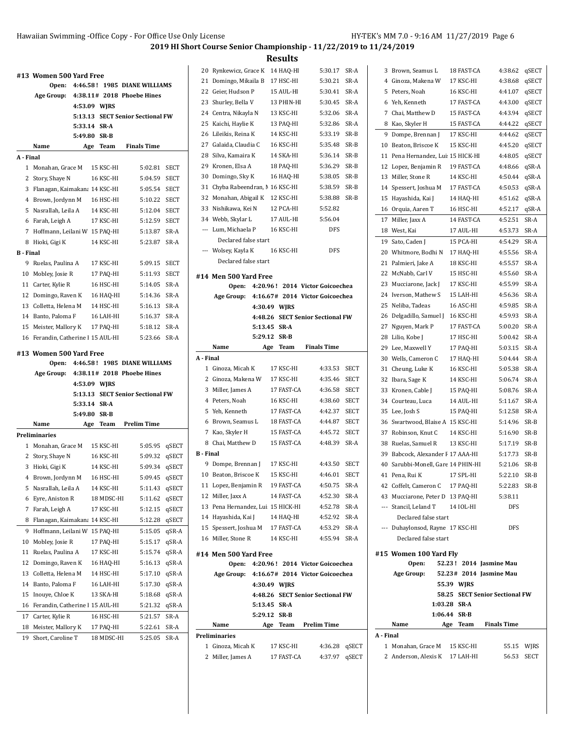# **2019 HI Short Course Senior Championship - 11/22/2019 to 11/24/2019**

|           | #13 Women 500 Yard Free                 |              |            |                                    |             |
|-----------|-----------------------------------------|--------------|------------|------------------------------------|-------------|
|           | Open:                                   |              |            | 4:46.58! 1985 DIANE WILLIAMS       |             |
|           | Age Group:                              |              |            | 4:38.11# 2018 Phoebe Hines         |             |
|           |                                         | 4:53.09 WJRS |            |                                    |             |
|           |                                         | 5:13.13      |            | <b>SECT Senior Sectional FW</b>    |             |
|           |                                         | 5:33.14 SR A |            |                                    |             |
|           |                                         | 5:49.80      | SR-B       |                                    |             |
|           | Name                                    | Age          | Team       | <b>Finals Time</b>                 |             |
| A - Final |                                         |              |            |                                    |             |
| 1         | Monahan, Grace M                        |              | 15 KSC-HI  | 5:02.81                            | SECT        |
|           | 2 Story, Shaye N                        |              | 16 KSC-HI  | 5:04.59                            | <b>SECT</b> |
|           | 3 Flanagan, Kaimakana 14 KSC-HI         |              |            | 5:05.54                            | <b>SECT</b> |
|           | 4 Brown, Jordynn M                      |              | 16 HSC-HI  | 5:10.22                            | <b>SECT</b> |
|           | 5 Nasrallah, Leila A                    |              | 14 KSC-HI  | 5:12.04                            | <b>SECT</b> |
|           | 6 Farah, Leigh A                        |              | 17 KSC-HI  | 5:12.59                            | <b>SECT</b> |
|           | 7 Hoffmann, Leilani W 15 PAQ-HI         |              |            | 5:13.87                            | SR-A        |
|           | 8 Hioki, Gigi K                         |              | 14 KSC-HI  | 5:23.87                            | SR-A        |
| B - Final |                                         |              |            |                                    |             |
| 9         | Ruelas, Paulina A                       |              | 17 KSC-HI  | 5:09.15                            | <b>SECT</b> |
|           | 10 Mobley, Josie R                      |              | 17 PAQ-HI  | 5:11.93                            | <b>SECT</b> |
|           | 11 Carter, Kylie R                      |              | 16 HSC-HI  | 5:14.05                            | SR-A        |
|           | 12 Domingo, Raven K                     |              | 16 HAQ-HI  | 5:14.36                            | SR-A        |
|           | 13 Colletta, Helena M                   |              | 14 HSC-HI  | 5:16.13                            | SR-A        |
|           | 14 Banto, Paloma F                      |              | 16 LAH-HI  | 5:16.37                            | SR-A        |
| 15        | Meister, Mallory K                      |              | 17 PAQ-HI  | 5:18.12                            | SR-A        |
| 16        | Ferandin, Catherine 1 15 AUL-HI         |              |            | 5:23.66                            | SR-A        |
|           |                                         |              |            |                                    |             |
|           | #13 Women 500 Yard Free                 |              |            |                                    |             |
|           |                                         |              |            |                                    |             |
|           |                                         |              |            | Open: 4:46.58! 1985 DIANE WILLIAMS |             |
|           | Age Group: 4:38.11# 2018 Phoebe Hines   |              |            |                                    |             |
|           |                                         | 4:53.09 WJRS |            |                                    |             |
|           |                                         | 5:13.13      |            | <b>SECT Senior Sectional FW</b>    |             |
|           |                                         | 5:33.14 SR A |            |                                    |             |
|           |                                         | 5:49.80 SR B |            |                                    |             |
|           | Name                                    | Age          | Team       | <b>Prelim Time</b>                 |             |
|           | Preliminaries                           |              |            |                                    |             |
|           | 1 Monahan, Grace M                      |              | 15 KSC-HI  | 5:05.95                            | qSECT       |
|           | 2 Story, Shaye N                        |              | 16 KSC-HI  | 5:09.32                            | qSECT       |
|           | 3 Hioki, Gigi K                         |              | 14 KSC-HI  | 5:09.34                            | qSECT       |
| 4         | Brown, Jordynn M                        |              | 16 HSC-HI  | 5:09.45                            | qSECT       |
| 5         | Nasrallah, Leila A                      |              | 14 KSC-HI  | 5:11.43                            | qSECT       |
| 6         | Eyre, Aniston R                         |              | 18 MDSC-HI | 5:11.62                            | qSECT       |
| 7         | Farah, Leigh A                          |              | 17 KSC-HI  | 5:12.15                            | qSECT       |
| 8         | Flanagan, Kaimakana 14 KSC-HI           |              |            | 5:12.28                            | qSECT       |
| 9         | Hoffmann, Leilani W                     |              | 15 PAQ-HI  | 5:15.05                            | qSR-A       |
| 10        | Mobley, Josie R                         |              | 17 PAQ-HI  | 5:15.17                            | qSR-A       |
| 11        | Ruelas, Paulina A                       |              | 17 KSC-HI  | 5:15.74                            | qSR-A       |
| 12        | Domingo, Raven K                        |              | 16 HAQ-HI  | 5:16.13                            | qSR-A       |
| 13        | Colletta, Helena M                      |              | 14 HSC-HI  | 5:17.10                            | qSR-A       |
| 14        | Banto, Paloma F                         |              | 16 LAH-HI  | 5:17.30                            | qSR-A       |
| 15        | Inouye, Chloe K                         |              | 13 SKA-HI  | 5:18.68                            | qSR-A       |
| 16        | Ferandin, Catherine 1 15 AUL-HI         |              |            | 5:21.32                            | qSR-A       |
| 17        | Carter, Kylie R                         |              | 16 HSC-HI  | 5:21.57                            | SR-A        |
| 18        | Meister, Mallory K<br>Short, Caroline T |              | 17 PAQ-HI  | 5:22.61                            | SR-A        |

| 20               | Rynkewicz, Grace K                   | 14 HAQ-HI                        | 5:30.17            | SR-A           |
|------------------|--------------------------------------|----------------------------------|--------------------|----------------|
| 21               | Domingo, Mikaila B                   | 17 HSC-HI                        | 5:30.21            | SR-A           |
|                  | 22 Geier, Hudson P                   | 15 AUL-HI                        | 5:30.41            | SR-A           |
| 23               | Shurley, Bella V                     | 13 PHIN-HI                       | 5:30.45            | SR-A           |
|                  | 24 Centra, Nikayla N                 | 13 KSC-HI                        | 5:32.06            | SR-A           |
| 25               | Kaichi, Haylie K                     | 13 PAQ-HI                        | 5:32.86            | SR-A           |
| 26               | Lileikis, Reina K                    | 14 KSC-HI                        | 5:33.19            | SR-B           |
| 27               | Galaida, Claudia C                   | 16 KSC-HI                        | 5:35.48            | SR-B           |
| 28               | Silva, Kamaira K                     | 14 SKA-HI                        | 5:36.14            | SR-B           |
| 29               | Kronen, Elsa A                       | 18 PAQ-HI                        | 5:36.29            | SR-B           |
| 30               | Domingo, Sky K                       | 16 HAQ-HI                        | 5:38.05            | SR-B           |
| 31               | Chyba Rabeendran, N 16 KSC-HI        |                                  | 5:38.59            | SR-B           |
| 32               | Monahan, Abigail K                   | 12 KSC-HI                        | 5:38.88            | $SR-B$         |
| 33               | Nishikawa, Kei N                     | 12 PCA-HI                        | 5:52.82            |                |
|                  | 34 Webb, Skylar L                    | 17 AUL-HI                        | 5:56.04            |                |
|                  | --- Lum, Michaela P                  | 16 KSC-HI                        | <b>DFS</b>         |                |
|                  | Declared false start                 |                                  |                    |                |
|                  | --- Wolsey, Kayla K                  | 16 KSC-HI                        | DFS                |                |
|                  | Declared false start                 |                                  |                    |                |
|                  | #14 Men 500 Yard Free                |                                  |                    |                |
|                  | Open:                                | 4:20.96! 2014 Victor Goicoechea  |                    |                |
|                  | Age Group:                           | 4:16.67# 2014 Victor Goicoechea  |                    |                |
|                  | 4:30.49 WIRS                         |                                  |                    |                |
|                  | 4:48.26                              | <b>SECT Senior Sectional FW</b>  |                    |                |
|                  | 5:13.45                              | SR-A                             |                    |                |
|                  | 5:29.12                              | SR-B                             |                    |                |
|                  | Name<br>Age                          | Team                             | <b>Finals Time</b> |                |
| A - Final        |                                      |                                  |                    |                |
|                  | 1 Ginoza, Micah K                    | 17 KSC-HI                        | 4:33.53            | SECT           |
|                  |                                      |                                  |                    |                |
|                  | 2 Ginoza, Makena W                   | 17 KSC-HI                        | 4:35.46            | SECT           |
| 3                | Miller, James A                      | 17 FAST-CA                       | 4:36.58            | SECT           |
|                  | 4 Peters, Noah                       | 16 KSC-HI                        | 4:38.60            | SECT           |
| 5                | Yeh, Kenneth                         | 17 FAST-CA                       | 4:42.37            | SECT           |
|                  | 6 Brown, Seamus L                    | 18 FAST-CA                       | 4:44.87            | <b>SECT</b>    |
|                  | 7 Kao, Skyler H                      | 15 FAST-CA                       | 4:45.72            | <b>SECT</b>    |
|                  | 8 Chai, Matthew D                    | 15 FAST-CA                       | 4:48.39            | SR-A           |
| <b>B</b> - Final |                                      |                                  |                    |                |
| 9                | Dompe, Brennan J                     | 17 KSC-HI                        | 4:43.50            | <b>SECT</b>    |
| 10               | Beaton, Briscoe K                    | 15 KSC-HI                        | 4:46.01            | <b>SECT</b>    |
| 11               | Lopez, Benjamin R                    | 19 FAST-CA                       | 4:50.75            | SR-A           |
|                  | 12 Miller, Jaxx A                    | 14 FAST-CA                       | 4:52.30            | SR-A           |
| 13               | Pena Hernandez, Lui 15 HICK-HI       |                                  | 4:52.78            | SR-A           |
|                  | 14 Hayashida, Kai J                  | 14 HAO-HI                        | 4:52.92            | SR-A           |
|                  | 15 Spessert, Joshua M                | 17 FAST-CA                       | 4:53.29            | SR-A           |
|                  | 16 Miller, Stone R                   | 14 KSC-HI                        | 4:55.94            | SR-A           |
|                  | #14 Men 500 Yard Free                |                                  |                    |                |
|                  | Open:                                | 4:20.96! 2014 Victor Goicoechea  |                    |                |
|                  | Age Group:                           | 4:16.67# 2014 Victor Goicoechea  |                    |                |
|                  | 4:30.49 WJRS                         |                                  |                    |                |
|                  |                                      | 4:48.26 SECT Senior Sectional FW |                    |                |
|                  | 5:13.45 SR A                         |                                  |                    |                |
|                  | 5:29.12 SR-B<br>Name                 |                                  |                    |                |
|                  | Age<br><b>Preliminaries</b>          | Team                             | Prelim Time        |                |
|                  |                                      |                                  |                    |                |
| 2                | 1 Ginoza, Micah K<br>Miller, James A | 17 KSC-HI<br>17 FAST-CA          | 4.36.28<br>4:37.97 | qSECT<br>qSECT |

| 3         | Brown, Seamus L                    | 18 FAST-CA | 4:38.62                        | qSECT      |
|-----------|------------------------------------|------------|--------------------------------|------------|
| 4         | Ginoza, Makena W                   | 17 KSC-HI  | 4:38.68                        | qSECT      |
| 5         | Peters, Noah                       | 16 KSC-HI  | 4:41.07                        | qSECT      |
| 6         | Yeh, Kenneth                       | 17 FAST-CA | 4:43.00                        | qSECT      |
| 7         | Chai, Matthew D                    | 15 FAST-CA | 4:43.94                        | qSECT      |
| 8         | Kao, Skyler H                      | 15 FAST-CA | 4:44.22                        | qSECT      |
| 9         | Dompe, Brennan J                   | 17 KSC-HI  | 4:44.62                        | qSECT      |
| 10        | Beaton, Briscoe K                  | 15 KSC-HI  | 4:45.20                        | qSECT      |
| 11        | Pena Hernandez, Lui 15 HICK-HI     |            | 4:48.05                        | qSECT      |
| 12        | Lopez, Benjamin R                  | 19 FAST-CA | 4:48.66                        | qSR-A      |
| 13        | Miller, Stone R                    | 14 KSC-HI  | 4:50.44                        | qSR-A      |
| 14        | Spessert, Joshua M                 | 17 FAST-CA | 4:50.53                        | qSR-A      |
| 15        | Hayashida, Kai J                   | 14 HAQ-HI  | 4:51.62                        | qSR-A      |
| 16        | Orquia, Aaren T                    | 16 HSC-HI  | 4:52.17                        | qSR-A      |
| 17        | Miller, Jaxx A                     | 14 FAST-CA | 4:52.51                        | SR-A       |
| 18        | West, Kai                          | 17 AUL-HI  | 4:53.73                        | SR-A       |
| 19        | Sato, Caden J                      | 15 PCA-HI  | 4:54.29                        | SR-A       |
| 20        | Whitmore, Bodhi N                  | 17 HAQ-HI  | 4:55.56                        | SR-A       |
| 21        | Palmieri, Jake A                   | 18 KSC-HI  | 4:55.57                        | SR-A       |
| 22        | McNabb, Carl V                     | 15 HSC-HI  | 4:55.60                        | SR-A       |
| 23        |                                    | 17 KSC-HI  | 4:55.99                        | SR-A       |
| 24        | Mucciarone, Jack J                 | 15 LAH-HI  |                                |            |
|           | Iverson, Mathew S                  |            | 4:56.36                        | SR-A       |
| 25        | Neliba, Tadeas                     | 16 ASC-HI  | 4:59.85                        | SR-A       |
| 26        | Delgadillo, Samuel J               | 16 KSC-HI  | 4:59.93                        | SR-A       |
| 27        | Nguyen, Mark P                     | 17 FAST-CA | 5:00.20                        | SR-A       |
| 28        | Lilio, Kobe J                      | 17 HSC-HI  | 5:00.42                        | SR-A       |
| 29        | Lee, Maxwell Y                     | 17 PAQ-HI  | 5:03.15                        | SR-A       |
| 30        | Wells, Cameron C                   | 17 HAQ-HI  | 5:04.44                        | SR-A       |
| 31        | Cheung, Luke K                     | 16 KSC-HI  | 5:05.38                        | SR-A       |
| 32        | Ibara, Sage K                      | 14 KSC-HI  | 5:06.74                        | SR-A       |
| 33        | Kronen, Cable J                    | 15 PAQ-HI  | 5:08.76                        | SR-A       |
| 34        | Courteau, Luca                     | 14 AUL-HI  | 5:11.67                        | SR-A       |
| 35        | Lee, Josh S                        | 15 PAQ-HI  | 5:12.58                        | SR-A       |
| 36        | Swartwood, Blaise A 15 KSC-HI      |            | 5:14.96                        | SR-B       |
| 37        | Robinson, Knut C                   | 14 KSC-HI  | 5:16.90                        | SR-B       |
| 38        | Ruelas, Samuel R                   | 13 KSC-HI  | 5:17.19                        | SR-B       |
| 39        | Babcock, Alexander I 17 AAA-HI     |            | 5:17.73                        | SR-B       |
| 40        | Sarubbi-Monell, Gare 14 PHIN-HI    |            | 5:21.06                        | SR-B       |
|           | 41 Pena. Rui K                     | 17 SPL-HI  | 5:22.10                        | SR-B       |
|           | 42 Coffelt, Cameron C 17 PAQ-HI    |            | 5:22.83 SR-B                   |            |
|           | 43 Mucciarone, Peter D 13 PAQ-HI   |            | 5:38.11                        |            |
|           | --- Stancil, Leland T              | 14 IOL-HI  | DFS                            |            |
|           | Declared false start               |            |                                |            |
|           | --- Duhaylonsod, Rayne 17 KSC-HI   |            | <b>DFS</b>                     |            |
|           | Declared false start               |            |                                |            |
|           | #15 Women 100 Yard Fly             |            |                                |            |
|           | Open:                              |            | 52.23! 2014 Jasmine Mau        |            |
|           | Age Group: 52.23# 2014 Jasmine Mau |            |                                |            |
|           |                                    | 55.39 WJRS |                                |            |
|           |                                    |            | 58.25 SECT Senior Sectional FW |            |
|           | 1:03.28 SR-A                       |            |                                |            |
|           | 1:06.44 SR-B                       |            |                                |            |
|           | Name                               |            | Age Team Finals Time           |            |
| A - Final |                                    |            |                                |            |
|           | 1 Monahan, Grace M 15 KSC-HI       |            |                                | 55.15 WJRS |
|           | 2 Anderson, Alexis K 17 LAH-HI     |            |                                | 56.53 SECT |
|           |                                    |            |                                |            |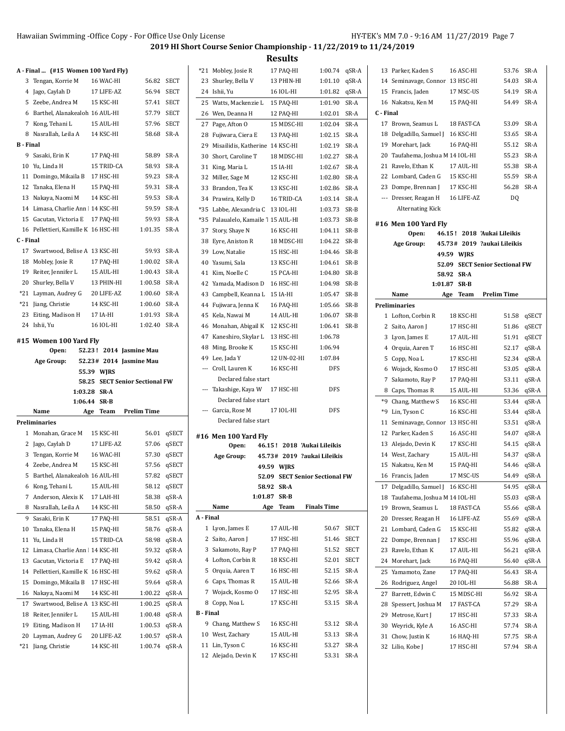|                | A - Final  (#15 Women 100 Yard Fly) |                            |                                |             |                  | *21 Mobley, Josie R                    | 17 PAQ-HI              | 1:00.74 qSR-A                  |            |
|----------------|-------------------------------------|----------------------------|--------------------------------|-------------|------------------|----------------------------------------|------------------------|--------------------------------|------------|
|                | 3 Tengan, Korrie M                  | 16 WAC-HI                  | 56.82 SECT                     |             |                  | 23 Shurley, Bella V                    | 13 PHIN-HI             | 1:01.10                        | qSR-A      |
|                | 4 Jago, Caylah D                    | 17 LIFE-AZ                 | 56.94 SECT                     |             |                  | 24 Ishii, Yu                           | 16 IOL-HI              | 1:01.82                        | qSR-A      |
|                | 5 Zeebe, Andrea M                   | 15 KSC-HI                  | 57.41 SECT                     |             |                  | 25 Watts, Mackenzie L                  | 15 PAQ-HI              | 1:01.90                        | SR-A       |
|                | 6 Barthel, Alanakealoh 16 AUL-HI    |                            | 57.79 SECT                     |             |                  | 26 Wen, Deanna H                       | 12 PAQ-HI              | 1:02.01 SR-A                   |            |
|                | 7 Kong, Tehani L                    | 15 AUL-HI                  | 57.96 SECT                     |             |                  | 27 Page, Afton O                       | 15 MDSC-HI             | 1:02.04                        | SR-A       |
|                | 8 Nasrallah, Leila A                | 14 KSC-HI                  | 58.68 SR-A                     |             |                  | 28 Fujiwara, Ciera E                   | 13 PAQ-HI              | 1:02.15 SR-A                   |            |
| <b>B</b> Final |                                     |                            |                                |             | 29               | Misailidis, Katherine 14 KSC-HI        |                        | 1:02.19 SR-A                   |            |
|                | 9 Sasaki, Erin K                    | 17 PAQ-HI                  | 58.89                          | SR-A        |                  | 30 Short, Caroline T                   | 18 MDSC-HI             | 1:02.27 SR-A                   |            |
|                | 10 Yu, Linda H                      | 15 TRID-CA                 | 58.93 SR-A                     |             |                  | 31 King, Maria L                       | 15 IA-HI               | 1:02.67 SR-A                   |            |
|                | 11 Domingo, Mikaila B               | 17 HSC-HI                  | 59.23 SR-A                     |             |                  | 32 Miller, Sage M                      | 12 KSC-HI              | 1:02.80 SR-A                   |            |
| 12             | Tanaka, Elena H                     | 15 PAQ-HI                  | 59.31 SR-A                     |             |                  | 33 Brandon, Tea K                      | 13 KSC-HI              | 1:02.86 SR-A                   |            |
|                | 13 Nakaya, Naomi M                  | 14 KSC-HI                  | 59.53 SR-A                     |             |                  | 34 Prawira, Kelly D                    | 16 TRID-CA             | 1:03.14 SR-A                   |            |
| 14             | Limasa, Charlie Ann   14 KSC-HI     |                            | 59.59 SR-A                     |             |                  | *35 Labbe, Alexandria C                | 13 IOL-HI              | 1:03.73 SR-B                   |            |
|                | 15 Gacutan, Victoria E              | 17 PAQ-HI                  | 59.93 SR-A                     |             |                  | *35 Palaualelo, Kamaile 1 15 AUL-HI    |                        | 1:03.73 SR-B                   |            |
|                | 16 Pellettieri, Kamille K 16 HSC-HI |                            | 1:01.35 SR-A                   |             |                  | 37 Story, Shaye N                      | 16 KSC-HI              | 1:04.11 SR-B                   |            |
| C - Final      |                                     |                            |                                |             | 38               | Eyre, Aniston R                        | 18 MDSC-HI             | 1:04.22 SR-B                   |            |
|                | 17 Swartwood, Belise A 13 KSC-HI    |                            | 59.93 SR-A                     |             |                  | 39 Low, Natalie                        | 15 HSC-HI              | 1:04.46 SR-B                   |            |
|                | 18 Mobley, Josie R                  | 17 PAQ-HI                  | 1:00.02 SR-A                   |             |                  | 40 Yasumi, Sala                        | 13 KSC-HI              | 1:04.61 SR-B                   |            |
|                | 19 Reiter, Jennifer L               | 15 AUL-HI                  | 1:00.43 SR-A                   |             |                  | 41 Kim, Noelle C                       | 15 PCA-HI              | 1:04.80 SR-B                   |            |
|                | 20 Shurley, Bella V                 | 13 PHIN-HI                 | 1:00.58 SR-A                   |             |                  | 42 Yamada, Madison D                   | 16 HSC-HI              | 1:04.98 SR-B                   |            |
|                | *21 Layman, Audrey G                | 20 LIFE-AZ                 | 1:00.60 SR-A                   |             | 43               | Campbell, Keanna L                     | 15 IA-HI               | 1:05.47 SR-B                   |            |
|                | *21 Jiang, Christie                 | 14 KSC-HI                  | 1:00.60 SR-A                   |             |                  | 44 Fujiwara, Jenna K                   | 16 PAQ-HI              | 1:05.66 SR-B                   |            |
|                | 23 Eiting, Madison H                | 17 IA-HI                   | 1:01.93 SR-A                   |             |                  | 45 Kela, Nawai M                       | 14 AUL-HI              | 1:06.07 SR-B                   |            |
|                | 24 Ishii, Yu                        | 16 IOL-HI                  | 1:02.40 SR-A                   |             | 46               | Monahan, Abigail K                     | 12 KSC-HI              | 1:06.41 SR-B                   |            |
|                |                                     |                            |                                |             |                  | 47 Kaneshiro, Skylar L                 | 13 HSC-HI              | 1:06.78                        |            |
|                | #15 Women 100 Yard Fly              |                            |                                |             | 48               | Ming, Brooke K                         | 15 KSC-HI              | 1:06.94                        |            |
|                | Open:                               |                            | 52.23! 2014 Jasmine Mau        |             | 49               | Lee, Jada Y                            | 12 UN-02-HI            |                                |            |
|                | <b>Age Group:</b>                   |                            | 52.23# 2014 Jasmine Mau        |             |                  | --- Croll, Lauren K                    | 16 KSC-HI              | 1:07.84<br>DFS                 |            |
|                |                                     | 55.39 WJRS                 |                                |             |                  | Declared false start                   |                        |                                |            |
|                |                                     |                            | 58.25 SECT Senior Sectional FW |             |                  | --- Takashige, Kaya W                  | 17 HSC-HI              | DFS                            |            |
|                |                                     | 1:03.28 SR-A               |                                |             |                  | Declared false start                   |                        |                                |            |
|                | Name                                | $1:06.44$ SR-B<br>Age Team | <b>Prelim Time</b>             |             |                  | --- Garcia, Rose M                     | 17 IOL-HI              | <b>DFS</b>                     |            |
|                | Preliminaries                       |                            |                                |             |                  | Declared false start                   |                        |                                |            |
|                | 1 Monahan, Grace M                  |                            |                                |             |                  |                                        |                        |                                |            |
|                |                                     | 15 KSC-HI                  |                                | 56.01 qSECT |                  | #16 Men 100 Yard Fly                   |                        |                                |            |
|                | 2 Jago, Caylah D                    | 17 LIFE-AZ                 |                                | 57.06 qSECT |                  | Open:                                  |                        | 46.15! 2018 'Aukai Lileikis    |            |
| 3              | Tengan, Korrie M                    | 16 WAC-HI                  | 57.30                          | qSECT       |                  | Age Group:                             |                        | 45.73# 2019 ?aukai Lileikis    |            |
|                | 4 Zeebe, Andrea M                   | 15 KSC-HI                  |                                | 57.56 qSECT |                  |                                        | 49.59 WJRS             |                                |            |
|                | 5 Barthel, Alanakealoh 16 AUL-HI    |                            |                                | 57.82 qSECT |                  |                                        |                        | 52.09 SECT Senior Sectional FW |            |
|                | 6 Kong, Tehani L                    | 15 AUL-HI                  |                                | 58.12 qSECT |                  |                                        | 58.92 SR-A             |                                |            |
|                |                                     |                            |                                |             |                  |                                        |                        |                                |            |
|                | 7 Anderson, Alexis K                | 17 LAH-HI                  | 58.38                          | qSR-A       |                  |                                        | 1:01.87 SR-B           |                                |            |
| 9              | 8 Nasrallah, Leila A                | 14 KSC-HI                  | 58.50                          | qSR-A       |                  | Name                                   | Age<br>Team            | <b>Finals Time</b>             |            |
| 10             | Sasaki, Erin K                      | 17 PAQ-HI                  | 58.51                          | qSR-A       | A - Final        |                                        |                        |                                |            |
|                | Tanaka, Elena H                     | 15 PAQ-HI                  | 58.76                          | qSR-A       |                  | 1 Lyon, James E                        | 17 AUL-HI              | 50.67 SECT                     |            |
| 11             | Yu, Linda H                         | 15 TRID-CA                 | 58.98                          | qSR-A       |                  | 2 Saito, Aaron J                       | 17 HSC-HI              | 51.46 SECT                     |            |
| 12             | Limasa, Charlie Ann   14 KSC-HI     |                            | 59.32                          | qSR-A       |                  | 3 Sakamoto, Ray P                      | 17 PAQ-HI              | 51.52 SECT                     |            |
| 13             | Gacutan, Victoria E                 | 17 PAQ-HI                  | 59.42                          | qSR-A       |                  | 4 Lofton, Corbin R                     | 18 KSC-HI              | 52.01 SECT                     |            |
| 14             | Pellettieri, Kamille K 16 HSC-HI    |                            | 59.62                          | qSR-A       | 5                | Orquia, Aaren T                        | 16 HSC-HI              | 52.15 SR-A                     |            |
| 15             | Domingo, Mikaila B                  | 17 HSC-HI                  | 59.64                          | qSR-A       | 6                | Caps, Thomas R                         | 15 AUL-HI              | 52.66 SR-A                     |            |
|                | 16 Nakaya, Naomi M                  | 14 KSC-HI                  | 1:00.22 qSR-A                  |             |                  | 7 Wojack, Kosmo O                      | 17 HSC-HI              | 52.95 SR-A                     |            |
| 17             | Swartwood, Belise A 13 KSC-HI       |                            | 1:00.25                        | qSR-A       |                  | 8 Copp, Noa L                          | 17 KSC-HI              | 53.15                          | SR-A       |
| 18             | Reiter, Jennifer L                  | 15 AUL-HI                  | 1:00.48 qSR-A                  |             | <b>B</b> - Final |                                        |                        |                                |            |
| 19             | Eiting, Madison H                   | 17 IA-HI                   | 1:00.53 qSR-A                  |             |                  | 9 Chang, Matthew S                     | 16 KSC-HI              | 53.12 SR-A                     |            |
|                | 20 Layman, Audrey G                 | 20 LIFE-AZ                 | 1:00.57 qSR-A                  |             | 10               | West, Zachary                          | 15 AUL-HI              | 53.13 SR-A                     |            |
|                | *21 Jiang, Christie                 | 14 KSC-HI                  | 1:00.74 qSR-A                  |             |                  | 11 Lin, Tyson C<br>12 Alejado, Devin K | 16 KSC-HI<br>17 KSC-HI | 53.27 SR-A                     | 53.31 SR-A |

|           | 13 Parker, Kaden S               | 16 ASC-HI   |                                 | 53.76 | SR-A  |
|-----------|----------------------------------|-------------|---------------------------------|-------|-------|
|           | 14 Seminavage, Connor 13 HSC-HI  |             |                                 | 54.03 | SR-A  |
|           | 15 Francis, Jaden                | 17 MSC-US   |                                 | 54.19 | SR-A  |
|           | 16 Nakatsu, Ken M                | 15 PAQ-HI   |                                 | 54.49 | SR-A  |
| C - Final |                                  |             |                                 |       |       |
| 17        | Brown, Seamus L                  | 18 FAST-CA  |                                 | 53.09 | SR-A  |
|           | 18 Delgadillo, Samuel J          | 16 KSC-HI   |                                 | 53.65 | SR-A  |
|           | 19 Morehart, Jack                | 16 PAQ-HI   |                                 | 55.12 | SR-A  |
|           | 20 Taufahema, Joshua M 14 IOL-HI |             |                                 | 55.23 | SR-A  |
|           | 21 Ravelo, Ethan K               | 17 AUL-HI   |                                 |       | SR-A  |
|           |                                  |             |                                 | 55.38 |       |
|           | 22 Lombard, Caden G              | 15 KSC-HI   |                                 | 55.59 | SR-A  |
|           | 23 Dompe, Brennan J              | 17 KSC-HI   |                                 | 56.28 | SR-A  |
| $\cdots$  | Dresser, Reagan H                | 16 LIFE-AZ  |                                 | DQ    |       |
|           | <b>Alternating Kick</b>          |             |                                 |       |       |
|           | #16 Men 100 Yard Fly             |             |                                 |       |       |
|           | 46.15 !<br>Open:                 |             | 2018 'Aukai Lileikis            |       |       |
|           | Age Group:                       |             | 45.73# 2019 ?aukai Lileikis     |       |       |
|           | 49.59                            | <b>WJRS</b> |                                 |       |       |
|           | 52.09                            |             | <b>SECT Senior Sectional FW</b> |       |       |
|           | 58.92                            | SR-A        |                                 |       |       |
|           | 1:01.87                          | SR-B        |                                 |       |       |
|           | Name<br>Age                      | Team        | <b>Prelim Time</b>              |       |       |
|           | Preliminaries                    |             |                                 |       |       |
|           | 1 Lofton, Corbin R               | 18 KSC-HI   |                                 | 51.58 | qSECT |
|           | 2 Saito, Aaron J                 | 17 HSC-HI   |                                 | 51.86 | qSECT |
|           | 3 Lyon, James E                  | 17 AUL-HI   |                                 | 51.91 | qSECT |
|           | 4 Orquia, Aaren T                | 16 HSC-HI   |                                 | 52.17 | qSR-A |
| 5         | Copp, Noa L                      | 17 KSC-HI   |                                 | 52.34 | qSR-A |
|           | 6 Wojack, Kosmo O                | 17 HSC-HI   |                                 | 53.05 | qSR-A |
| 7         | Sakamoto, Ray P                  | 17 PAQ-HI   |                                 | 53.11 | qSR-A |
|           | 8 Caps, Thomas R                 | 15 AUL-HI   |                                 | 53.36 | qSR-A |
| *9        | Chang, Matthew S                 | 16 KSC-HI   |                                 | 53.44 | qSR-A |
|           | *9 Lin, Tyson C                  | 16 KSC-HI   |                                 | 53.44 | qSR-A |
| 11        | Seminavage, Connor               | 13 HSC-HI   |                                 | 53.51 | qSR-A |
|           | 12 Parker, Kaden S               | 16 ASC-HI   |                                 | 54.07 | qSR-A |
|           | 13 Alejado, Devin K              | 17 KSC-HI   |                                 | 54.15 | qSR-A |
|           | 14 West, Zachary                 | 15 AUL-HI   |                                 | 54.37 | qSR-A |
|           | 15 Nakatsu, Ken M                | 15 PAQ-HI   |                                 | 54.46 | qSR-A |
| 16        | Francis, Jaden                   | 17 MSC-US   |                                 | 54.49 | qSR-A |
| 17        | Delgadillo, Samuel J             | 16 KSC-HI   |                                 | 54.95 | qSR-A |
| 18        | Taufahema, Joshua M 14 IOL-HI    |             |                                 | 55.03 | qSR-A |
| 19        | Brown, Seamus L                  | 18 FAST-CA  |                                 | 55.66 | qSR-A |
| 20        |                                  | 16 LIFE-AZ  |                                 |       |       |
|           | Dresser, Reagan H                |             |                                 | 55.69 | qSR-A |
| 21        | Lombard, Caden G                 | 15 KSC-HI   |                                 | 55.82 | qSR-A |
| 22        | Dompe, Brennan J                 | 17 KSC-HI   |                                 | 55.96 | qSR-A |
| 23        | Ravelo, Ethan K                  | 17 AUL-HI   |                                 | 56.21 | qSR-A |
| 24        | Morehart, Jack                   | 16 PAQ-HI   |                                 | 56.40 | qSR-A |
| 25        | Yamamoto, Zane                   | 17 PAQ-HI   |                                 | 56.43 | SR-A  |
| 26        | Rodriguez, Angel                 | 20 IOL-HI   |                                 | 56.88 | SR-A  |
| 27        | Barrett, Edwin C                 | 15 MDSC-HI  |                                 | 56.92 | SR-A  |
| 28        | Spessert, Joshua M               | 17 FAST-CA  |                                 | 57.29 | SR-A  |
| 29        | Metrose, Kurt J                  | 17 HSC-HI   |                                 | 57.33 | SR-A  |
|           | 30 Weyrick, Kyle A               | 16 ASC-HI   |                                 | 57.74 | SR-A  |
| 31        | Chow, Justin K                   | 16 HAQ-HI   |                                 | 57.75 | SR-A  |
| 32        | Lilio, Kobe J                    | 17 HSC-HI   |                                 | 57.94 | SR-A  |
|           |                                  |             |                                 |       |       |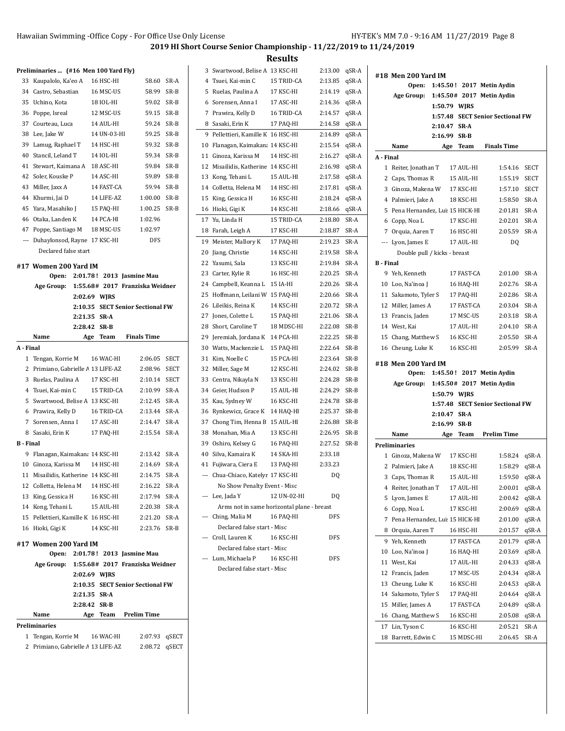# **2019 HI Short Course Senior Championship - 11/22/2019 to 11/24/2019**

|                  | Preliminaries  (#16 Men 100 Yard Fly)                  |             |                          |                                  |                  |
|------------------|--------------------------------------------------------|-------------|--------------------------|----------------------------------|------------------|
| 33               | Kaupalolo, Ka'eo A                                     |             | 16 HSC-HI                | 58.60                            | SR-A             |
|                  | 34 Castro, Sebastian                                   |             | 16 MSC-US                | 58.99                            | $SR-B$           |
| 35               | Uchino, Kota                                           |             | 18 IOL-HI                | 59.02                            | $SR-B$           |
| 36               | Poppe, Isreal                                          |             | 12 MSC-US                | 59.15                            | $SR-B$           |
|                  | 37 Courteau, Luca                                      |             | 14 AUL-HI                | 59.24                            | $SR-B$           |
| 38               | Lee, Jake W                                            |             | 14 UN-03-HI<br>14 HSC-HI | 59.25                            | $SR-B$           |
| 39<br>40         | Lamug, Raphael T<br>Stancil, Leland T                  |             | 14 IOL-HI                | 59.32<br>59.34                   | $SR-B$<br>$SR-B$ |
| 41               | Stewart, Kaimana A                                     |             | 18 ASC-HI                | 59.84                            | $SR-B$           |
| 42               | Soler. Kouske P                                        |             | 14 ASC-HI                | 59.89                            | $SR-B$           |
| 43               | Miller, Jaxx A                                         |             | 14 FAST-CA               | 59.94                            | $SR-B$           |
| 44               | Khurmi, Jai D                                          |             | 14 LIFE-AZ               | 1:00.00                          | $SR-B$           |
| 45               | Yara, Masahiko J                                       |             | 15 PAQ-HI                | 1:00.25                          | $SR-B$           |
| 46               | Otaka, Landen K                                        |             | 14 PCA-HI                | 1:02.96                          |                  |
| 47               | Poppe, Santiago M                                      |             | 18 MSC-US                | 1:02.97                          |                  |
| ---              | Duhaylonsod, Rayne 17 KSC-HI                           |             |                          | <b>DFS</b>                       |                  |
|                  | Declared false start                                   |             |                          |                                  |                  |
|                  |                                                        |             |                          |                                  |                  |
|                  | #17 Women 200 Yard IM<br>Open:                         | $2:01.78$ ! |                          | 2013 Jasmine Mau                 |                  |
|                  | Age Group:                                             |             |                          | 1:55.68# 2017 Franziska Weidner  |                  |
|                  |                                                        | 2:02.69     | <b>WIRS</b>              |                                  |                  |
|                  |                                                        | 2:10.35     |                          | <b>SECT Senior Sectional FW</b>  |                  |
|                  |                                                        | 2:21.35     | SR-A                     |                                  |                  |
|                  |                                                        | 2:28.42     | SR-B                     |                                  |                  |
|                  | Name                                                   | Age         | Team                     | <b>Finals Time</b>               |                  |
| A - Final        |                                                        |             |                          |                                  |                  |
| 1                | Tengan, Korrie M                                       |             | 16 WAC-HI                | 2:06.05                          | SECT             |
|                  |                                                        |             |                          |                                  |                  |
| 2                | Primiano, Gabrielle / 13 LIFE-AZ                       |             |                          | 2:08.96                          | SECT             |
| 3                | Ruelas, Paulina A                                      |             | 17 KSC-HI                | 2:10.14                          | <b>SECT</b>      |
| 4                | Tsuei, Kai-min C                                       |             | 15 TRID-CA               | 2:10.99                          | SR-A             |
| 5                | Swartwood, Belise A 13 KSC-HI                          |             |                          | 2:12.45                          | SR-A             |
|                  | 6 Prawira, Kelly D                                     |             | 16 TRID-CA               | 2:13.44                          | SR-A             |
| 7                | Sorensen, Anna I                                       |             | 17 ASC-HI                | 2:14.47                          | SR-A             |
| 8                | Sasaki, Erin K                                         |             | 17 PAQ-HI                | 2:15.54                          | SR-A             |
| <b>B</b> - Final |                                                        |             |                          |                                  |                  |
| 9                | Flanagan, Kaimakana 14 KSC-HI                          |             |                          | 2:13.42                          | SR-A             |
|                  | 10 Ginoza, Karissa M                                   |             | 14 HSC-HI                | 2:14.69                          | SR-A             |
|                  | 11 Misailidis, Katherine 14 KSC-HI                     |             |                          | 2:14.75                          | SR-A             |
| 12               | Colletta, Helena M                                     |             | 14 HSC-HI                | 2:16.22                          | SR-A             |
|                  | 13 King, Gessica H                                     |             | 16 KSC-HI                | 2:17.94                          | SR-A             |
|                  | 14 Kong, Tehani L                                      |             | 15 AUL-HI                | 2:20.38                          | SR-A             |
|                  | 15 Pellettieri, Kamille K 16 HSC-HI                    |             |                          | 2:21.20                          | SR-A             |
|                  | 16 Hioki, Gigi K                                       |             | 14 KSC-HI                | 2:23.76                          | SR-B             |
|                  | #17 Women 200 Yard IM                                  |             |                          |                                  |                  |
|                  | Open:                                                  |             |                          | 2:01.78! 2013 Jasmine Mau        |                  |
|                  | Age Group:                                             |             |                          | 1:55.68# 2017 Franziska Weidner  |                  |
|                  |                                                        |             | 2:02.69 WJRS             |                                  |                  |
|                  |                                                        |             |                          | 2:10.35 SECT Senior Sectional FW |                  |
|                  |                                                        |             | 2:21.35 SR-A             |                                  |                  |
|                  |                                                        |             | 2:28.42 SR-B             |                                  |                  |
|                  | Name                                                   |             | Age Team                 | <b>Prelim Time</b>               |                  |
|                  | Preliminaries                                          |             |                          |                                  |                  |
| 2                | 1 Tengan, Korrie M<br>Primiano, Gabrielle A 13 LIFE-AZ |             | 16 WAC-HI                | 2:07.93<br>2:08.72               | qSECT<br>qSECT   |

|                          |                                            | <b>Results</b> |         |        |
|--------------------------|--------------------------------------------|----------------|---------|--------|
| 3                        | Swartwood, Belise A 13 KSC-HI              |                | 2:13.00 | qSR-A  |
| $\overline{4}$           | Tsuei, Kai-min C                           | 15 TRID-CA     | 2:13.85 | aSR-A  |
| 5                        | Ruelas, Paulina A                          | 17 KSC-HI      | 2:14.19 | qSR-A  |
| 6                        | Sorensen, Anna I                           | 17 ASC-HI      | 2:14.36 | qSR-A  |
| 7                        | Prawira, Kelly D                           | 16 TRID-CA     | 2:14.57 | qSR-A  |
| 8                        | Sasaki, Erin K                             | 17 PAQ-HI      | 2:14.58 | qSR-A  |
| 9                        | Pellettieri, Kamille K                     | 16 HSC-HI      | 2:14.89 | qSR-A  |
| 10                       | Flanagan, Kaimakana 14 KSC-HI              |                | 2:15.54 | qSR-A  |
| 11                       | Ginoza, Karissa M                          | 14 HSC-HI      | 2:16.27 | aSR-A  |
| 12                       | Misailidis, Katherine                      | 14 KSC-HI      | 2:16.98 | qSR-A  |
| 13                       | Kong, Tehani L                             | 15 AUL-HI      | 2:17.58 | qSR-A  |
| 14                       | Colletta. Helena M                         | 14 HSC-HI      | 2:17.81 | qSR-A  |
| 15                       | King, Gessica H                            | 16 KSC-HI      | 2:18.24 | qSR-A  |
| 16                       | Hioki, Gigi K                              | 14 KSC-HI      | 2:18.66 | qSR-A  |
| 17                       | Yu, Linda H                                | 15 TRID-CA     | 2:18.80 | SR-A   |
| 18                       | Farah, Leigh A                             | 17 KSC-HI      | 2:18.87 | SR-A   |
| 19                       |                                            | 17 PAO-HI      | 2:19.23 | SR-A   |
| 20                       | Meister, Mallory K                         |                |         |        |
|                          | Jiang, Christie                            | 14 KSC-HI      | 2:19.58 | SR-A   |
| 22                       | Yasumi, Sala                               | 13 KSC-HI      | 2:19.84 | SR-A   |
| 23                       | Carter, Kylie R                            | 16 HSC-HI      | 2:20.25 | SR-A   |
| 24                       | Campbell, Keanna L                         | 15 IA-HI       | 2:20.26 | SR-A   |
| 25                       | Hoffmann, Leilani W                        | 15 PAQ-HI      | 2:20.66 | SR-A   |
| 26                       | Lileikis, Reina K                          | 14 KSC-HI      | 2:20.72 | SR-A   |
| 27                       | Jones, Colette L                           | 15 PAQ-HI      | 2:21.06 | SR-A   |
| 28                       | Short, Caroline T                          | 18 MDSC-HI     | 2:22.08 | SR-B   |
| 29                       | Jeremiah, Jordana K                        | 14 PCA-HI      | 2:22.25 | SR-B   |
| 30                       | Watts, Mackenzie L                         | 15 PAQ-HI      | 2:22.64 | SR-B   |
| 31                       | Kim, Noelle C                              | 15 PCA-HI      | 2:23.64 | $SR-B$ |
| 32                       | Miller, Sage M                             | 12 KSC-HI      | 2:24.02 | SR-B   |
| 33                       | Centra, Nikayla N                          | 13 KSC-HI      | 2:24.28 | SR-B   |
| 34                       | Geier, Hudson P                            | 15 AUL-HI      | 2:24.29 | SR-B   |
| 35                       | Kau, Sydney W                              | 16 KSC-HI      | 2:24.78 | SR-B   |
| 36                       | Rynkewicz, Grace K                         | 14 HAQ-HI      | 2:25.37 | SR-B   |
| 37                       | Chong Tim, Henna B                         | 15 AUL-HI      | 2:26.88 | SR-B   |
| 38                       | Monahan, Mia A                             | 13 KSC-HI      | 2:26.95 | SR-B   |
| 39                       | Oshiro, Kelsey G                           | 16 PAQ-HI      | 2:27.52 | SR-B   |
| 40                       | Silva, Kamaira K                           | 14 SKA-HI      | 2:33.18 |        |
| 41                       | Fujiwara, Ciera E                          | 13 PAQ-HI      | 2:33.23 |        |
|                          | --- Chua-Chiaco, Katelyn 17 KSC-HI         |                | DO      |        |
|                          | No Show Penalty Event - Misc               |                |         |        |
| $\overline{\phantom{a}}$ | Lee, Jada Y                                | 12 UN-02-HI    | DQ      |        |
|                          | Arms not in same horizontal plane - breast |                |         |        |
|                          | --- Ching, Malia M                         | 16 PAQ-HI      | DFS     |        |
|                          | Declared false start - Misc                |                |         |        |
|                          | --- Croll, Lauren K                        | 16 KSC-HI      | DFS     |        |
|                          | Declared false start - Misc                |                |         |        |
|                          | --- Lum, Michaela P                        | 16 KSC-HI      | DFS     |        |
|                          | Declared false start - Misc                |                |         |        |
|                          |                                            |                |         |        |

|                  | #18 Men 200 Yard IM              |              |                         |                                  |              |
|------------------|----------------------------------|--------------|-------------------------|----------------------------------|--------------|
|                  | Open:                            |              |                         | 1:45.50! 2017 Metin Aydin        |              |
|                  | Age Group:                       |              |                         | 1:45.50# 2017 Metin Aydin        |              |
|                  |                                  |              | 1:50.79 WJRS            |                                  |              |
|                  |                                  | 1:57.48      |                         | <b>SECT Senior Sectional FW</b>  |              |
|                  |                                  | 2:10.47      | SR A                    |                                  |              |
|                  |                                  | 2:16.99      | SR-B                    |                                  |              |
|                  | Name                             |              | Age Team                | <b>Finals Time</b>               |              |
| A - Final        |                                  |              |                         |                                  |              |
| 1                | Reiter, Jonathan T               |              | 17 AUL-HI               | 1:54.16                          | <b>SECT</b>  |
|                  | 2 Caps, Thomas R                 |              | 15 AUL-HI               | 1:55.19                          | <b>SECT</b>  |
|                  | 3 Ginoza, Makena W               |              | 17 KSC-HI               | 1:57.10                          | <b>SECT</b>  |
|                  | 4 Palmieri, Jake A               |              | 18 KSC-HI               | 1:58.50                          | SR-A         |
| 5                | Pena Hernandez, Lui 15 HICK-HI   |              |                         | 2:01.81                          | SR-A         |
|                  | 6 Copp, Noa L                    |              | 17 KSC-HI               | 2:02.01                          | SR-A         |
|                  | 7 Orquia, Aaren T                |              | 16 HSC-HI               | 2:05.59                          | SR-A         |
|                  | --- Lyon, James E                |              | 17 AUL-HI               | DQ                               |              |
|                  | Double pull / kicks - breast     |              |                         |                                  |              |
| <b>B</b> - Final |                                  |              |                         |                                  |              |
|                  | 9 Yeh, Kenneth                   |              | 17 FAST-CA              | 2:01.00                          | SR-A         |
|                  | 10 Loo, Na'inoa J                |              | 16 HAQ-HI               | 2:02.76                          | SR-A         |
|                  | 11 Sakamoto, Tyler S             |              | 17 PAQ-HI               | 2:02.86                          | SR-A         |
|                  | 12 Miller, James A               |              | 17 FAST-CA              | 2:03.04                          | SR-A         |
|                  | 13 Francis, Jaden                |              | 17 MSC-US               | 2:03.18                          | SR-A         |
|                  | 14 West, Kai                     |              | 17 AUL-HI               | 2:04.10                          | SR-A         |
|                  | 15 Chang, Matthew S              |              | 16 KSC-HI               | 2:05.50                          | SR-A         |
|                  | 16 Cheung, Luke K                |              | 16 KSC-HI               | 2:05.99                          | SR-A         |
|                  |                                  |              |                         |                                  |              |
|                  | #18 Men 200 Yard IM              |              |                         |                                  |              |
|                  |                                  |              |                         | Open: 1:45.50! 2017 Metin Aydin  |              |
|                  | Age Group:                       |              |                         | 1:45.50# 2017 Metin Aydin        |              |
|                  |                                  |              | 1:50.79 WJRS            |                                  |              |
|                  |                                  |              |                         | 1:57.48 SECT Senior Sectional FW |              |
|                  |                                  | 2:10.47      | SR A                    |                                  |              |
|                  |                                  | 2:16.99 SR-B |                         |                                  |              |
|                  | Name                             |              | Age Team                | <b>Prelim Time</b>               |              |
|                  | <b>Preliminaries</b>             |              |                         |                                  |              |
|                  | 1 Ginoza, Makena W               |              | 17 KSC-HI<br>18 KSC-HI  | 1:58.24<br>1:58.29               | qSR-A        |
|                  | 2 Palmieri, Jake A               |              |                         |                                  | qSR-A        |
|                  | 3 Caps, Thomas R                 |              | 15 AUL-HI               | 1:59.50 qSR-A                    |              |
| 4                | Reiter, Jonathan T               |              | 17 AUL-HI               | 2:00.01                          | qSR-A        |
| 5                | Lyon, James E                    |              | 17 AUL-HI               | 2:00.42                          | qSR-A        |
| 6                | Copp, Noa L                      |              | 17 KSC-HI               | 2:00.69                          | qSR-A        |
| 7                | Pena Hernandez, Lui 15 HICK-HI   |              |                         | 2:01.00                          | qSR-A        |
| 8                | Orquia, Aaren T                  |              | 16 HSC-HI               | 2:01.57                          | qSR-A        |
| 9                | Yeh, Kenneth                     |              | 17 FAST-CA              | 2:01.79                          | qSR-A        |
| 10               | Loo, Na'inoa J                   |              | 16 HAQ-HI               | 2:03.69                          | qSR-A        |
| 11               | West, Kai                        |              | 17 AUL-HI               | 2:04.33                          | qSR-A        |
| 12               | Francis, Jaden                   |              | 17 MSC-US               | 2:04.34                          | qSR-A        |
| 13               | Cheung, Luke K                   |              | 16 KSC-HI               | 2:04.53                          | qSR-A        |
| 14               | Sakamoto, Tyler S                |              | 17 PAQ-HI               | 2:04.64                          | qSR-A        |
| 15               | Miller, James A                  |              | 17 FAST-CA              | 2:04.89                          | qSR-A        |
| 16               | Chang, Matthew S                 |              | 16 KSC-HI               | 2:05.08                          | qSR-A        |
| 17<br>18         | Lin, Tyson C<br>Barrett, Edwin C |              | 16 KSC-HI<br>15 MDSC-HI | 2:05.21<br>2:06.45               | SR-A<br>SR-A |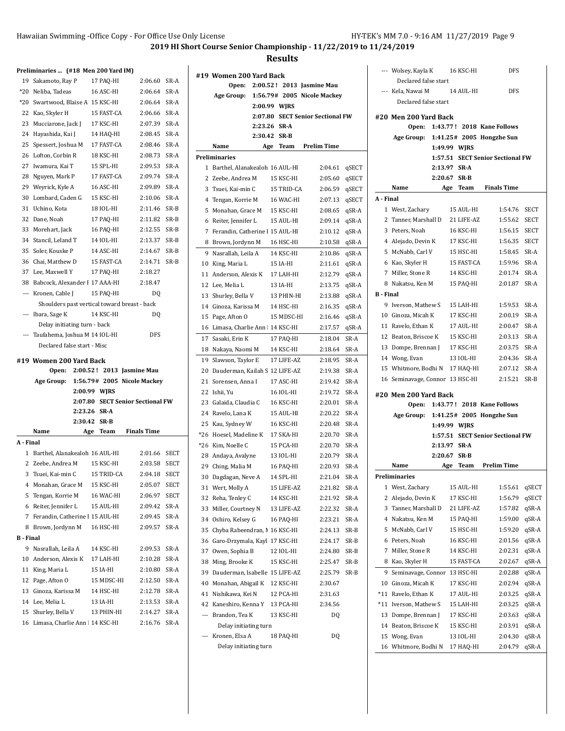**2019 HI Short Course Senior Championship - 11/22/2019 to 11/24/2019**

## **Results**

### **Preliminaries ... (#18 Men 200 Yard IM)**

|                          | Preliminaries  (#18 Men 200 Yard IM)         |            |                                  |             |
|--------------------------|----------------------------------------------|------------|----------------------------------|-------------|
| 19                       | Sakamoto, Ray P                              | 17 PAQ-HI  | 2:06.60                          | SR-A        |
| $*20$                    | Neliba, Tadeas                               | 16 ASC-HI  | 2:06.64                          | SR-A        |
| *20                      | Swartwood, Blaise A 15 KSC-HI                |            | 2:06.64                          | SR-A        |
| 22                       | Kao, Skyler H                                | 15 FAST-CA | 2:06.66                          | SR-A        |
| 23                       | Mucciarone, Jack J                           | 17 KSC-HI  | 2:07.39                          | SR-A        |
| 24                       | Hayashida, Kai J                             | 14 HAQ-HI  | 2:08.45                          | SR-A        |
| 25                       | Spessert, Joshua M                           | 17 FAST-CA | 2:08.46                          | SR-A        |
| 26                       | Lofton, Corbin R                             | 18 KSC-HI  | 2:08.73                          | SR-A        |
| 27                       | Iwamura, Kai T                               | 15 SPL-HI  | 2:09.53                          | SR-A        |
| 28                       | Nguyen, Mark P                               | 17 FAST-CA | 2:09.74                          | SR-A        |
| 29                       | Weyrick, Kyle A                              | 16 ASC-HI  | 2:09.89                          | SR-A        |
| 30                       | Lombard, Caden G                             | 15 KSC-HI  | 2:10.06                          | SR-A        |
| 31                       | Uchino, Kota                                 | 18 IOL-HI  | 2:11.46                          | SR-B        |
| 32                       | Dane, Noah                                   | 17 PAQ-HI  | 2:11.82                          | SR-B        |
| 33                       | Morehart, Jack                               | 16 PAQ-HI  | 2:12.55                          | SR-B        |
| 34                       | Stancil, Leland T                            | 14 IOL-HI  | 2:13.37                          | SR-B        |
| 35                       | Soler, Kouske P                              | 14 ASC-HI  | 2:14.67                          | $SR-B$      |
| 36                       | Chai, Matthew D                              | 15 FAST-CA | 2:14.71                          | $SR-B$      |
|                          | 37 Lee, Maxwell Y                            | 17 PAQ-HI  | 2:18.27                          |             |
| 38                       | Babcock, Alexander I 17 AAA-HI               |            | 2:18.47                          |             |
| $\overline{\phantom{a}}$ | Kronen, Cable J                              | 15 PAQ-HI  | D <sub>0</sub>                   |             |
|                          | Shoulders past vertical toward breast - back |            |                                  |             |
| ---                      | Ibara, Sage K                                | 14 KSC-HI  | DQ                               |             |
|                          | Delay initiating turn - back                 |            |                                  |             |
| ---                      | Taufahema, Joshua M 14 IOL-HI                |            | DFS                              |             |
|                          |                                              |            |                                  |             |
|                          | Declared false start - Misc                  |            |                                  |             |
|                          | #19 Women 200 Yard Back                      |            |                                  |             |
|                          | 2:00.52 !<br>Open:                           |            | 2013 Jasmine Mau                 |             |
|                          | Age Group: 1:56.79#                          |            | 2005 Nicole Mackey               |             |
|                          | 2:00.99 WJRS                                 |            |                                  |             |
|                          |                                              |            | 2:07.80 SECT Senior Sectional FW |             |
|                          | 2:23.26                                      | SR-A       |                                  |             |
|                          | 2:30.42                                      | SR-B       |                                  |             |
|                          | Name<br>Age                                  | Team       | <b>Finals Time</b>               |             |
| A - Final                |                                              |            |                                  |             |
| $\mathbf{1}$             | Barthel, Alanakealoh 16 AUL-HI               |            | 2:01.66                          | SECT        |
| 2                        | Zeebe, Andrea M                              | 15 KSC-HI  | 2:03.58                          | SECT        |
| 3                        | Tsuei, Kai-min C                             | 15 TRID-CA | 2:04.18                          | <b>SECT</b> |
|                          | 4 Monahan, Grace M                           | 15 KSC-HI  | 2:05.07                          | SECT        |
| 5                        | Tengan, Korrie M                             | 16 WAC-HI  | 2:06.97                          | SECT        |
|                          | 6 Reiter, Jennifer L                         | 15 AUL-HI  | 2:09.42                          | SR-A        |
|                          | 7 Ferandin, Catherine 1 15 AUL-HI            |            | 2:09.45                          | SR-A        |
| 8                        | Brown, Jordynn M                             | 16 HSC-HI  | 2:09.57                          | SR-A        |
| B - Final                |                                              |            |                                  |             |
| 9                        | Nasrallah, Leila A                           | 14 KSC-HI  | 2:09.53                          | SR-A        |
| 10                       | Anderson, Alexis K                           | 17 LAH-HI  | 2:10.28                          | SR-A        |
| 11                       | King, Maria L                                | 15 IA-HI   | 2:10.80                          | SR-A        |
| 12                       | Page, Afton O                                | 15 MDSC-HI | 2:12.50                          | SR-A        |
| 13                       | Ginoza, Karissa M                            | 14 HSC-HI  | 2:12.78                          | SR-A        |
| 14                       | Lee, Melia L                                 | 13 IA-HI   | 2:13.53                          | SR-A        |
| 15                       | Shurley, Bella V                             | 13 PHIN-HI | 2:14.27                          | SR-A        |

|       | #19 Women 200 Yard Back<br>Open: |     |              | 2:00.52! 2013 Jasmine Mau       |       |
|-------|----------------------------------|-----|--------------|---------------------------------|-------|
|       | Age Group:                       |     |              | 1:56.79# 2005 Nicole Mackey     |       |
|       | 2:00.99                          |     | <b>WIRS</b>  |                                 |       |
|       | 2:07.80                          |     |              | <b>SECT Senior Sectional FW</b> |       |
|       |                                  |     | SR-A         |                                 |       |
|       | 2:23.26<br>2:30.42               |     |              |                                 |       |
|       | Name                             |     | SR-B<br>Team | <b>Prelim Time</b>              |       |
|       | <b>Preliminaries</b>             | Age |              |                                 |       |
| 1     | Barthel, Alanakealoh 16 AUL-HI   |     |              |                                 |       |
|       |                                  |     |              | 2:04.61                         | qSECT |
| 2     | Zeebe, Andrea M                  |     | 15 KSC-HI    | 2:05.60                         | qSECT |
| 3     | Tsuei, Kai-min C                 |     | 15 TRID-CA   | 2:06.59                         | qSECT |
| 4     | Tengan, Korrie M                 |     | 16 WAC-HI    | 2:07.13                         | qSECT |
| 5     | Monahan, Grace M                 |     | 15 KSC-HI    | 2:08.65                         | qSR-A |
| 6     | Reiter, Jennifer L               |     | 15 AUL-HI    | 2:09.14                         | qSR-A |
| 7     | Ferandin, Catherine I 15 AUL-HI  |     |              | 2:10.12                         | qSR-A |
| 8     | Brown, Jordynn M                 |     | 16 HSC-HI    | 2:10.58                         | qSR-A |
| 9     | Nasrallah, Leila A               |     | 14 KSC-HI    | 2:10.86                         | qSR-A |
| 10    | King, Maria L                    |     | 15 IA-HI     | 2:11.61                         | qSR-A |
| 11    | Anderson, Alexis K               |     | 17 LAH-HI    | 2:12.79                         | qSR-A |
| 12    | Lee, Melia L                     |     | 13 IA-HI     | 2:13.75                         | qSR-A |
| 13    | Shurley, Bella V                 |     | 13 PHIN-HI   | 2:13.88                         | qSR-A |
| 14    | Ginoza, Karissa M                |     | 14 HSC-HI    | 2:16.35                         | qSR-A |
| 15    | Page, Afton O                    |     | 15 MDSC-HI   | 2:16.46                         | qSR-A |
| 16    | Limasa, Charlie Ann   14 KSC-HI  |     |              | 2:17.57                         | qSR-A |
| 17    | Sasaki, Erin K                   |     | 17 PAQ-HI    | 2:18.04                         | SR-A  |
| 18    | Nakaya, Naomi M                  |     | 14 KSC-HI    | 2:18.64                         | SR-A  |
| 19    | Slawson, Taylor E                |     | 17 LIFE-AZ   | 2:18.95                         | SR-A  |
| 20    | Dauderman, Kailah S 12 LIFE-AZ   |     |              | 2:19.38                         | SR-A  |
| 21    | Sorensen, Anna I                 |     | 17 ASC-HI    | 2:19.42                         | SR-A  |
| 22    | Ishii, Yu                        |     | 16 IOL-HI    | 2:19.72                         | SR-A  |
| 23    | Galaida, Claudia C               |     | 16 KSC-HI    | 2:20.01                         | SR-A  |
| 24    | Ravelo, Lana K                   |     | 15 AUL-HI    | 2:20.22                         | SR-A  |
| 25    | Kau, Sydney W                    |     | 16 KSC-HI    | 2:20.48                         | SR-A  |
| $*26$ | Hoesel, Madeline K               |     | 17 SKA-HI    | 2:20.70                         | SR-A  |
| *26   | Kim, Noelle C                    |     | 15 PCA-HI    | 2:20.70                         | SR-A  |
| 28    | Andaya, Avalyne                  |     | 13 IOL-HI    | 2:20.79                         | SR-A  |
| 29    | Ching, Malia M                   |     | 16 PAQ-HI    | 2:20.93                         | SR-A  |
| 30    | Dagdagan, Neve A                 |     | 14 SPL-HI    | 2:21.04                         | SR-A  |
| 31    | Wert, Molly A                    |     | 15 LIFE-AZ   | 2:21.82                         | SR-A  |
| 32    | Reha, Tenley C                   |     | 14 KSC-HI    | 2:21.92                         | SR-A  |
| 33    | Miller, Courtney N               |     | 13 LIFE-AZ   | 2:22.32                         | SR-A  |
| 34    | Oshiro, Kelsey G                 |     | 16 PAQ-HI    | 2:23.21                         | SR-A  |
|       | Chyba Rabeendran, M 16 KSC-HI    |     |              |                                 |       |
| 35    |                                  |     |              | 2:24.13                         | SR-B  |
| 36    | Garo-Drzymala, Kayl: 17 KSC-HI   |     |              | 2:24.17                         | SR-B  |
| 37    | Owen, Sophia B                   |     | 12 IOL-HI    | 2:24.80                         | SR-B  |
| 38    | Ming, Brooke K                   |     | 15 KSC-HI    | 2:25.47                         | SR-B  |
| 39    | Dauderman, Isabelle 15 LIFE-AZ   |     |              | 2:25.79                         | SR-B  |
| 40    | Monahan, Abigail K               |     | 12 KSC-HI    | 2:30.67                         |       |
| 41    | Nishikawa, Kei N                 |     | 12 PCA-HI    | 2:31.63                         |       |
| 42    | Kaneshiro, Kenna Y               |     | 13 PCA-HI    | 2:34.56                         |       |
| ---   | Brandon, Tea K                   |     | 13 KSC-HI    | DQ                              |       |
|       | Delay initiating turn            |     |              |                                 |       |
| $---$ | Kronen, Elsa A                   |     | 18 PAQ-HI    | DQ                              |       |
|       | Delay initiating turn            |     |              |                                 |       |

|                  | --- Wolsey, Kayla K             |              | 16 KSC-HI  | DFS                              |              |
|------------------|---------------------------------|--------------|------------|----------------------------------|--------------|
|                  | Declared false start            |              |            |                                  |              |
|                  | --- Kela, Nawai M               |              | 14 AUL-HI  | <b>DFS</b>                       |              |
|                  | Declared false start            |              |            |                                  |              |
|                  |                                 |              |            |                                  |              |
|                  | #20  Men 200 Yard Back<br>Open: |              |            | 1:43.77! 2018 Kane Follows       |              |
|                  | Age Group:                      |              |            | 1:41.25# 2005 Hongzhe Sun        |              |
|                  |                                 | 1:49.99 WJRS |            |                                  |              |
|                  |                                 |              |            | 1:57.51 SECT Senior Sectional FW |              |
|                  |                                 | 2:13.97 SRA  |            |                                  |              |
|                  |                                 | 2:20.67 SR-B |            |                                  |              |
|                  | Name                            | Age          | Team       | <b>Finals Time</b>               |              |
| A - Final        |                                 |              |            |                                  |              |
|                  | 1 West, Zachary                 |              | 15 AUL-HI  | 1:54.76                          | <b>SECT</b>  |
|                  | 2 Tanner, Marshall D            |              | 21 LIFE-AZ | 1:55.62                          | <b>SECT</b>  |
|                  | 3 Peters, Noah                  |              | 16 KSC-HI  | 1:56.15                          | <b>SECT</b>  |
|                  | 4 Alejado, Devin K              |              | 17 KSC-HI  | 1:56.35                          | <b>SECT</b>  |
|                  | 5 McNabb, Carl V                |              | 15 HSC-HI  | 1:58.45                          | SR-A         |
|                  |                                 |              |            |                                  |              |
|                  | 6 Kao, Skyler H                 |              | 15 FAST-CA | 1:59.96<br>2:01.74               | SR-A<br>SR-A |
|                  | 7 Miller, Stone R               |              | 14 KSC-HI  |                                  |              |
|                  | 8   Nakatsu, Ken M              |              | 15 PAQ-HI  | 2:01.87                          | SR-A         |
| <b>B</b> - Final |                                 |              |            |                                  |              |
|                  | 9 Iverson, Mathew S             |              | 15 LAH-HI  | 1:59.53                          | SR-A         |
|                  | 10 Ginoza, Micah K              |              | 17 KSC-HI  | 2:00.19                          | SR-A         |
|                  | 11 Ravelo, Ethan K              |              | 17 AUL-HI  | 2:00.47                          | SR-A         |
|                  | 12 Beaton, Briscoe K            |              | 15 KSC-HI  | 2:03.13                          | SR-A         |
|                  | 13 Dompe, Brennan J             |              | 17 KSC-HI  | 2:03.75                          | SR-A         |
|                  | 14 Wong, Evan                   |              | 13 IOL-HI  | 2:04.36                          | SR-A         |
|                  | 15 Whitmore, Bodhi N            |              | 17 HAQ-HI  | 2:07.12                          | SR-A         |
|                  |                                 |              |            |                                  |              |
|                  | 16 Seminavage, Connor 13 HSC-HI |              |            | 2:15.21                          | SR-B         |
|                  | #20  Men 200 Yard Back          |              |            |                                  |              |
|                  | Open:                           |              |            | 1:43.77! 2018 Kane Follows       |              |
|                  | Age Group:                      |              |            | 1:41.25# 2005 Hongzhe Sun        |              |
|                  |                                 | 1:49.99 WJRS |            |                                  |              |
|                  |                                 |              |            | 1:57.51 SECT Senior Sectional FW |              |
|                  |                                 | 2:13.97 SRA  |            |                                  |              |
|                  |                                 | 2:20.67      | SR-B       |                                  |              |
|                  | Name                            | Age          | Team       | <b>Prelim Time</b>               |              |
|                  | Preliminaries                   |              |            |                                  |              |
| 1                | West, Zachary                   |              | 15 AUL-HI  | 1:55.61                          | qSECT        |
| 2                | Alejado, Devin K                |              | 17 KSC-HI  | 1:56.79                          | qSECT        |
| 3                | Tanner, Marshall D              |              | 21 LIFE-AZ | 1:57.82                          | qSR-A        |
| 4                | Nakatsu, Ken M                  |              | 15 PAO-HI  | 1:59.00                          | qSR-A        |
| 5                | McNabb, Carl V                  |              | 15 HSC-HI  | 1:59.20                          | qSR-A        |
| 6                | Peters, Noah                    |              | 16 KSC-HI  | 2:01.56                          | qSR-A        |
| 7                | Miller, Stone R                 |              | 14 KSC-HI  | 2:02.31                          | qSR-A        |
| 8                | Kao, Skyler H                   |              | 15 FAST-CA | 2:02.67                          | qSR-A        |
| 9                | Seminavage, Connor              |              | 13 HSC-HI  | 2:02.88                          | qSR-A        |
| 10               | Ginoza, Micah K                 |              | 17 KSC-HI  | 2:02.94                          | qSR-A        |
| $*11$            | Ravelo, Ethan K                 |              | 17 AUL-HI  | 2:03.25                          | qSR-A        |
| $*11$            | Iverson, Mathew S               |              | 15 LAH-HI  | 2:03.25                          | qSR-A        |
| 13               | Dompe, Brennan J                |              | 17 KSC-HI  | 2:03.63                          | qSR-A        |
| 14               | Beaton, Briscoe K               |              | 15 KSC-HI  | 2:03.91                          | qSR-A        |
| 15               | Wong, Evan                      |              | 13 IOL-HI  | 2:04.30                          | qSR-A        |
| 16               | Whitmore, Bodhi N               |              | 17 HAQ-HI  | 2:04.79                          | qSR-A        |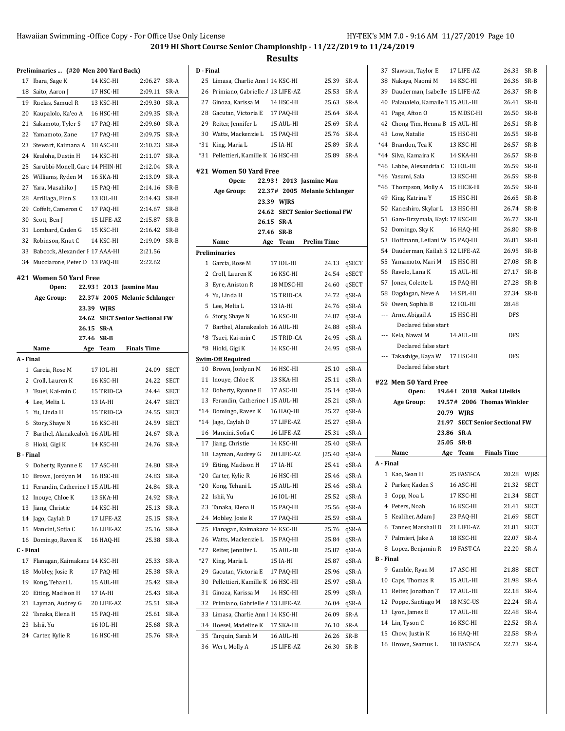## **Results**

25 Limasa, Charlie Ann | 14 KSC-HI 25.39 SR-A

**D - Final**

|                               | Hawaiian Swimming - Office Copy - For Office Use Or |             |                                 | 2019 HI Sh  |
|-------------------------------|-----------------------------------------------------|-------------|---------------------------------|-------------|
|                               | Preliminaries  (#20 Men 200 Yard Back)              |             |                                 |             |
| 17                            | Ibara, Sage K                                       | 14 KSC-HI   | 2:06.27                         | SR-A        |
|                               | 18 Saito, Aaron J                                   | 17 HSC-HI   | 2:09.11                         | SR-A        |
|                               | 19 Ruelas, Samuel R                                 | 13 KSC-HI   | 2:09.30                         | SR-A        |
|                               | 20 Kaupalolo, Ka'eo A                               | 16 HSC-HI   | 2:09.35                         | SR-A        |
|                               | 21 Sakamoto, Tyler S                                | 17 PAQ-HI   | 2:09.60                         | SR-A        |
|                               | 22 Yamamoto, Zane                                   | 17 PAQ-HI   | 2:09.75                         | SR-A        |
|                               | 23 Stewart, Kaimana A                               | 18 ASC-HI   | 2:10.23                         | SR-A        |
|                               | 24 Kealoha, Dustin H                                | 14 KSC-HI   | 2:11.07                         | SR-A        |
|                               | 25 Sarubbi-Monell, Gare 14 PHIN-HI                  |             | 2:12.04                         | SR-A        |
|                               | 26 Williams, Ryden M                                | 16 SKA-HI   | 2:13.09                         | SR-A        |
|                               | 27 Yara, Masahiko J                                 | 15 PAQ-HI   | 2:14.16                         | SR-B        |
|                               | 28 Arrillaga, Finn S                                | 13 IOL-HI   | 2:14.43                         | SR-B        |
|                               | 29 Coffelt, Cameron C                               | 17 PAQ-HI   | 2:14.67                         | SR-B        |
|                               | 30 Scott, Ben J                                     | 15 LIFE-AZ  | 2:15.87                         | SR-B        |
|                               | 31 Lombard, Caden G                                 | 15 KSC-HI   | 2:16.42                         | SR-B        |
|                               | 32 Robinson, Knut C                                 | 14 KSC-HI   | 2:19.09                         | $SR-B$      |
|                               | 33 Babcock, Alexander I 17 AAA-HI                   |             | 2:21.56                         |             |
|                               | 34 Mucciarone, Peter D 13 PAQ-HI                    |             | 2:22.62                         |             |
|                               |                                                     |             |                                 |             |
|                               | #21 Women 50 Yard Free<br>Open:                     |             | 22.93! 2013 Jasmine Mau         |             |
|                               | Age Group:                                          |             | 22.37# 2005 Melanie Schlanger   |             |
|                               |                                                     | 23.39 WJRS  |                                 |             |
|                               | 24.62                                               |             | <b>SECT Senior Sectional FW</b> |             |
|                               |                                                     | 26.15 SR-A  |                                 |             |
|                               | 27.46                                               | SR-B        |                                 |             |
|                               | Name                                                | Team<br>Age | <b>Finals Time</b>              |             |
| A - Final                     |                                                     |             |                                 |             |
|                               | 1 Garcia, Rose M                                    | 17 IOL-HI   | 24.09                           | <b>SECT</b> |
|                               | 2 Croll, Lauren K                                   | 16 KSC-HI   | 24.22                           | <b>SECT</b> |
|                               | 3 Tsuei, Kai-min C                                  | 15 TRID-CA  | 24.44                           | SECT        |
|                               | 4 Lee, Melia L                                      | 13 IA-HI    | 24.47                           | <b>SECT</b> |
|                               |                                                     |             |                                 |             |
|                               | 5 Yu, Linda H                                       | 15 TRID-CA  | 24.55                           | <b>SECT</b> |
|                               | 6 Story, Shaye N                                    | 16 KSC-HI   | 24.59 SECT                      |             |
|                               | 7 Barthel, Alanakealoh 16 AUL-HI                    |             | 24.67                           | SR-A        |
|                               | 8 Hioki, Gigi K                                     | 14 KSC-HI   | 24.76                           | SR-A        |
|                               |                                                     |             |                                 |             |
|                               | 9 Doherty, Ryanne E                                 | 17 ASC-HI   | 24.80                           | SR-A        |
|                               | 10 Brown, Jordynn M                                 | 16 HSC-HI   | 24.83                           | SR-A        |
|                               | 11 Ferandin, Catherine 1 15 AUL-HI                  |             | 24.84                           | SR-A        |
|                               | 12 Inouye, Chloe K                                  | 13 SKA-HI   | 24.92                           | SR-A        |
|                               | 13 Jiang, Christie                                  | 14 KSC-HI   | 25.13                           | SR-A        |
|                               | 14 Jago, Caylah D                                   | 17 LIFE-AZ  | 25.15                           | SR-A        |
|                               | 15 Mancini, Sofia C                                 | 16 LIFE-AZ  | 25.16                           | SR-A        |
|                               | 16 Domingo, Raven K                                 | 16 HAQ-HI   | 25.38                           | SR-A        |
|                               |                                                     |             |                                 |             |
|                               | 17 Flanagan, Kaimakana 14 KSC-HI                    |             | 25.33                           | SR-A        |
| <b>B</b> - Final<br>C - Final | 18 Mobley, Josie R                                  | 17 PAQ-HI   | 25.38                           | SR-A        |
|                               | 19 Kong, Tehani L                                   | 15 AUL-HI   | 25.42                           | SR-A        |

 Layman, Audrey G 20 LIFE-AZ 25.51 SR-A 22 Tanaka, Elena H 15 PAQ-HI 25.61 SR-A Ishii, Yu 16 IOL-HI 25.68 SR-A 24 Carter, Kylie R 16 HSC-HI 25.76 SR-A

| 26           | Primiano, Gabrielle A 13 LIFE-AZ |             |                                 | 25.53  | SR-A  |
|--------------|----------------------------------|-------------|---------------------------------|--------|-------|
| 27           | Ginoza, Karissa M                | 14 HSC-HI   |                                 | 25.63  | SR-A  |
| 28           | Gacutan, Victoria E              | 17 PAQ-HI   |                                 | 25.64  | SR-A  |
| 29           | Reiter, Jennifer L               | 15 AUL-HI   |                                 | 25.69  | SR-A  |
| 30           | Watts, Mackenzie L               | 15 PAQ-HI   |                                 | 25.76  | SR-A  |
| *31          | King, Maria L                    | 15 IA-HI    |                                 | 25.89  | SR-A  |
| $*31$        | Pellettieri, Kamille K 16 HSC-HI |             |                                 | 25.89  | SR-A  |
|              |                                  |             |                                 |        |       |
|              | #21 Women 50 Yard Free           |             |                                 |        |       |
|              | 22.93 !<br>Open:                 |             | 2013 Jasmine Mau                |        |       |
|              | Age Group:<br>22.37#             |             | 2005 Melanie Schlanger          |        |       |
|              | 23.39                            | <b>WJRS</b> |                                 |        |       |
|              | 24.62                            |             | <b>SECT Senior Sectional FW</b> |        |       |
|              | 26.15                            | SR-A        |                                 |        |       |
|              | 27.46                            | SR-B        |                                 |        |       |
|              | Name<br>Age                      | Team        | Prelim Time                     |        |       |
|              | Preliminaries                    |             |                                 |        |       |
| $\mathbf{1}$ | Garcia, Rose M                   | 17 IOL-HI   |                                 | 24.13  | qSECT |
| 2            | Croll, Lauren K                  | 16 KSC-HI   |                                 | 24.54  | qSECT |
| 3            | Eyre, Aniston R                  | 18 MDSC-HI  |                                 | 24.60  | qSECT |
| 4            | Yu, Linda H                      | 15 TRID-CA  |                                 | 24.72  | qSR-A |
| 5            | Lee, Melia L                     | 13 IA-HI    |                                 | 24.76  | qSR-A |
| 6            | Story, Shaye N                   | 16 KSC-HI   |                                 | 24.87  | qSR-A |
| 7            | Barthel, Alanakealoh 16 AUL-HI   |             |                                 | 24.88  | qSR-A |
| $*8$         | Tsuei, Kai-min C                 | 15 TRID-CA  |                                 | 24.95  | qSR-A |
| *8           | Hioki, Gigi K                    | 14 KSC-HI   |                                 | 24.95  | qSR-A |
|              | <b>Swim-Off Required</b>         |             |                                 |        |       |
| 10           | Brown, Jordynn M                 | 16 HSC-HI   |                                 | 25.10  | qSR-A |
| 11           | Inouye, Chloe K                  | 13 SKA-HI   |                                 | 25.11  | qSR-A |
| 12           | Doherty, Ryanne E                | 17 ASC-HI   |                                 | 25.14  | qSR-A |
| 13           | Ferandin, Catherine I 15 AUL-HI  |             |                                 | 25.21  | qSR-A |
| $*14$        | Domingo, Raven K                 | 16 HAQ-HI   |                                 | 25.27  | qSR-A |
| *14          | Jago, Caylah D                   | 17 LIFE-AZ  |                                 | 25.27  | qSR-A |
| 16           | Mancini, Sofia C                 | 16 LIFE-AZ  |                                 | 25.31  | qSR-A |
| 17           | Jiang, Christie                  | 14 KSC-HI   |                                 | 25.40  | qSR-A |
| 18           | Layman, Audrey G                 | 20 LIFE-AZ  |                                 | J25.40 | qSR-A |
| 19           | Eiting, Madison H                | 17 IA-HI    |                                 | 25.41  | qSR-A |
| $*20$        | Carter, Kylie R                  | 16 HSC-HI   |                                 | 25.46  | qSR-A |
| *20          | Kong, Tehani L                   | 15 AUL-HI   |                                 | 25.46  | qSR-A |
| 22           | Ishii, Yu                        | 16 IOL-HI   |                                 | 25.52  | qSR-A |
| 23           | Tanaka, Elena H                  | 15 PAQ-HI   |                                 | 25.56  | qSR-A |
| 24           | Mobley, Josie R                  | 17 PAQ-HI   |                                 | 25.59  | qSR-A |
| 25           | Flanagan, Kaimakana 14 KSC-HI    |             |                                 | 25.76  | qSR-A |
| 26           | Watts, Mackenzie L               | 15 PAQ-HI   |                                 | 25.84  | qSR-A |
| *27          | Reiter, Jennifer L               | 15 AUL-HI   |                                 | 25.87  | qSR-A |
| *27          | King, Maria L                    | 15 IA-HI    |                                 | 25.87  | qSR-A |
| 29           | Gacutan, Victoria E              | 17 PAQ-HI   |                                 | 25.96  | qSR-A |
| 30           | Pellettieri, Kamille K           | 16 HSC-HI   |                                 | 25.97  | qSR-A |
| 31           | Ginoza, Karissa M                | 14 HSC-HI   |                                 | 25.99  | qSR-A |
| 32           | Primiano, Gabrielle A 13 LIFE-AZ |             |                                 | 26.04  | qSR-A |
| 33           | Limasa, Charlie Ann 1 14 KSC-HI  |             |                                 | 26.09  | SR-A  |
| 34           | Hoesel, Madeline K               | 17 SKA-HI   |                                 | 26.10  | SR-A  |
| 35           | Tarquin, Sarah M                 | 16 AUL-HI   |                                 | 26.26  | SR-B  |
| 36           | Wert, Molly A                    | 15 LIFE-AZ  |                                 | 26.30  | SR-B  |
|              |                                  |             |                                 |        |       |

| 37                       | Slawson, Taylor E               |         | 17 LIFE-AZ | 26.33                           | SR-B        |
|--------------------------|---------------------------------|---------|------------|---------------------------------|-------------|
| 38                       | Nakaya, Naomi M                 |         | 14 KSC-HI  | 26.36                           | SR-B        |
| 39                       | Dauderman, Isabelle 15 LIFE-AZ  |         |            | 26.37                           | SR-B        |
| 40                       | Palaualelo, Kamaile 1 15 AUL-HI |         |            | 26.41                           | SR-B        |
| 41                       | Page, Afton O                   |         | 15 MDSC-HI | 26.50                           | $SR-B$      |
| 42                       | Chong Tim, Henna B 15 AUL-HI    |         |            | 26.51                           | SR-B        |
| 43                       | Low, Natalie                    |         | 15 HSC-HI  | 26.55                           | SR-B        |
| $*44$                    | Brandon, Tea K                  |         | 13 KSC-HI  | 26.57                           | $SR-B$      |
| $*44$                    | Silva. Kamaira K                |         | 14 SKA-HI  | 26.57                           | $SR-B$      |
| $*46$                    | Labbe, Alexandria C             |         | 13 IOL-HI  | 26.59                           | $SR-B$      |
| $*46$                    | Yasumi, Sala                    |         | 13 KSC-HI  | 26.59                           | $SR-B$      |
| $*46$                    | Thompson, Molly A               |         | 15 HICK-HI | 26.59                           | SR-B        |
| 49                       | King, Katrina Y                 |         | 15 HSC-HI  | 26.65                           | SR-B        |
| 50                       | Kaneshiro, Skylar L             |         | 13 HSC-HI  | 26.74                           | $SR-B$      |
| 51                       | Garo-Drzymala, Kayl 17 KSC-HI   |         |            | 26.77                           | $SR-B$      |
| 52                       | Domingo, Sky K                  |         | 16 HAQ-HI  | 26.80                           | SR-B        |
| 53                       | Hoffmann, Leilani W 15 PAQ-HI   |         |            | 26.81                           | SR-B        |
| 54                       | Dauderman, Kailah S 12 LIFE-AZ  |         |            | 26.95                           | SR-B        |
| 55                       | Yamamoto, Mari M                |         | 15 HSC-HI  | 27.08                           | SR-B        |
| 56                       | Ravelo, Lana K                  |         | 15 AUL-HI  | 27.17                           | $SR-B$      |
| 57                       | Jones, Colette L                |         | 15 PAQ-HI  | 27.28                           | SR-B        |
|                          | 58 Dagdagan, Neve A             |         | 14 SPL-HI  | 27.34                           | $SR-B$      |
|                          | 59 Owen, Sophia B               |         | 12 IOL-HI  | 28.48                           |             |
| $\overline{\phantom{a}}$ | Arne, Abigail A                 |         | 15 HSC-HI  | DFS                             |             |
|                          | Declared false start            |         |            |                                 |             |
| $\overline{\phantom{a}}$ | Kela, Nawai M                   |         | 14 AUL-HI  | DFS                             |             |
|                          | Declared false start            |         |            |                                 |             |
|                          |                                 |         |            |                                 |             |
| ---                      | Takashige, Kaya W               |         | 17 HSC-HI  | <b>DFS</b>                      |             |
|                          | Declared false start            |         |            |                                 |             |
|                          |                                 |         |            |                                 |             |
|                          | #22 Men 50 Yard Free            |         |            |                                 |             |
|                          | Open:                           | 19.64 ! |            | 2018 'Aukai Lileikis            |             |
|                          | Age Group:                      |         |            | 19.57# 2006 Thomas Winkler      |             |
|                          |                                 | 21.97   | 20.79 WJRS | <b>SECT Senior Sectional FW</b> |             |
|                          |                                 | 23.86   | SR-A       |                                 |             |
|                          |                                 | 25.05   | SR-B       |                                 |             |
|                          | Name                            |         | Age Team   | <b>Finals Time</b>              |             |
| A - Final                |                                 |         |            |                                 |             |
|                          | 1 Kao. Sean H                   |         | 25 FAST-CA | 20.28                           | WIRS        |
| 2                        | Parker, Kaden S                 |         | 16 ASC-HI  | 21.32                           | SECT        |
| 3                        | Copp, Noa L                     |         | 17 KSC-HI  | 21.34                           | SECT        |
|                          | 4 Peters, Noah                  |         | 16 KSC-HI  | 21.41                           | <b>SECT</b> |
| 5                        | Kealiher, Adam J                |         | 23 PAO-HI  | 21.69                           | <b>SECT</b> |
| 6                        | Tanner, Marshall D              |         | 21 LIFE-AZ | 21.81                           | SECT        |
| 7                        | Palmieri, Jake A                |         | 18 KSC-HI  | 22.07                           | SR-A        |
| 8                        | Lopez, Benjamin R               |         | 19 FAST-CA | 22.20                           | SR-A        |
| <b>B</b> - Final         |                                 |         |            |                                 |             |
| 9                        | Gamble, Ryan M                  |         | 17 ASC-HI  | 21.88                           | <b>SECT</b> |
| 10                       | Caps, Thomas R                  |         | 15 AUL-HI  | 21.98                           | SR-A        |
| 11                       | Reiter, Jonathan T              |         | 17 AUL-HI  | 22.18                           | SR-A        |
| 12                       | Poppe, Santiago M               |         | 18 MSC-US  | 22.24                           | SR-A        |
| 13                       | Lyon, James E                   |         | 17 AUL-HI  | 22.48                           | SR-A        |
|                          | 14 Lin, Tyson C                 |         | 16 KSC-HI  | 22.52                           | SR-A        |
| 15                       | Chow, Justin K                  |         | 16 HAQ-HI  | 22.58                           | SR-A        |
| 16                       | Brown, Seamus L                 |         | 18 FAST-CA | 22.73                           | SR-A        |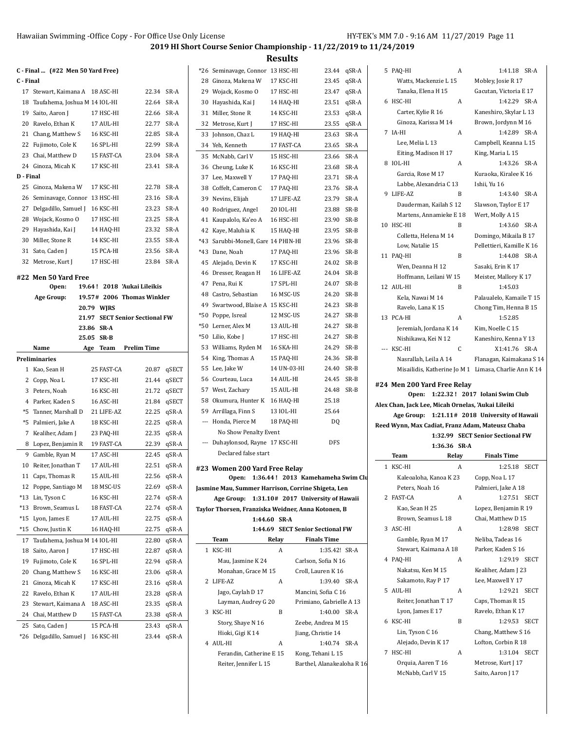McNabb, Carl V 15 Saito, Aaron J 17

## **2019 HI Short Course Senior Championship - 11/22/2019 to 11/24/2019**

|           | C - Final  (#22 Men 50 Yard Free)  |             |                                |             | *26 Seminavage, Connor 13 HSC-HI                   |              |                                         | 23.44 qSR-A | 5 PAQ-HI                                           | A            | 1:41.18 SR-A                                          |
|-----------|------------------------------------|-------------|--------------------------------|-------------|----------------------------------------------------|--------------|-----------------------------------------|-------------|----------------------------------------------------|--------------|-------------------------------------------------------|
| C - Final |                                    |             |                                |             | 28 Ginoza, Makena W                                | 17 KSC-HI    | 23.45                                   | qSR-A       | Watts, Mackenzie L 15                              |              | Mobley, Josie R 17                                    |
|           | 17 Stewart, Kaimana A 18 ASC-HI    |             | 22.34 SR-A                     |             | 29 Wojack, Kosmo O                                 | 17 HSC-HI    | 23.47                                   | qSR-A       | Tanaka, Elena H 15                                 |              | Gacutan, Victoria E 17                                |
|           | 18 Taufahema, Joshua M 14 IOL-HI   |             | 22.64 SR-A                     |             | 30 Hayashida, Kai J                                | 14 HAQ-HI    | 23.51                                   | qSR-A       | 6 HSC-HI                                           | A            | 1:42.29 SR-A                                          |
|           | 19 Saito, Aaron J                  | 17 HSC-HI   | 22.66 SR-A                     |             | 31 Miller, Stone R                                 | 14 KSC-HI    | 23.53                                   | qSR-A       | Carter, Kylie R 16                                 |              | Kaneshiro, Skylar L 13                                |
|           | 20 Ravelo, Ethan K                 | 17 AUL-HI   | 22.77 SR-A                     |             | 32 Metrose, Kurt J                                 | 17 HSC-HI    | 23.55                                   | qSR-A       | Ginoza, Karissa M 14                               |              | Brown, Jordynn M 16                                   |
|           | 21 Chang, Matthew S                | 16 KSC-HI   | 22.85 SR-A                     |             | 33 Johnson, Chaz L                                 | 19 HAQ-HI    | 23.63                                   | SR-A        | 7 IA-HI                                            | A            | 1:42.89 SR-A                                          |
|           | 22 Fujimoto, Cole K                | 16 SPL-HI   | 22.99 SR-A                     |             | 34 Yeh, Kenneth                                    | 17 FAST-CA   | 23.65                                   | SR-A        | Lee, Melia L 13                                    |              | Campbell, Keanna L 15                                 |
|           | 23 Chai, Matthew D                 | 15 FAST-CA  | 23.04 SR-A                     |             | 35 McNabb, Carl V                                  | 15 HSC-HI    | 23.66 SR-A                              |             | Eiting, Madison H 17                               |              | King, Maria L 15                                      |
|           | 24 Ginoza, Micah K                 | 17 KSC-HI   | 23.41 SR-A                     |             | 36 Cheung, Luke K                                  | 16 KSC-HI    | 23.68 SR-A                              |             | 8 IOL-HI                                           | A            | 1:43.26 SR-A                                          |
| D - Final |                                    |             |                                |             | 37 Lee, Maxwell Y                                  | 17 PAQ-HI    | 23.71 SR-A                              |             | Garcia, Rose M 17                                  |              | Kuraoka, Kiralee K 16                                 |
|           | 25 Ginoza, Makena W                | 17 KSC-HI   | 22.78                          | SR-A        | 38 Coffelt, Cameron C                              | 17 PAQ-HI    | 23.76 SR-A                              |             | Labbe, Alexandria C 13                             |              | Ishii, Yu 16                                          |
| 26        | Seminavage, Connor 13 HSC-HI       |             | 23.16 SR-A                     |             | 39 Nevins, Elijah                                  | 17 LIFE-AZ   | 23.79                                   | SR-A        | 9 LIFE-AZ                                          | B            | 1:43.40 SR-A                                          |
| 27        | Delgadillo, Samuel J               | 16 KSC-HI   | 23.23 SR-A                     |             | 40 Rodriguez, Angel                                | 20 IOL-HI    | 23.88                                   | SR-B        | Dauderman, Kailah S 12                             |              | Slawson, Taylor E 17                                  |
| 28        | Wojack, Kosmo O                    | 17 HSC-HI   | 23.25 SR-A                     |             | 41 Kaupalolo, Ka'eo A                              | 16 HSC-HI    | 23.90                                   | SR-B        | Martens, Annamieke E 18<br>10 HSC-HI               | B            | Wert, Molly A 15<br>1:43.60 SR-A                      |
|           | 29 Hayashida, Kai J                | 14 HAQ-HI   | 23.32 SR-A                     |             | 42 Kaye, Maluhia K                                 | 15 HAQ-HI    | 23.95                                   | SR-B        | Colletta, Helena M 14                              |              | Domingo, Mikaila B 17                                 |
|           | 30 Miller, Stone R                 | 14 KSC-HI   | 23.55 SR-A                     |             | *43 Sarubbi-Monell, Gare 14 PHIN-HI                |              | 23.96                                   | SR-B        | Low, Natalie 15                                    |              | Pellettieri, Kamille K 16                             |
|           | 31 Sato, Caden J                   | 15 PCA-HI   | 23.56 SR-A                     |             | *43 Dane, Noah                                     | 17 PAQ-HI    | 23.96 SR-B                              |             | 11 PAQ-HI                                          | B            | 1:44.08 SR-A                                          |
|           | 32 Metrose, Kurt J                 | 17 HSC-HI   | 23.84 SR-A                     |             | 45 Alejado, Devin K                                | 17 KSC-HI    | 24.02 SR-B                              |             | Wen, Deanna H 12                                   |              | Sasaki, Erin K 17                                     |
|           | #22 Men 50 Yard Free               |             |                                |             | 46 Dresser, Reagan H                               | 16 LIFE-AZ   | 24.04 SR-B                              |             | Hoffmann, Leilani W 15                             |              | Meister, Mallory K 17                                 |
|           | Open:                              |             | 19.64! 2018 'Aukai Lileikis    |             | 47 Pena, Rui K                                     | 17 SPL-HI    | 24.07                                   | SR-B        | 12 AUL-HI                                          | B            | 1:45.03                                               |
|           | Age Group:                         |             | 19.57# 2006 Thomas Winkler     |             | 48 Castro, Sebastian                               | 16 MSC-US    | 24.20                                   | SR-B        | Kela, Nawai M 14                                   |              | Palaualelo, Kamaile T 15                              |
|           |                                    | 20.79 WIRS  |                                |             | 49 Swartwood, Blaise A 15 KSC-HI                   |              | 24.23                                   | SR-B        | Ravelo, Lana K 15                                  |              | Chong Tim, Henna B 15                                 |
|           |                                    |             | 21.97 SECT Senior Sectional FW |             | *50 Poppe, Isreal                                  | 12 MSC-US    | 24.27                                   | SR-B        | 13 PCA-HI                                          | A            | 1:52.85                                               |
|           |                                    | 23.86 SR-A  |                                |             | *50 Lerner, Alex M                                 | 13 AUL-HI    | 24.27                                   | SR-B        | Jeremiah, Jordana K 14                             |              | Kim, Noelle C 15                                      |
|           |                                    | 25.05 SR-B  |                                |             | *50 Lilio, Kobe J                                  | 17 HSC-HI    | 24.27                                   | SR-B        | Nishikawa, Kei N 12                                |              | Kaneshiro, Kenna Y 13                                 |
|           | Name                               | Age Team    | <b>Prelim Time</b>             |             | 53 Williams, Ryden M                               | 16 SKA-HI    | 24.29                                   | SR-B        | --- KSC-HI                                         | C            | X1:41.76 SR-A                                         |
|           | Preliminaries                      |             |                                |             | 54 King, Thomas A                                  | 15 PAQ-HI    | 24.36                                   | SR-B        | Nasrallah, Leila A 14                              |              | Flanagan, Kaimakana S 14                              |
|           | 1 Kao, Sean H                      | 25 FAST-CA  | 20.87                          | qSECT       | 55 Lee, Jake W                                     | 14 UN-03-HI  | 24.40                                   | SR-B        |                                                    |              | Misailidis, Katherine Jo M 1 Limasa, Charlie Ann K 14 |
|           | 2 Copp, Noa L                      | 17 KSC-HI   |                                | 21.44 qSECT | 56 Courteau, Luca                                  | 14 AUL-HI    | 24.45                                   | SR-B        |                                                    |              |                                                       |
|           | 3 Peters, Noah                     | 16 KSC-HI   |                                | 21.72 qSECT | 57 West, Zachary                                   | 15 AUL-HI    | 24.48 SR-B                              |             | #24 Men 200 Yard Free Relay                        |              | Open: 1:22.32! 2017 Iolani Swim Club                  |
|           | 4 Parker, Kaden S                  | 16 ASC-HI   |                                | 21.84 qSECT | 58 Okumura, Hunter K 16 HAQ-HI                     |              | 25.18                                   |             | Alex Chan, Jack Lee, Micah Ornelas, 'Aukai Lileiki |              |                                                       |
|           | *5 Tanner, Marshall D              | 21 LIFE-AZ  |                                | 22.25 qSR-A | 59 Arrillaga, Finn S                               | 13 IOL-HI    | 25.64                                   |             |                                                    |              | Age Group: 1:21.11# 2018 University of Hawaii         |
|           | *5 Palmieri, Jake A                | 18 KSC-HI   |                                | 22.25 qSR-A | --- Honda, Pierce M                                | 18 PAQ-HI    | DQ                                      |             | Reed Wynn, Max Cadiat, Franz Adam, Mateusz Chaba   |              |                                                       |
|           | 7 Kealiher, Adam J                 | 23 PAQ-HI   |                                | 22.35 qSR-A | No Show Penalty Event                              |              |                                         |             |                                                    |              | 1:32.99 SECT Senior Sectional FW                      |
|           | 8 Lopez, Benjamin R                | 19 FAST-CA  |                                | 22.39 qSR-A | --- Duhaylonsod, Rayne 17 KSC-HI                   |              | DFS                                     |             |                                                    | 1:36.36 SR-A |                                                       |
|           | 9 Gamble, Ryan M                   | 17 ASC-HI   |                                | 22.45 qSR-A | Declared false start                               |              |                                         |             | Team                                               | Relay        | <b>Finals Time</b>                                    |
|           | 10 Reiter, Jonathan T              | 17 AUL-HI   |                                | 22.51 qSR-A |                                                    |              |                                         |             | 1 KSC-HI                                           | A            | 1:25.18 SECT                                          |
|           | 11 Caps, Thomas R                  | $15$ AUL-HI |                                | 22.56 qSR-A | #23 Women 200 Yard Free Relay                      |              | Open: 1:36.44! 2013 Kamehameha Swim Clu |             | Kaleoaloha, Kanoa K 23                             |              | Copp, Noa L 17                                        |
|           | 12 Poppe, Santiago M               | 18 MSC-US   |                                | 22.69 qSR-A | Jasmine Mau, Summer Harrison, Corrine Shigeta, Len |              |                                         |             | Peters, Noah 16                                    |              | Palmieri, Jake A 18                                   |
|           | *13 Lin, Tyson C                   | 16 KSC-HI   |                                | 22.74 qSR-A | Age Group: 1:31.10# 2017 University of Hawaii      |              |                                         |             | 2 FAST-CA                                          | A            | 1:27.51 SECT                                          |
|           | *13 Brown, Seamus L                | 18 FAST-CA  |                                | 22.74 qSR-A | Taylor Thorsen, Franziska Weidner, Anna Kotonen, B |              |                                         |             | Kao, Sean H 25                                     |              | Lopez, Benjamin R 19                                  |
|           | *15 Lyon, James E                  | 17 AUL-HI   | 22.75                          | qSR-A       |                                                    | 1:44.60 SR-A |                                         |             | Brown, Seamus L 18                                 |              | Chai, Matthew D 15                                    |
|           | *15 Chow, Justin K                 | 16 HAQ-HI   |                                | 22.75 qSR-A |                                                    |              | 1:44.69 SECT Senior Sectional FW        |             | 3 ASC-HI                                           | A            | 1:28.98 SECT                                          |
|           | 17 Taufahema, Joshua M 14 IOL-HI   |             | 22.80                          | qSR-A       | Team                                               | Relay        | <b>Finals Time</b>                      |             | Gamble, Ryan M 17                                  |              | Neliba, Tadeas 16                                     |
|           | 18 Saito, Aaron J                  | 17 HSC-HI   | 22.87                          | qSR-A       | 1 KSC-HI                                           | A            | 1:35.42! SR-A                           |             | Stewart, Kaimana A 18                              |              | Parker, Kaden S 16                                    |
|           | 19 Fujimoto, Cole K                | 16 SPL-HI   |                                | 22.94 qSR-A | Mau, Jasmine K 24                                  |              | Carlson, Sofia N 16                     |             | 4 PAQ-HI                                           | A            | 1:29.19 SECT                                          |
|           | 20 Chang, Matthew S                | 16 KSC-HI   |                                | 23.06 qSR-A | Monahan, Grace M 15                                |              | Croll, Lauren K 16                      |             | Nakatsu, Ken M 15                                  |              | Kealiher, Adam J 23                                   |
|           | 21 Ginoza, Micah K                 | 17 KSC-HI   |                                | 23.16 qSR-A | 2 LIFE-AZ                                          | A            | 1:39.40 SR-A                            |             | Sakamoto, Ray P 17                                 |              | Lee, Maxwell Y 17                                     |
|           | 22 Ravelo, Ethan K                 | 17 AUL-HI   |                                | 23.28 qSR-A | Jago, Caylah D 17                                  |              | Mancini, Sofia C 16                     |             | 5 AUL-HI                                           | A            | 1:29.21 SECT                                          |
|           | 23 Stewart, Kaimana A 18 ASC-HI    |             |                                | 23.35 qSR-A | Layman, Audrey G 20                                |              | Primiano, Gabrielle A 13                |             | Reiter, Jonathan T 17                              |              | Caps, Thomas R 15                                     |
|           | 24 Chai, Matthew D                 | 15 FAST-CA  |                                | 23.38 qSR-A | 3 KSC-HI                                           | B            | 1:40.00 SR-A                            |             | Lyon, James E 17                                   |              | Ravelo, Ethan K 17                                    |
|           | 25 Sato, Caden J                   | 15 PCA-HI   |                                | 23.43 qSR-A | Story, Shaye N 16                                  |              | Zeebe, Andrea M 15                      |             | 6 KSC-HI                                           | В            | 1:29.53 SECT                                          |
|           | *26 Delgadillo, Samuel J 16 KSC-HI |             |                                | 23.44 qSR-A | Hioki, Gigi K 14                                   |              | Jiang, Christie 14                      |             | Lin, Tyson C 16                                    |              | Chang, Matthew S 16                                   |
|           |                                    |             |                                |             | 4 AUL-HI                                           | A            | 1:40.74 SR-A                            |             | Alejado, Devin K 17                                |              | Lofton, Corbin R 18                                   |
|           |                                    |             |                                |             | Ferandin, Catherine E 15                           |              | Kong, Tehani L 15                       |             | 7 HSC-HI                                           | A            | 1:31.04 SECT                                          |
|           |                                    |             |                                |             | Reiter, Jennifer L 15                              |              | Barthel, Alanakealoha R 16              |             | Orquia, Aaren T 16                                 |              | Metrose, Kurt J 17                                    |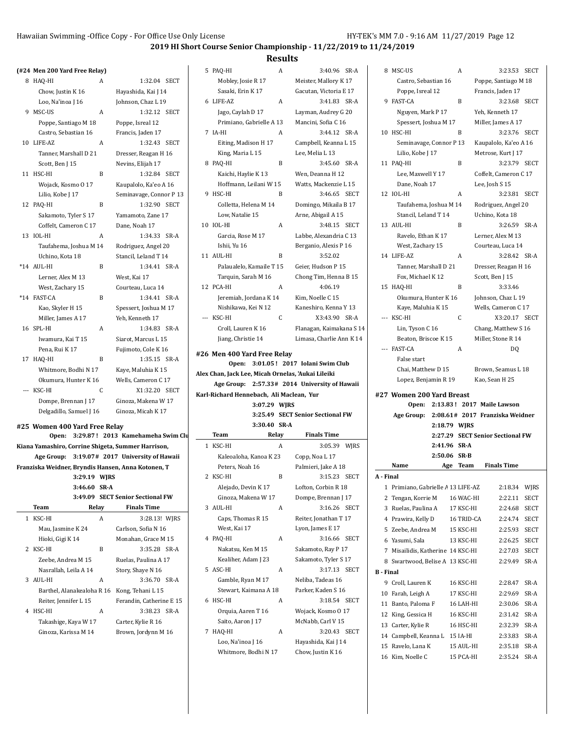### **Results**

|              | (#24 Men 200 Yard Free Relay)                      |   |                                    |
|--------------|----------------------------------------------------|---|------------------------------------|
|              | 8 HAQ-HI                                           | A | 1:32.04 SECT                       |
|              | Chow, Justin K 16                                  |   | Hayashida, Kai J 14                |
|              | Loo, Na'inoa J 16                                  |   | Johnson, Chaz L 19                 |
|              | 9 MSC-US                                           | A | 1:32.12<br><b>SECT</b>             |
|              | Poppe, Santiago M 18                               |   | Poppe, Isreal 12                   |
|              | Castro, Sebastian 16                               |   | Francis, Jaden 17                  |
|              | 10 LIFE-AZ                                         | A | 1:32.43<br><b>SECT</b>             |
|              | Tanner, Marshall D 21                              |   | Dresser, Reagan H 16               |
|              | Scott, Ben J 15                                    |   | Nevins, Elijah 17                  |
| 11           | HSC-HI                                             | B | 1:32.84 SECT                       |
|              | Wojack, Kosmo O 17                                 |   | Kaupalolo, Ka'eo A 16              |
|              | Lilio, Kobe J 17                                   |   | Seminavage, Connor P 13            |
|              | 12 PAQ-HI                                          | B | 1:32.90 SECT                       |
|              | Sakamoto, Tyler S 17                               |   | Yamamoto, Zane 17                  |
|              | Coffelt, Cameron C 17                              |   | Dane, Noah 17                      |
|              | 13 IOL-HI                                          | A | 1:34.33<br>SR-A                    |
|              | Taufahema, Joshua M 14                             |   | Rodriguez, Angel 20                |
|              | Uchino, Kota 18                                    |   | Stancil, Leland T 14               |
|              | *14 AUL-HI                                         | B | 1:34.41 SR-A                       |
|              | Lerner, Alex M 13                                  |   | West. Kai 17                       |
|              | West, Zachary 15                                   |   | Courteau, Luca 14                  |
|              | *14 FAST-CA                                        | B | 1:34.41 SR-A                       |
|              | Kao, Skyler H 15                                   |   | Spessert, Joshua M 17              |
|              | Miller, James A 17                                 |   | Yeh, Kenneth 17                    |
|              | 16 SPL-HI                                          | A | 1:34.83 SR-A                       |
|              | Iwamura, Kai T 15                                  |   | Siarot, Marcus L 15                |
|              | Pena, Rui K 17                                     |   | Fujimoto, Cole K 16                |
|              | 17 HAQ-HI                                          | B | 1:35.15 SR-A                       |
|              | Whitmore, Bodhi N 17                               |   | Kaye, Maluhia K 15                 |
|              | Okumura, Hunter K 16                               |   | Wells, Cameron C 17                |
|              | --- KSC-HI                                         | C | X1:32.20 SECT                      |
|              | Dompe, Brennan J 17                                |   | Ginoza, Makena W 17                |
|              | Delgadillo, Samuel J 16                            |   | Ginoza, Micah K 17                 |
|              | #25 Women 400 Yard Free Relay                      |   |                                    |
|              | Open:                                              |   | 3:29.87! 2013 Kamehameha Swim Clu  |
|              | Kiana Yamashiro, Corrine Shigeta, Summer Harrison, |   |                                    |
|              | Age Group:                                         |   | 3:19.07# 2017 University of Hawaii |
|              | Franziska Weidner, Bryndis Hansen, Anna Kotonen, T |   |                                    |
|              | 3:29.19 WJRS                                       |   |                                    |
|              | 3:46.60 SR-A                                       |   |                                    |
|              | 3:49.09                                            |   | <b>SECT Senior Sectional FW</b>    |
|              | Team<br>Relay                                      |   | <b>Finals Time</b>                 |
| $\mathbf{1}$ | KSC-HI                                             | A | 3:28.13! WJRS                      |
|              | Mau, Jasmine K 24                                  |   | Carlson, Sofia N 16                |
|              | Hioki, Gigi K 14                                   |   | Monahan, Grace M 15                |
| 2            | KSC-HI                                             | B | 3:35.28 SR-A                       |
|              | Zeebe, Andrea M 15                                 |   | Ruelas, Paulina A 17               |
|              | Nasrallah, Leila A 14                              |   | Story, Shaye N 16                  |
|              | 3 AUL-HI                                           | A | 3:36.70<br>SR-A                    |
|              | Barthel, Alanakealoha R 16                         |   | Kong, Tehani L 15                  |

Reiter, Jennifer L 15 Ferandin, Catherine E 15 4 HSC-HI A 3:38.23 SR-A Takashige, Kaya W 17 Carter, Kylie R 16 Ginoza, Karissa M 14 Brown, Jordynn M 16

|       | 5 PAQ-HI                    | A | 3:40.96                 | SR-A |
|-------|-----------------------------|---|-------------------------|------|
|       | Mobley, Josie R 17          |   | Meister, Mallory K 17   |      |
|       | Sasaki, Erin K 17           |   | Gacutan, Victoria E 17  |      |
| 6     | LIFE-AZ                     | А | 3:41.83 SR-A            |      |
|       | Jago, Caylah D 17           |   | Layman, Audrey G 20     |      |
|       | Primiano, Gabrielle A 13    |   | Mancini, Sofia C 16     |      |
| 7     | IA-HI                       | А | $3:44.12$ SR-A          |      |
|       | Eiting, Madison H 17        |   | Campbell, Keanna L 15   |      |
|       | King, Maria L 15            |   | Lee, Melia L 13         |      |
| 8     | PAQ-HI                      | B | 3:45.60 SR-A            |      |
|       | Kaichi, Haylie K 13         |   | Wen. Deanna H 12        |      |
|       | Hoffmann, Leilani W 15      |   | Watts, Mackenzie L 15   |      |
| 9     | HSC-HI                      | B | 3:46.65 SECT            |      |
|       | Colletta, Helena M 14       |   | Domingo, Mikaila B 17   |      |
|       | Low, Natalie 15             |   | Arne, Abigail A 15      |      |
| 10    | $IOL-HI$                    | A | 3:48.15 SECT            |      |
|       | Garcia, Rose M 17           |   | Labbe, Alexandria C 13  |      |
|       | Ishii, Yu 16                |   | Berganio, Alexis P 16   |      |
| 11    | AUL-HI                      | B | 3:52.02                 |      |
|       | Palaualelo, Kamaile T 15    |   | Geier, Hudson P 15      |      |
|       | Tarquin, Sarah M 16         |   | Chong Tim, Henna B 15   |      |
| 12    | PCA-HI                      | А | 4:06.19                 |      |
|       | Jeremiah, Jordana K 14      |   | Kim, Noelle C 15        |      |
|       | Nishikawa, Kei N 12         |   | Kaneshiro, Kenna Y 13   |      |
| $---$ | KSC-HI                      | C | X3:43.90                | SR-A |
|       | Croll, Lauren K 16          |   | Flanagan, Kaimakana S   |      |
|       | Jiang, Christie 14          |   | Limasa, Charlie Ann K 1 |      |
|       | #26 Men 400 Yard Free Relav |   |                         |      |

|               | 10 IOL-HI                                          | A     | 3:48.15<br><b>SECT</b>                        |
|---------------|----------------------------------------------------|-------|-----------------------------------------------|
|               | Garcia, Rose M 17                                  |       | Labbe, Alexandria C 13                        |
|               | Ishii, Yu 16                                       |       | Berganio, Alexis P 16                         |
| 11            | AUL-HI                                             | B     | 3:52.02                                       |
|               | Palaualelo, Kamaile T 15                           |       | Geier, Hudson P 15                            |
|               | Tarquin, Sarah M 16                                |       | Chong Tim, Henna B 15                         |
| 12            | PCA-HI                                             | A     | 4:06.19                                       |
|               | Jeremiah, Jordana K 14                             |       | Kim, Noelle C 15                              |
|               | Nishikawa, Kei N 12                                |       | Kaneshiro, Kenna Y 13                         |
| $---$         | KSC-HI                                             | C     | X3:43.90<br>SR-A                              |
|               | Croll, Lauren K 16                                 |       | Flanagan, Kaimakana S 14                      |
|               | Jiang, Christie 14                                 |       | Limasa, Charlie Ann K 14                      |
|               | #26 Men 400 Yard Free Relay                        |       |                                               |
|               | Open:                                              |       | 3:01.05! 2017 Iolani Swim Club                |
|               | Alex Chan, Jack Lee, Micah Ornelas, 'Aukai Lileiki |       |                                               |
|               |                                                    |       | Age Group: 2:57.33# 2014 University of Hawaii |
|               | Karl-Richard Hennebach, Ali Maclean, Yur           |       |                                               |
|               | 3:07.29 WJRS                                       |       |                                               |
|               |                                                    |       |                                               |
|               | 3:25.49                                            |       | <b>SECT Senior Sectional FW</b>               |
|               | 3:30.40                                            | SR-A  |                                               |
|               | Team                                               | Relay | <b>Finals Time</b>                            |
| $\mathbf{1}$  | KSC-HI                                             | A     | 3:05.39<br>WJRS                               |
|               | Kaleoaloha, Kanoa K 23                             |       | Copp, Noa L 17                                |
|               | Peters, Noah 16                                    |       | Palmieri, Jake A 18                           |
| $\mathcal{L}$ | KSC-HI                                             | B     | 3:15.23 SECT                                  |
|               | Alejado, Devin K 17                                |       | Lofton, Corbin R 18                           |
|               | Ginoza, Makena W 17                                |       | Dompe, Brennan J 17                           |
| 3             | AUL-HI                                             | A     | 3:16.26<br><b>SECT</b>                        |
|               | Caps, Thomas R 15                                  |       | Reiter, Jonathan T 17                         |
|               | West, Kai 17                                       |       | Lyon, James E 17                              |
| $4^{\circ}$   | PAQ-HI                                             | A     | 3:16.66<br><b>SECT</b>                        |
|               | Nakatsu, Ken M 15                                  |       | Sakamoto, Ray P 17                            |
|               | Kealiher, Adam J 23                                |       | Sakamoto, Tyler S 17                          |
| 5             | ASC-HI                                             | A     | 3:17.13 SECT                                  |
|               | Gamble, Ryan M 17                                  |       | Neliba, Tadeas 16                             |
|               | Stewart, Kaimana A 18                              |       | Parker, Kaden S 16                            |
| 6             | HSC-HI                                             | A     | 3:18.54 SECT                                  |

7 HAQ-HI A 3:20.43 SECT Loo, Na'inoa J 16 Hayashida, Kai J 14 Whitmore, Bodhi N 17 Chow, Justin K 16

eister, Mallory K 17 acutan, Victoria E 17 ayman, Audrey G 20 ampbell, Keanna L 15 en<br>Geilanden Landenzie L 15 omingo, Mikaila B 17 Saito, Aaron J 17 McNabb, Carl V 15 False start **#27 Women 200 Yard Breast A - Final B - Final**

8 MSC-US A 3:23.53 SECT Castro, Sebastian 16 Poppe, Santiago M 18 Poppe, Isreal 12 Francis, Jaden 17 9 FAST-CA B 3:23.68 SECT Nguyen, Mark P 17 Yeh, Kenneth 17 Spessert, Joshua M 17 Miller, James A 17 10 HSC-HI B 3:23.76 SECT Seminavage, Connor P 13 Kaupalolo, Ka'eo A 16 Lilio, Kobe J 17 Metrose, Kurt J 17 11 PAQ-HI B 3:23.79 SECT Lee, Maxwell Y 17 Coffelt, Cameron C 17 Dane, Noah 17 Lee, Josh S 15 12 IOL-HI A 3:23.81 SECT Taufahema, Joshua M 14 Rodriguez, Angel 20 Stancil, Leland T 14 Uchino, Kota 18 13 AUL-HI B 3:26.59 SR-A Ravelo, Ethan K 17 Lerner, Alex M 13 West, Zachary 15 Courteau, Luca 14 14 LIFE-AZ A 3:28.42 SR-A Tanner, Marshall D 21 Dresser, Reagan H 16 Fox, Michael K 12 Scott, Ben J 15 15 HAQ-HI B 3:33.46 Okumura, Hunter K 16 Johnson, Chaz L 19 Kaye, Maluhia K 15 Wells, Cameron C 17 --- KSC-HI C X3:20.17 SECT Lin, Tyson C 16 Chang, Matthew S 16 Beaton, Briscoe K 15 Miller, Stone R 14 --- FAST-CA A DQ Chai, Matthew D 15 Brown, Seamus L 18 Lopez, Benjamin R 19 Kao, Sean H 25 **Open: 2:13.83 ! 2017 Maile Lawson Age Group: 2:08.61# 2017 Franziska Weidner 2:18.79 WJRS 2:27.29 SECT Senior Sectional FW 2:41.96 SR-A 2:50.06 SR-B Name Age Team Finals Time** 1 Primiano, Gabrielle A 13 LIFE-AZ 2:18.34 WJRS 2 Tengan, Korrie M 16 WAC-HI 2:22.11 SECT 3 Ruelas, Paulina A 17 KSC-HI 2:24.68 SECT 4 Prawira, Kelly D 16 TRID-CA 2:24.74 SECT 5 Zeebe, Andrea M 15 KSC-HI 2:25.93 SECT 6 Yasumi, Sala 13 KSC-HI 2:26.25 SECT 7 Misailidis, Katherine 14 KSC-HI 2:27.03 SECT 8 Swartwood, Belise A 13 KSC-HI 2:29.49 SR-A 9 Croll, Lauren K 16 KSC-HI 2:28.47 SR-A 10 Farah, Leigh A 17 KSC-HI 2:29.69 SR-A 11 Banto, Paloma F 16 LAH-HI 2:30.06 SR-A 12 King, Gessica H 16 KSC-HI 2:31.42 SR-A 13 Carter, Kylie R 16 HSC-HI 2:32.39 SR-A 14 Campbell, Keanna L 15 IA-HI 2:33.83 SR-A 15 Ravelo, Lana K 15 AUL-HI 2:35.18 SR-A

16 Kim, Noelle C 15 PCA-HI 2:35.24 SR-A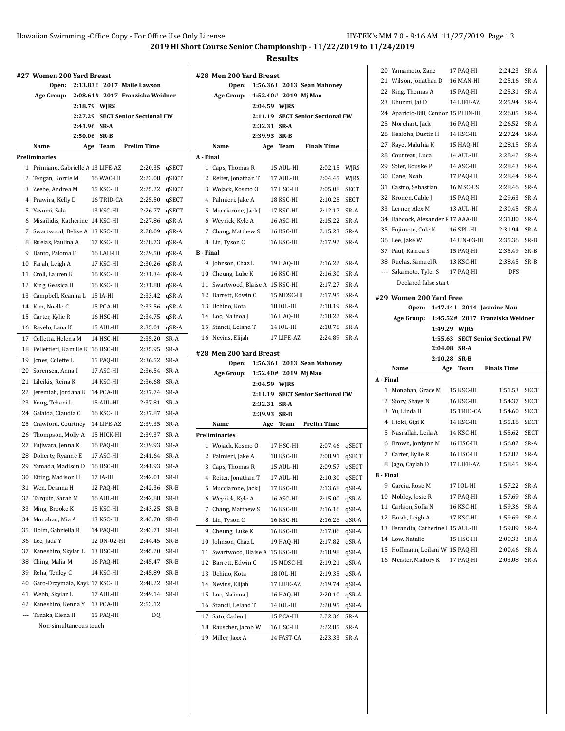# **2019 HI Short Course Senior Championship - 11/22/2019 to 11/24/2019**

|   | Age Group: 2:08.61# 2017 Franziska Weidner |              |                                  |       |
|---|--------------------------------------------|--------------|----------------------------------|-------|
|   |                                            | 2:18.79 WJRS |                                  |       |
|   |                                            |              | 2:27.29 SECT Senior Sectional FW |       |
|   | 2:41.96 SR-A                               |              |                                  |       |
|   | 2:50.06                                    | SR-B         |                                  |       |
|   | Name<br>Age                                | Team         | <b>Prelim Time</b>               |       |
|   | Preliminaries                              |              |                                  |       |
| 1 | Primiano, Gabrielle / 13 LIFE-AZ           |              | 2:20.35                          | qSECT |
|   | 2 Tengan, Korrie M                         | 16 WAC-HI    | 2:23.08                          | qSECT |
|   | 3 Zeebe, Andrea M                          | 15 KSC-HI    | 2:25.22                          | qSECT |
|   | 4 Prawira, Kelly D                         | 16 TRID-CA   | 2:25.50                          | qSECT |
|   | 5 Yasumi, Sala                             | 13 KSC-HI    | 2:26.77                          | qSECT |
|   | 6 Misailidis, Katherine 14 KSC-HI          |              | 2:27.86                          | qSR-A |
|   | 7 Swartwood, Belise A 13 KSC-HI            |              | 2:28.09                          | qSR-A |
|   | 8 Ruelas, Paulina A                        | 17 KSC-HI    | 2:28.73                          | qSR-A |
|   | 9 Banto, Paloma F                          | 16 LAH-HI    | 2:29.50                          | qSR-A |
|   | 10 Farah, Leigh A                          | 17 KSC-HI    | 2:30.26                          | qSR-A |
|   | 11 Croll, Lauren K                         | 16 KSC-HI    | 2:31.34                          | qSR-A |
|   | 12 King, Gessica H                         | 16 KSC-HI    | 2:31.88                          | qSR-A |
|   | 13 Campbell, Keanna L                      | 15 IA-HI     | 2:33.42                          | qSR-A |
|   | 14 Kim, Noelle C                           | 15 PCA-HI    | 2:33.56                          | qSR-A |
|   | 15 Carter, Kylie R                         | 16 HSC-HI    | 2:34.75                          | qSR-A |
|   | 16 Ravelo, Lana K                          | 15 AUL-HI    | 2:35.01                          | qSR-A |
|   | 17 Colletta, Helena M                      | 14 HSC-HI    | 2:35.20                          | SR-A  |
|   | 18 Pellettieri, Kamille K 16 HSC-HI        |              | 2:35.95                          | SR-A  |
|   | 19 Jones, Colette L                        | 15 PAQ-HI    | 2:36.52                          | SR-A  |
|   | 20 Sorensen, Anna I                        | 17 ASC-HI    | 2:36.54                          | SR-A  |
|   | 21 Lileikis, Reina K                       | 14 KSC-HI    | 2:36.68                          | SR-A  |
|   | 22 Jeremiah, Jordana K                     | 14 PCA-HI    | 2:37.74                          | SR-A  |
|   | 23 Kong, Tehani L                          | 15 AUL-HI    | 2:37.81                          | SR-A  |
|   | 24 Galaida, Claudia C                      | 16 KSC-HI    | 2:37.87                          | SR-A  |
|   | 25 Crawford, Courtney                      | 14 LIFE-AZ   | 2:39.35                          | SR-A  |
|   | 26 Thompson, Molly A                       | 15 HICK-HI   | 2:39.37                          | SR-A  |
|   | 27 Fujiwara, Jenna K                       | 16 PAQ-HI    | 2:39.93                          | SR-A  |
|   | 28 Doherty, Ryanne E                       | 17 ASC-HI    | 2:41.64                          | SR-A  |
|   | 29 Yamada, Madison D                       | 16 HSC-HI    | 2:41.93                          | SR-A  |
|   | 30 Eiting, Madison H                       | 17 IA-HI     | 2:42.01                          | SR-B  |
|   | 31 Wen, Deanna H                           | 12 PAQ-HI    | 2:42.36                          | SR-B  |
|   | 32 Tarquin, Sarah M                        | 16 AUL-HI    | 2:42.88                          | SR-B  |
|   | 33 Ming, Brooke K                          | 15 KSC-HI    | 2:43.25                          | SR-B  |
|   | 34 Monahan, Mia A                          | 13 KSC-HI    | 2:43.70                          | SR-B  |
|   | 35 Holm, Gabriella R                       | 14 PAQ-HI    | 2:43.71                          | SR-B  |
|   | 36 Lee, Jada Y                             | 12 UN-02-HI  | 2:44.45                          | SR-B  |
|   | 37 Kaneshiro, Skylar L                     | 13 HSC-HI    | 2:45.20                          | SR-B  |
|   | 38 Ching, Malia M                          | 16 PAQ-HI    | 2:45.47                          | SR-B  |
|   | 39 Reha, Tenley C                          | 14 KSC-HI    | 2:45.89                          | SR-B  |
|   | 40 Garo-Drzymala, Kayl 17 KSC-HI           |              | 2:48.22                          | SR-B  |
|   | 41 Webb, Skylar L                          | 17 AUL-HI    | 2:49.14                          | SR-B  |
|   |                                            |              | 2:53.12                          |       |
|   | 42 Kaneshiro, Kenna Y                      | 13 PCA-HI    |                                  |       |

|                  | #28 Men 200 Yard Breast       |              |            |                                 |         |             |
|------------------|-------------------------------|--------------|------------|---------------------------------|---------|-------------|
|                  | Open:                         |              |            | 1:56.36! 2013 Sean Mahoney      |         |             |
|                  | Age Group:                    |              |            | $1:52.40# 2019$ Mj Mao          |         |             |
|                  |                               | 2:04.59 WJRS |            |                                 |         |             |
|                  |                               | 2:11.19      |            | <b>SECT Senior Sectional FW</b> |         |             |
|                  |                               | 2:32.31      | SR-A       |                                 |         |             |
|                  |                               | 2:39.93      | SR-B       |                                 |         |             |
|                  | Name                          | Age          | Team       | <b>Finals Time</b>              |         |             |
| A - Final        |                               |              |            |                                 |         |             |
| $\mathbf{1}$     | Caps, Thomas R                |              | 15 AUL-HI  |                                 | 2:02.15 | WJRS        |
|                  | 2 Reiter, Jonathan T          |              | 17 AUL-HI  |                                 | 2:04.45 | WJRS        |
|                  | 3 Wojack, Kosmo O             |              | 17 HSC-HI  |                                 | 2:05.08 | <b>SECT</b> |
|                  | 4 Palmieri, Jake A            |              | 18 KSC-HI  |                                 | 2:10.25 | <b>SECT</b> |
|                  | 5 Mucciarone, Jack J          |              | 17 KSC-HI  |                                 | 2:12.17 | SR-A        |
|                  | 6 Weyrick, Kyle A             |              | 16 ASC-HI  |                                 | 2:15.22 | SR-A        |
|                  | 7 Chang, Matthew S            |              | 16 KSC-HI  |                                 | 2:15.23 | SR-A        |
|                  | 8 Lin, Tyson C                |              | 16 KSC-HI  |                                 | 2:17.92 | SR-A        |
| <b>B</b> - Final |                               |              |            |                                 |         |             |
|                  | 9 Johnson, Chaz L             |              | 19 HAQ-HI  |                                 | 2:16.22 | SR-A        |
|                  | 10 Cheung, Luke K             |              | 16 KSC-HI  |                                 | 2:16.30 | SR-A        |
| 11               | Swartwood, Blaise A 15 KSC-HI |              |            |                                 | 2:17.27 | SR-A        |
|                  | 12 Barrett, Edwin C           |              | 15 MDSC-HI |                                 | 2:17.95 | SR-A        |
|                  | 13 Uchino, Kota               |              | 18 IOL-HI  |                                 | 2:18.19 | SR-A        |
|                  | 14 Loo, Na'inoa J             |              | 16 HAQ-HI  |                                 | 2:18.22 | SR-A        |
|                  | 15 Stancil, Leland T          |              | 14 IOL-HI  |                                 | 2:18.76 | SR-A        |
|                  | 16 Nevins, Elijah             |              | 17 LIFE-AZ |                                 | 2:24.89 | SR-A        |
|                  | #28 Men 200 Yard Breast       |              |            |                                 |         |             |
|                  | Open:                         |              |            |                                 |         |             |
|                  |                               | 1:56.36 !    |            | 2013 Sean Mahoney               |         |             |
|                  | Age Group:                    | 1:52.40#     |            | 2019 Mj Mao                     |         |             |
|                  |                               | 2:04.59 WJRS |            |                                 |         |             |
|                  |                               | 2:11.19      |            | <b>SECT Senior Sectional FW</b> |         |             |
|                  |                               | 2:32.31      | SR-A       |                                 |         |             |
|                  |                               | 2:39.93      | SR-B       |                                 |         |             |
|                  | Name                          | Age          | Team       | <b>Prelim Time</b>              |         |             |
|                  | <b>Preliminaries</b>          |              |            |                                 |         |             |
|                  | 1 Wojack, Kosmo O             |              | 17 HSC-HI  |                                 | 2:07.46 | qSECT       |
|                  | 2 Palmieri, Jake A            |              | 18 KSC-HI  |                                 | 2:08.91 | qSECT       |
|                  | 3 Caps, Thomas R              |              | 15 AUL-HI  |                                 | 2:09.57 | qSECT       |
| 4                | Reiter, Jonathan T            |              | 17 AUL-HI  |                                 | 2:10.30 | qSECT       |
| 5                | Mucciarone, Jack J            |              | 17 KSC-HI  |                                 | 2:13.68 | qSR-A       |
| 6                | Weyrick, Kyle A               |              | 16 ASC-HI  |                                 | 2:15.00 | qSR-A       |
| 7                | Chang, Matthew S              |              | 16 KSC-HI  |                                 | 2:16.16 | qSR-A       |
| 8                | Lin, Tyson C                  |              | 16 KSC-HI  |                                 | 2:16.26 | qSR-A       |
| 9                | Cheung, Luke K                |              | 16 KSC-HI  |                                 | 2:17.06 | qSR-A       |
| 10               | Johnson, Chaz L               |              | 19 HAQ-HI  |                                 | 2:17.82 | qSR-A       |
| 11               | Swartwood, Blaise A           |              | 15 KSC-HI  |                                 | 2:18.98 | qSR-A       |
| 12               | Barrett, Edwin C              |              | 15 MDSC-HI |                                 | 2:19.21 | qSR-A       |
| 13               | Uchino, Kota                  |              | 18 IOL-HI  |                                 | 2:19.35 | qSR-A       |
| 14               | Nevins, Elijah                |              | 17 LIFE-AZ |                                 | 2:19.74 | qSR-A       |
| 15               | Loo, Na'inoa J                |              | 16 HAQ-HI  |                                 | 2:20.10 | qSR-A       |
| 16               | Stancil, Leland T             |              | 14 IOL-HI  |                                 | 2:20.95 | qSR-A       |
| 17               | Sato, Caden J                 |              | 15 PCA-HI  |                                 | 2:22.36 | SR-A        |
| 18               | Rauscher, Jacob W             |              | 16 HSC-HI  |                                 | 2:22.85 | SR-A        |
| 19               | Miller, Jaxx A                |              | 14 FAST-CA |                                 | 2:23.33 | SR-A        |

|                  | 20 Yamamoto, Zane                         |  | 17 PAQ-HI              | 2:24.23                          | SR-A         |
|------------------|-------------------------------------------|--|------------------------|----------------------------------|--------------|
|                  | 21 Wilson, Jonathan D                     |  | 16 MAN-HI              | 2:25.16                          | SR-A         |
|                  | 22 King, Thomas A                         |  | 15 PAQ-HI              | 2:25.31                          | SR-A         |
|                  | 23 Khurmi, Jai D                          |  | 14 LIFE-AZ             | 2:25.94                          | SR-A         |
|                  | 24 Aparicio-Bill, Connor 15 PHIN-HI       |  |                        | 2:26.05                          | SR-A         |
|                  | 25 Morehart, Jack                         |  | 16 PAQ-HI              | 2:26.52                          | SR-A         |
|                  | 26 Kealoha, Dustin H                      |  | 14 KSC-HI              | 2:27.24                          | SR-A         |
|                  | 27 Kaye, Maluhia K                        |  | 15 HAQ-HI              | 2:28.15                          | SR-A         |
|                  | 28 Courteau, Luca                         |  | 14 AUL-HI              | 2:28.42                          | SR-A         |
|                  | 29 Soler, Kouske P                        |  | 14 ASC-HI              | 2:28.43                          | SR-A         |
|                  | 30 Dane, Noah                             |  | 17 PAQ-HI              | 2:28.44                          | SR-A         |
|                  | 31 Castro, Sebastian                      |  | 16 MSC-US              | 2:28.46                          | SR-A         |
|                  | 32 Kronen, Cable J                        |  | 15 PAQ-HI              | 2:29.63                          | SR-A         |
|                  | 33 Lerner, Alex M                         |  | 13 AUL-HI              | 2:30.45                          | SR-A         |
|                  | 34 Babcock, Alexander I 17 AAA-HI         |  |                        | 2:31.80                          | SR-A         |
|                  | 35 Fujimoto, Cole K                       |  | 16 SPL-HI              | 2:31.94                          | SR-A         |
|                  | 36 Lee, Jake W                            |  | 14 UN-03-HI            | 2:35.36                          | SR-B         |
|                  | 37 Paul, Kainoa S                         |  | 15 PAQ-HI              | 2:35.49                          | SR-B         |
|                  | 38 Ruelas, Samuel R                       |  | 13 KSC-HI              | 2:38.45                          | SR-B         |
|                  | --- Sakamoto, Tyler S                     |  | 17 PAQ-HI              | DFS                              |              |
|                  | Declared false start                      |  |                        |                                  |              |
|                  |                                           |  |                        |                                  |              |
|                  | #29 Women 200 Yard Free                   |  |                        |                                  |              |
|                  | Open:                                     |  |                        | 1:47.14! 2014 Jasmine Mau        |              |
|                  | Age Group:                                |  |                        | 1:45.52# 2017 Franziska Weidner  |              |
|                  | 1:49.29 WJRS                              |  |                        |                                  |              |
|                  |                                           |  |                        | 1:55.63 SECT Senior Sectional FW |              |
|                  | 2:04.08 SR-A                              |  |                        |                                  |              |
|                  | 2:10.28                                   |  | SR-B                   |                                  |              |
|                  | Name<br>Age                               |  | Team                   | <b>Finals Time</b>               |              |
| A - Final        |                                           |  |                        |                                  |              |
|                  | 1 Monahan, Grace M                        |  | 15 KSC-HI              | 1:51.53                          | <b>SECT</b>  |
|                  | 2 Story, Shaye N                          |  | 16 KSC-HI              | 1:54.37                          | <b>SECT</b>  |
|                  | 3 Yu, Linda H                             |  | 15 TRID-CA             | 1:54.60                          | <b>SECT</b>  |
|                  | 4 Hioki, Gigi K                           |  | 14 KSC-HI              | 1:55.16                          | <b>SECT</b>  |
|                  | 5 Nasrallah, Leila A                      |  | 14 KSC-HI              | 1:55.62                          | <b>SECT</b>  |
|                  | 6 Brown, Jordynn M                        |  | 16 HSC-HI              | 1:56.02                          | SR-A         |
|                  | 7 Carter, Kylie R                         |  | 16 HSC-HI              | 1:57.82                          | SR-A         |
|                  | 8 Jago, Caylah D                          |  | 17 LIFE-AZ             | 1:58.45                          | SR-A         |
| <b>B</b> - Final |                                           |  |                        |                                  |              |
| 9                | Garcia, Rose M                            |  | 17 IOL-HI              | 1:57.22                          | SR-A         |
| 10<br>11         | Mobley, Josie R                           |  | 17 PAQ-HI<br>16 KSC-HI | 1:57.69<br>1:59.36               | SR-A<br>SR-A |
|                  | Carlson, Sofia N                          |  |                        |                                  |              |
| 12               | Farah, Leigh A                            |  | 17 KSC-HI              | 1:59.69                          | SR-A<br>SR-A |
| 13               | Ferandin, Catherine 1 15 AUL-HI           |  | 15 HSC-HI              | 1:59.89<br>2:00.33               | SR-A         |
|                  | 14 Low, Natalie                           |  |                        |                                  |              |
| 15<br>16         | Hoffmann, Leilani W<br>Meister, Mallory K |  | 15 PAQ-HI<br>17 PAQ-HI | 2:00.46<br>2:03.08               | SR-A<br>SR-A |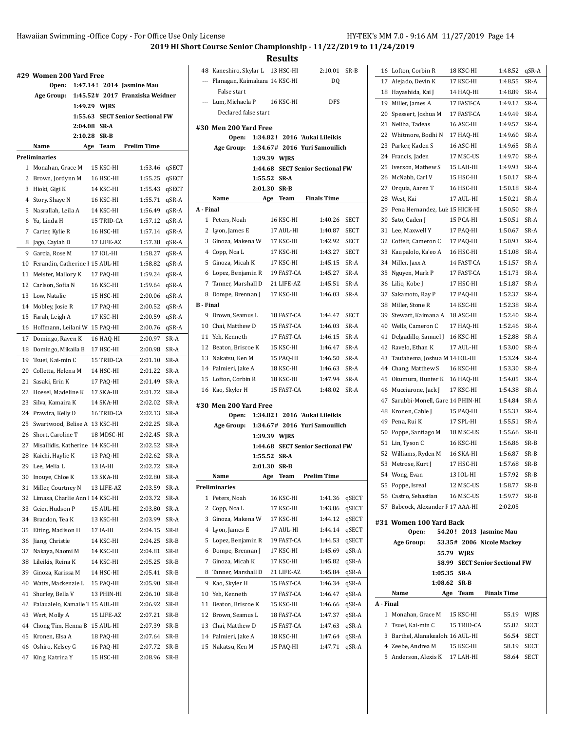**2019 HI Short Course Senior Championship - 11/22/2019 to 11/24/2019**

|    | Open:                            | 1:47.14!     |            | 2014 Jasmine Mau                |       |
|----|----------------------------------|--------------|------------|---------------------------------|-------|
|    | Age Group:                       |              |            | 1:45.52# 2017 Franziska Weidner |       |
|    |                                  | 1:49.29 WJRS |            |                                 |       |
|    |                                  | 1:55.63      |            | <b>SECT Senior Sectional FW</b> |       |
|    |                                  | 2:04.08      | SR-A       |                                 |       |
|    |                                  | 2:10.28      | SR-B       |                                 |       |
|    | Name                             | Age          | Team       | <b>Prelim Time</b>              |       |
|    | Preliminaries                    |              |            |                                 |       |
|    | 1 Monahan, Grace M               |              | 15 KSC-HI  | 1:53.46                         | qSECT |
|    | 2 Brown, Jordynn M               |              | 16 HSC-HI  | 1:55.25                         | qSECT |
|    | 3 Hioki, Gigi K                  |              | 14 KSC-HI  | 1:55.43                         | qSECT |
|    | 4 Story, Shaye N                 |              | 16 KSC-HI  | 1:55.71                         | qSR-A |
| 5  | Nasrallah, Leila A               |              | 14 KSC-HI  | 1:56.49                         | qSR-A |
| 6  | Yu, Linda H                      |              | 15 TRID-CA | 1:57.12                         | qSR-A |
|    | 7 Carter, Kylie R                |              | 16 HSC-HI  | 1:57.14                         | qSR-A |
| 8  | Jago, Caylah D                   |              | 17 LIFE-AZ | 1:57.38                         | qSR-A |
| 9. | Garcia, Rose M                   |              | 17 IOL-HI  | 1:58.27                         | qSR-A |
| 10 | Ferandin, Catherine 1 15 AUL-HI  |              |            | 1:58.82                         | qSR-A |
| 11 | Meister, Mallory K               |              | 17 PAQ-HI  | 1:59.24                         | qSR-A |
| 12 | Carlson, Sofia N                 |              | 16 KSC-HI  | 1:59.64                         | qSR-A |
| 13 | Low, Natalie                     |              | 15 HSC-HI  | 2:00.06                         | qSR-A |
|    | 14 Mobley, Josie R               |              | 17 PAQ-HI  | 2:00.52                         | qSR-A |
| 15 | Farah, Leigh A                   |              | 17 KSC-HI  | 2:00.59                         | qSR-A |
|    | 16 Hoffmann, Leilani W 15 PAQ-HI |              |            | 2:00.76                         | qSR-A |
| 17 | Domingo, Raven K                 |              | 16 HAQ-HI  | 2:00.97                         | SR-A  |
|    | 18 Domingo, Mikaila B            |              | 17 HSC-HI  | 2:00.98                         | SR-A  |
|    | 19 Tsuei, Kai-min C              |              | 15 TRID-CA | 2:01.10                         | SR-A  |
| 20 | Colletta, Helena M               |              | 14 HSC-HI  | 2:01.22                         | SR-A  |
| 21 | Sasaki, Erin K                   |              | 17 PAQ-HI  | 2:01.49                         | SR-A  |
| 22 | Hoesel, Madeline K               |              | 17 SKA-HI  | 2:01.72                         | SR-A  |
| 23 | Silva, Kamaira K                 |              | 14 SKA-HI  | 2:02.02                         | SR-A  |
| 24 | Prawira, Kelly D                 |              | 16 TRID-CA | 2:02.13                         | SR-A  |
| 25 | Swartwood, Belise A 13 KSC-HI    |              |            | 2:02.25                         | SR-A  |
| 26 | Short, Caroline T                |              | 18 MDSC-HI | 2:02.45                         | SR-A  |
| 27 | Misailidis, Katherine 14 KSC-HI  |              |            | 2:02.52                         | SR-A  |
| 28 | Kaichi, Haylie K                 |              | 13 PAQ-HI  | 2:02.62                         | SR-A  |
| 29 | Lee, Melia L                     |              | 13 IA-HI   | 2:02.72                         | SR-A  |
| 30 | Inouye, Chloe K                  |              | 13 SKA-HI  | 2:02.80                         | SR-A  |
| 31 | Miller, Courtney N               |              | 13 LIFE-AZ | 2:03.59                         | SR-A  |
| 32 | Limasa, Charlie Ann   14 KSC-HI  |              |            | 2:03.72                         | SR-A  |
| 33 | Geier, Hudson P                  |              | 15 AUL-HI  | 2:03.80                         | SR-A  |
|    | 34 Brandon, Tea K                |              | 13 KSC-HI  | 2:03.99                         | SR-A  |
| 35 | Eiting, Madison H                |              | 17 IA-HI   | 2:04.15                         | SR-B  |
| 36 | Jiang, Christie                  |              | 14 KSC-HI  | 2:04.25                         | SR-B  |
| 37 | Nakaya, Naomi M                  |              | 14 KSC-HI  | 2:04.81                         | SR-B  |
| 38 | Lileikis, Reina K                |              | 14 KSC-HI  | 2:05.25                         | SR-B  |
| 39 | Ginoza, Karissa M                |              | 14 HSC-HI  | 2:05.41                         | SR-B  |
| 40 | Watts, Mackenzie L               |              | 15 PAQ-HI  | 2:05.90                         | SR-B  |
| 41 | Shurley, Bella V                 |              | 13 PHIN-HI | 2:06.10                         | SR-B  |
| 42 | Palaualelo, Kamaile 1 15 AUL-HI  |              |            | 2:06.92                         | SR-B  |
| 43 | Wert, Molly A                    |              | 15 LIFE-AZ | 2:07.21                         | SR-B  |
| 44 | Chong Tim, Henna B 15 AUL-HI     |              |            | 2:07.39                         | SR-B  |
| 45 | Kronen, Elsa A                   |              | 18 PAQ-HI  | 2:07.64                         | SR-B  |
| 46 | Oshiro, Kelsey G                 |              | 16 PAQ-HI  | 2:07.72                         | SR-B  |
| 47 | King, Katrina Y                  |              | 15 HSC-HI  | 2:08.96                         | SR-B  |
|    |                                  |              |            |                                 |       |

|                       | 48 Kaneshiro, Skylar L 13 HSC-HI  |              |     |              | 2:10.01                          | SR-B        |
|-----------------------|-----------------------------------|--------------|-----|--------------|----------------------------------|-------------|
|                       | --- Flanagan, Kaimakana 14 KSC-HI |              |     |              | D <sub>0</sub>                   |             |
|                       | False start                       |              |     |              |                                  |             |
|                       | --- Lum, Michaela P               |              |     | 16 KSC-HI    | <b>DFS</b>                       |             |
|                       | Declared false start              |              |     |              |                                  |             |
|                       | #30 Men 200 Yard Free             |              |     |              |                                  |             |
|                       | Open:                             |              |     |              | 1:34.82! 2016 'Aukai Lileikis    |             |
|                       | Age Group:                        |              |     |              | 1:34.67# 2016 Yuri Samouilich    |             |
|                       |                                   |              |     | 1:39.39 WJRS |                                  |             |
|                       |                                   |              |     |              | 1:44.68 SECT Senior Sectional FW |             |
|                       |                                   | 1:55.52 SRA  |     |              |                                  |             |
|                       |                                   | 2:01.30 SR-B |     |              |                                  |             |
|                       | Name                              |              | Age | Team         | <b>Finals Time</b>               |             |
| A - Final             |                                   |              |     |              |                                  |             |
|                       | 1 Peters, Noah                    |              |     | 16 KSC-HI    | 1:40.26                          | SECT        |
|                       | 2 Lyon, James E                   |              |     | 17 AUL-HI    | 1:40.87                          | SECT        |
|                       | 3 Ginoza, Makena W                |              |     | 17 KSC-HI    | 1:42.92                          | <b>SECT</b> |
|                       | 4 Copp, Noa L                     |              |     | 17 KSC-HI    | 1:43.27                          | <b>SECT</b> |
|                       | 5 Ginoza, Micah K                 |              |     | 17 KSC-HI    | 1:45.15                          | SR-A        |
|                       | 6 Lopez, Benjamin R               |              |     | 19 FAST-CA   | 1:45.27                          | SR-A        |
| 7                     | Tanner, Marshall D                |              |     | 21 LIFE-AZ   | 1:45.51                          | SR-A        |
| 8                     | Dompe, Brennan J                  |              |     | 17 KSC-HI    | 1:46.03                          | SR-A        |
| <b>B</b> - Final<br>9 | Brown, Seamus L                   |              |     | 18 FAST-CA   | 1:44.47                          | <b>SECT</b> |
|                       | 10 Chai, Matthew D                |              |     | 15 FAST-CA   | 1:46.03                          | SR-A        |
|                       | 11 Yeh, Kenneth                   |              |     | 17 FAST-CA   | 1:46.15                          | SR-A        |
|                       | 12 Beaton, Briscoe K              |              |     | 15 KSC-HI    | 1:46.47                          | SR-A        |
|                       | 13 Nakatsu, Ken M                 |              |     | 15 PAQ-HI    | 1:46.50                          | SR-A        |
|                       | 14 Palmieri, Jake A               |              |     | 18 KSC-HI    | 1:46.63                          | SR-A        |
|                       | 15 Lofton, Corbin R               |              |     | 18 KSC-HI    | 1.47.94                          | SR-A        |
|                       | 16 Kao, Skyler H                  |              |     | 15 FAST-CA   | 1:48.02                          | SR-A        |
|                       |                                   |              |     |              |                                  |             |
|                       |                                   |              |     |              |                                  |             |
|                       | #30 Men 200 Yard Free             |              |     |              |                                  |             |
|                       | Open:                             |              |     |              | 1:34.82! 2016 'Aukai Lileikis    |             |
|                       | Age Group:                        |              |     |              | 1:34.67# 2016 Yuri Samouilich    |             |
|                       |                                   |              |     | 1:39.39 WJRS |                                  |             |
|                       |                                   | 1:55.52 SRA  |     |              | 1:44.68 SECT Senior Sectional FW |             |
|                       |                                   | 2:01.30 SR-B |     |              |                                  |             |
|                       | Name                              |              | Age | Team         | <b>Prelim Time</b>               |             |
|                       | Preliminaries                     |              |     |              |                                  |             |
| 1                     | Peters, Noah                      |              |     | 16 KSC-HI    | 1:41.36                          | qSECT       |
| 2                     | Copp, Noa L                       |              |     | 17 KSC-HI    | 1:43.86                          | qSECT       |
| 3                     | Ginoza, Makena W                  |              |     | 17 KSC-HI    | 1:44.12                          | qSECT       |
| 4                     | Lyon, James E                     |              |     | 17 AUL-HI    | 1:44.14                          | qSECT       |
| 5                     | Lopez, Benjamin R                 |              |     | 19 FAST-CA   | 1:44.53                          | qSECT       |
| 6                     | Dompe, Brennan J                  |              |     | 17 KSC-HI    | 1:45.69                          | qSR-A       |
| 7                     | Ginoza, Micah K                   |              |     | 17 KSC-HI    | 1:45.82                          | qSR-A       |
| 8                     | Tanner, Marshall D                |              |     | 21 LIFE-AZ   | 1:45.84                          | qSR-A       |
| 9                     | Kao, Skyler H                     |              |     | 15 FAST-CA   | 1:46.34                          | qSR-A       |
| 10                    | Yeh, Kenneth                      |              |     | 17 FAST-CA   | 1:46.47                          | qSR-A       |
| 11                    | Beaton, Briscoe K                 |              |     | 15 KSC-HI    | 1:46.66                          | qSR-A       |
| 12                    | Brown, Seamus L                   |              |     | 18 FAST-CA   | 1:47.37                          | qSR-A       |
| 13                    | Chai, Matthew D                   |              |     | 15 FAST-CA   | 1:47.63                          | qSR-A       |
| 14                    | Palmieri, Jake A                  |              |     | 18 KSC-HI    | 1:47.64                          | qSR-A       |
| 15                    | Nakatsu, Ken M                    |              |     | 15 PAQ-HI    | 1:47.71                          | qSR-A       |

| 16        | Lofton, Corbin R                      | 18 KSC-HI              | 1:48.52                        | qSR-A        |
|-----------|---------------------------------------|------------------------|--------------------------------|--------------|
| 17        | Alejado, Devin K                      | 17 KSC-HI              | 1:48.55                        | SR-A         |
| 18        | Hayashida, Kai J                      | 14 HAQ-HI              | 1:48.89                        | SR-A         |
| 19        | Miller, James A                       | 17 FAST-CA             | 1:49.12                        | SR-A         |
| 20        | Spessert, Joshua M                    | 17 FAST-CA             | 1:49.49                        | SR-A         |
| 21        | Neliba, Tadeas                        | 16 ASC-HI              | 1:49.57                        | SR-A         |
| 22        | Whitmore, Bodhi N                     | 17 HAQ-HI              | 1:49.60                        | SR-A         |
| 23        | Parker, Kaden S                       | 16 ASC-HI              | 1:49.65                        | SR-A         |
| 24        | Francis, Jaden                        | 17 MSC-US              | 1:49.70                        | SR-A         |
| 25        | Iverson, Mathew S                     | 15 LAH-HI              | 1:49.93                        | SR-A         |
| 26        | McNabb, Carl V                        | 15 HSC-HI              | 1:50.17                        | SR-A         |
| 27        | Orquia, Aaren T                       | 16 HSC-HI              | 1:50.18                        | SR-A         |
| 28        | West, Kai                             | 17 AUL-HI              | 1:50.21                        | SR-A         |
| 29        | Pena Hernandez, Lui 15 HICK-HI        |                        | 1:50.50                        | SR-A         |
| 30        | Sato, Caden J                         | 15 PCA-HI              | 1:50.51                        | SR-A         |
| 31        | Lee, Maxwell Y                        | 17 PAQ-HI              | 1:50.67                        | SR-A         |
| 32        | Coffelt, Cameron C                    | 17 PAQ-HI              | 1:50.93                        | SR-A         |
| 33        | Kaupalolo, Ka'eo A                    | 16 HSC-HI              | 1:51.08                        | SR-A         |
| 34        | Miller, Jaxx A                        | 14 FAST-CA             | 1:51.57                        | SR-A         |
| 35        | Nguyen, Mark P                        | 17 FAST-CA             | 1:51.73                        | SR-A         |
| 36        | Lilio, Kobe J                         | 17 HSC-HI              | 1:51.87                        | SR-A         |
| 37        | Sakamoto, Ray P                       | 17 PAQ-HI              | 1:52.37                        | SR-A         |
| 38        | Miller, Stone R                       | 14 KSC-HI              | 1:52.38                        | SR-A         |
| 39        | Stewart, Kaimana A                    | 18 ASC-HI              | 1:52.40                        | SR-A         |
|           | Wells, Cameron C                      | 17 HAQ-HI              | 1:52.46                        |              |
| 40<br>41  |                                       |                        | 1:52.88                        | SR-A<br>SR-A |
| 42        | Delgadillo, Samuel J                  | 16 KSC-HI<br>17 AUL-HI | 1:53.00                        | SR-A         |
|           | Ravelo, Ethan K                       |                        |                                |              |
| 43<br>44  | Taufahema, Joshua M 14 IOL-HI         | 16 KSC-HI              | 1:53.24<br>1:53.30             | SR-A<br>SR-A |
| 45        | Chang, Matthew S<br>Okumura, Hunter K | 16 HAQ-HI              | 1:54.05                        | SR-A         |
| 46        | Mucciarone, Jack J                    | 17 KSC-HI              | 1:54.38                        | SR-A         |
| 47        | Sarubbi-Monell, Gare 14 PHIN-HI       |                        | 1:54.84                        | SR-A         |
| 48        |                                       | 15 PAQ-HI              | 1:55.33                        | SR-A         |
| 49        | Kronen, Cable J<br>Pena, Rui K        | 17 SPL-HI              | 1:55.51                        | SR-A         |
| 50        | Poppe, Santiago M                     | 18 MSC-US              | 1:55.66                        | SR-B         |
| 51        | Lin, Tyson C                          | 16 KSC-HI              | 1:56.86                        | SR-B         |
| 52        | Williams, Ryden M                     | 16 SKA-HI              | 1:56.87                        |              |
| 53        | Metrose, Kurt J                       | 17 HSC-HI              | 1:57.68                        | SR-B<br>SR-B |
|           | 54 Wong, Evan                         | 13 IOL-HI              | 1:57.92                        | SR-B         |
|           | 55 Poppe, Isreal                      |                        | 1:58.77                        | SR-B         |
|           | 56 Castro, Sebastian                  | 12 MSC-US<br>16 MSC-US | 1:59.77                        | $SR-B$       |
|           | 57 Babcock, Alexander I 17 AAA-HI     |                        | 2:02.05                        |              |
|           |                                       |                        |                                |              |
|           | #31 Women 100 Yard Back               |                        |                                |              |
|           | Open:                                 |                        | 54.20! 2013 Jasmine Mau        |              |
|           | Age Group:                            |                        | 53.35# 2006 Nicole Mackey      |              |
|           |                                       | 55.79 WJRS             | 58.99 SECT Senior Sectional FW |              |
|           | 1:05.35 SRA                           |                        |                                |              |
|           | 1:08.62 SR-B                          |                        |                                |              |
|           | Name<br>Age                           | Team                   | <b>Finals Time</b>             |              |
| A - Final |                                       |                        |                                |              |
|           | 1 Monahan, Grace M                    | 15 KSC-HI              | 55.19                          | WJRS         |
|           | 2 Tsuei, Kai-min C                    | 15 TRID-CA             | 55.82                          | <b>SECT</b>  |
|           | 3 Barthel, Alanakealoh 16 AUL-HI      |                        | 56.54                          | <b>SECT</b>  |
|           | 4 Zeebe, Andrea M                     | 15 KSC-HI              | 58.19                          | <b>SECT</b>  |
|           | 5 Anderson, Alexis K                  | 17 LAH-HI              | 58.64                          | <b>SECT</b>  |
|           |                                       |                        |                                |              |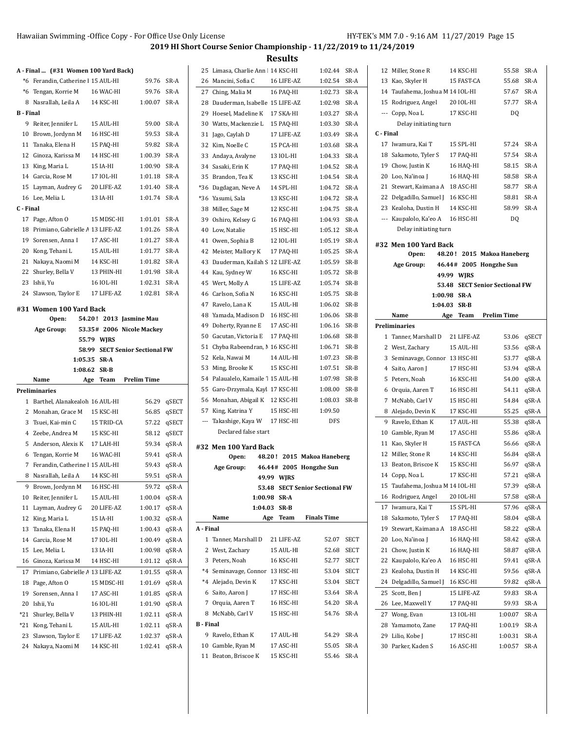## **2019 HI Short Course Senior Championship - 11/22/2019 to 11/24/2019**

|                                                             | <b>Results</b>                                         |                                                        |
|-------------------------------------------------------------|--------------------------------------------------------|--------------------------------------------------------|
| A - Final  (#31 Women 100 Yard Back)                        | 25 Limasa, Charlie Ann   14 KSC-HI<br>1:02.44 SR-A     | 12 Miller, Stone R<br>14 KSC-HI<br>55.58 SR-A          |
| *6 Ferandin, Catherine 1 15 AUL-HI<br>59.76 SR-A            | 1:02.54 SR-A<br>26 Mancini, Sofia C<br>16 LIFE-AZ      | 13 Kao, Skyler H<br>15 FAST-CA<br>55.68<br>SR-A        |
| *6 Tengan, Korrie M<br>59.76 SR-A<br>16 WAC-HI              | 16 PAQ-HI<br>1:02.73 SR-A<br>27 Ching, Malia M         | 14 Taufahema, Joshua M 14 IOL-HI<br>57.67<br>SR-A      |
| 8 Nasrallah, Leila A<br>14 KSC-HI<br>1:00.07 SR-A           | 1:02.98 SR-A<br>28 Dauderman, Isabelle 15 LIFE-AZ      | 57.77<br>SR-A<br>15 Rodriguez, Angel<br>20 IOL-HI      |
| <b>B</b> - Final                                            | 1:03.27<br>SR-A<br>29 Hoesel, Madeline K 17 SKA-HI     | 17 KSC-HI<br>DQ<br>--- Copp, Noa L                     |
| 9 Reiter, Jennifer L<br>15 AUL-HI<br>59.00 SR-A             | 30 Watts, Mackenzie L<br>1:03.30 SR-A<br>15 PAQ-HI     | Delay initiating turn                                  |
| 10 Brown, Jordynn M<br>16 HSC-HI<br>59.53 SR-A              | 31 Jago, Caylah D<br>17 LIFE-AZ<br>1:03.49 SR-A        | C - Final                                              |
| 59.82 SR-A<br>11 Tanaka, Elena H<br>15 PAQ-HI               | 32 Kim, Noelle C<br>15 PCA-HI<br>1:03.68 SR-A          | 17 Iwamura, Kai T<br>15 SPL-HI<br>57.24 SR-A           |
| 12 Ginoza, Karissa M<br>1:00.39 SR-A<br>14 HSC-HI           | 1:04.33 SR-A<br>33 Andaya, Avalyne<br>13 IOL-HI        | 57.54 SR-A<br>18 Sakamoto, Tyler S<br>17 PAQ-HI        |
| 1:00.90 SR-A<br>13 King, Maria L<br>15 IA-HI                | 34 Sasaki, Erin K<br>17 PAQ-HI<br>1:04.52 SR-A         | 19 Chow, Justin K<br>16 HAQ-HI<br>58.15<br>SR-A        |
| 14 Garcia, Rose M<br>17 IOL-HI<br>1:01.18 SR-A              | 1:04.54 SR-A<br>35 Brandon, Tea K<br>13 KSC-HI         | 20 Loo, Na'inoa J<br>16 HAQ-HI<br>58.58 SR-A           |
| 15 Layman, Audrey G<br>20 LIFE-AZ<br>1:01.40 SR-A           | 1:04.72 SR-A<br>*36 Dagdagan, Neve A<br>14 SPL-HI      | 58.77<br>21 Stewart, Kaimana A 18 ASC-HI<br>SR-A       |
| 16 Lee, Melia L<br>1:01.74 SR-A<br>13 IA-HI                 | *36 Yasumi, Sala<br>13 KSC-HI<br>1:04.72 SR-A          | 58.81<br>22 Delgadillo, Samuel J<br>SR-A<br>16 KSC-HI  |
| C - Final                                                   | 38 Miller, Sage M<br>12 KSC-HI<br>1:04.75 SR-A         | 58.99 SR-A<br>23 Kealoha, Dustin H<br>14 KSC-HI        |
| 17 Page, Afton O<br>15 MDSC-HI<br>1:01.01 SR-A              | 1:04.93 SR-A<br>39<br>Oshiro, Kelsey G<br>16 PAQ-HI    | DQ<br>--- Kaupalolo, Ka'eo A<br>16 HSC-HI              |
| 18 Primiano, Gabrielle / 13 LIFE-AZ<br>1:01.26 SR-A         | 40 Low, Natalie<br>15 HSC-HI<br>1:05.12 SR-A           | Delay initiating turn                                  |
| 19 Sorensen, Anna I<br>17 ASC-HI<br>1:01.27 SR-A            | 1:05.19 SR-A<br>41 Owen, Sophia B<br>12 IOL-HI         | #32 Men 100 Yard Back                                  |
| 20 Kong, Tehani L<br>15 AUL-HI<br>1:01.77 SR-A              | 1:05.25 SR-A<br>42 Meister, Mallory K<br>17 PAQ-HI     | 48.20! 2015 Makoa Haneberg<br>Open:                    |
| 21 Nakaya, Naomi M<br>14 KSC-HI<br>1:01.82 SR-A             | 43 Dauderman, Kailah S 12 LIFE-AZ<br>1:05.59 SR-B      | <b>Age Group:</b><br>46.44# 2005 Hongzhe Sun           |
| 1:01.98 SR-A<br>22 Shurley, Bella V<br>13 PHIN-HI           | 44 Kau, Sydney W<br>16 KSC-HI<br>1:05.72 SR-B          | 49.99 WJRS                                             |
| 23 Ishii, Yu<br>16 IOL-HI<br>1:02.31 SR-A                   | 45 Wert, Molly A<br>15 LIFE-AZ<br>1:05.74 SR-B         | 53.48 SECT Senior Sectional FW                         |
| 24 Slawson, Taylor E<br>17 LIFE-AZ<br>1:02.81 SR-A          | 16 KSC-HI<br>1:05.75 SR-B<br>46 Carlson, Sofia N       | 1:00.98 SR-A                                           |
|                                                             | 47 Ravelo, Lana K<br>15 AUL-HI<br>1:06.02 SR-B         | 1:04.03 SR-B                                           |
| #31 Women 100 Yard Back<br>Open:<br>54.20! 2013 Jasmine Mau | 1:06.06 SR-B<br>48 Yamada, Madison D<br>16 HSC-HI      | Age Team<br><b>Prelim Time</b><br>Name                 |
| Age Group:<br>53.35# 2006 Nicole Mackey                     | 49 Doherty, Ryanne E<br>17 ASC-HI<br>1:06.16 SR-B      | <b>Preliminaries</b>                                   |
| 55.79 WJRS                                                  | Gacutan, Victoria E<br>17 PAQ-HI<br>1:06.68 SR-B<br>50 | 1 Tanner, Marshall D<br>53.06<br>qSECT<br>21 LIFE-AZ   |
| 58.99 SECT Senior Sectional FW                              | Chyba Rabeendran, N 16 KSC-HI<br>1:06.71 SR-B<br>51    | 2 West, Zachary<br>15 AUL-HI<br>53.56<br>qSR-A         |
| 1:05.35 SR-A                                                | 52 Kela, Nawai M<br>14 AUL-HI<br>1:07.23 SR-B          | 3 Seminavage, Connor 13 HSC-HI<br>53.77<br>qSR-A       |
| 1:08.62 SR-B                                                | 1:07.51 SR-B<br>53 Ming, Brooke K<br>15 KSC-HI         | 17 HSC-HI<br>53.94<br>qSR-A<br>4 Saito, Aaron J        |
| Age Team<br><b>Prelim Time</b><br>Name                      | 1:07.98 SR-B<br>54 Palaualelo, Kamaile 1 15 AUL-HI     | 5 Peters, Noah<br>16 KSC-HI<br>54.00<br>qSR-A          |
| Preliminaries                                               | 55 Garo-Drzymala, Kayl: 17 KSC-HI<br>1:08.00 SR-B      | 16 HSC-HI<br>54.11<br>qSR-A<br>6 Orquia, Aaren T       |
| 56.29<br>qSECT<br>1 Barthel, Alanakealoh 16 AUL-HI          | 56 Monahan, Abigail K 12 KSC-HI<br>1:08.03 SR-B        | 7 McNabb, Carl V<br>15 HSC-HI<br>54.84<br>qSR-A        |
| 56.85<br>qSECT<br>2 Monahan, Grace M<br>15 KSC-HI           | 1:09.50<br>57 King, Katrina Y<br>15 HSC-HI             | 8 Alejado, Devin K<br>17 KSC-HI<br>55.25<br>qSR-A      |
| 3 Tsuei, Kai-min C<br>15 TRID-CA<br>57.22 qSECT             | --- Takashige, Kaya W<br>DFS<br>17 HSC-HI              | 9 Ravelo, Ethan K<br>17 AUL-HI<br>55.38<br>qSR-A       |
| 15 KSC-HI<br>4 Zeebe, Andrea M<br>58.12 qSECT               | Declared false start                                   | 17 ASC-HI<br>10 Gamble, Ryan M<br>55.86<br>qSR-A       |
| 59.34 qSR-A<br>5 Anderson, Alexis K<br>17 LAH-HI            | #32 Men 100 Yard Back                                  | 11 Kao, Skyler H<br>15 FAST-CA<br>qSR-A<br>56.66       |
| 6 Tengan, Korrie M<br>59.41 qSR-A<br>16 WAC-HI              | 48.20! 2015 Makoa Haneberg<br>Open:                    | 12 Miller, Stone R<br>14 KSC-HI<br>56.84<br>qSR-A      |
| 59.43 qSR-A<br>7 Ferandin, Catherine 1 15 AUL-HI            | 46.44# 2005 Hongzhe Sun<br>Age Group:                  | 56.97 qSR-A<br>13 Beaton, Briscoe K<br>15 KSC-HI       |
| 59.51 qSR-A<br>8 Nasrallah, Leila A<br>14 KSC-HI            | 49.99 WJRS                                             | 14 Copp, Noa L<br>17 KSC-HI<br>57.21 qSR-A             |
| 9 Brown, Jordynn M<br>16 HSC-HI<br>59.72 qSR-A              | 53.48 SECT Senior Sectional FW                         | 15 Taufahema, Joshua M 14 IOL-HI<br>57.39<br>qSR-A     |
| 1:00.04 qSR-A<br>10 Reiter, Jennifer L<br>15 AUL-HI         | 1:00.98 SR-A                                           | 16 Rodriguez, Angel<br>20 IOL-HI<br>57.58<br>qSR-A     |
| 11 Layman, Audrey G<br>20 LIFE-AZ<br>1:00.17 qSR-A          | 1:04.03 SR-B                                           | 17 Iwamura, Kai T<br>15 SPL-HI<br>qSR-A<br>57.96       |
| 1:00.32 qSR-A<br>12 King, Maria L<br>15 IA-HI               | Age Team<br><b>Finals Time</b><br>Name                 | 18 Sakamoto, Tyler S<br>17 PAQ-HI<br>58.04<br>qSR-A    |
| 13 Tanaka, Elena H<br>1:00.43 qSR-A<br>15 PAQ-HI            | A - Final                                              | 18 ASC-HI<br>19 Stewart, Kaimana A<br>58.22<br>qSR-A   |
| 1:00.49 qSR-A<br>14 Garcia, Rose M<br>17 IOL-HI             | 52.07 SECT<br>1 Tanner, Marshall D<br>21 LIFE-AZ       | 20 Loo, Na'inoa J<br>16 HAQ-HI<br>58.42<br>qSR-A       |
| 1:00.98 qSR-A<br>15 Lee, Melia L<br>13 IA-HI                | 2 West, Zachary<br>15 AUL-HI<br>52.68 SECT             | 21 Chow, Justin K<br>16 HAQ-HI<br>58.87<br>qSR-A       |
| 16 Ginoza, Karissa M<br>14 HSC-HI<br>1:01.12 qSR-A          | 3 Peters, Noah<br>16 KSC-HI<br>52.77 SECT              | 22 Kaupalolo, Ka'eo A<br>16 HSC-HI<br>59.41 qSR-A      |
| 17 Primiano, Gabrielle / 13 LIFE-AZ<br>1:01.55 qSR-A        | 53.04 SECT<br>*4 Seminavage, Connor 13 HSC-HI          | 23 Kealoha, Dustin H<br>14 KSC-HI<br>59.56 qSR-A       |
| 18 Page, Afton O<br>15 MDSC-HI<br>1:01.69 qSR-A             | *4 Alejado, Devin K<br>17 KSC-HI<br>53.04 SECT         | 24 Delgadillo, Samuel J<br>16 KSC-HI<br>59.82<br>qSR-A |
| 19 Sorensen, Anna I<br>17 ASC-HI<br>1:01.85 qSR-A           | 6 Saito, Aaron J<br>17 HSC-HI<br>53.64 SR-A            | 25 Scott, Ben J<br>15 LIFE-AZ<br>59.83 SR-A            |
| 20 Ishii, Yu<br>16 IOL-HI<br>1:01.90 qSR-A                  | 7 Orquia, Aaren T<br>54.20 SR-A<br>16 HSC-HI           | 59.93 SR-A<br>26 Lee, Maxwell Y<br>17 PAQ-HI           |
| *21 Shurley, Bella V<br>13 PHIN-HI<br>1:02.11 qSR-A         | 8 McNabb, Carl V<br>15 HSC-HI<br>54.76 SR-A            | 27 Wong, Evan<br>13 IOL-HI<br>1:00.07 SR-A             |
| 1:02.11 qSR-A<br>*21 Kong, Tehani L<br>15 AUL-HI            | <b>B</b> - Final                                       | 28 Yamamoto, Zane<br>17 PAQ-HI<br>1:00.19 SR-A         |
| 23 Slawson, Taylor E<br>17 LIFE-AZ<br>1:02.37 qSR-A         | 9 Ravelo, Ethan K<br>17 AUL-HI<br>54.29 SR-A           | 29 Lilio, Kobe J<br>17 HSC-HI<br>1:00.31 SR-A          |
| 24 Nakaya, Naomi M<br>14 KSC-HI<br>1:02.41 qSR-A            | 10 Gamble, Ryan M<br>17 ASC-HI<br>55.05 SR-A           | 30 Parker, Kaden S<br>16 ASC-HI<br>1:00.57 SR-A        |
|                                                             | 11 Beaton, Briscoe K<br>15 KSC-HI<br>55.46 SR-A        |                                                        |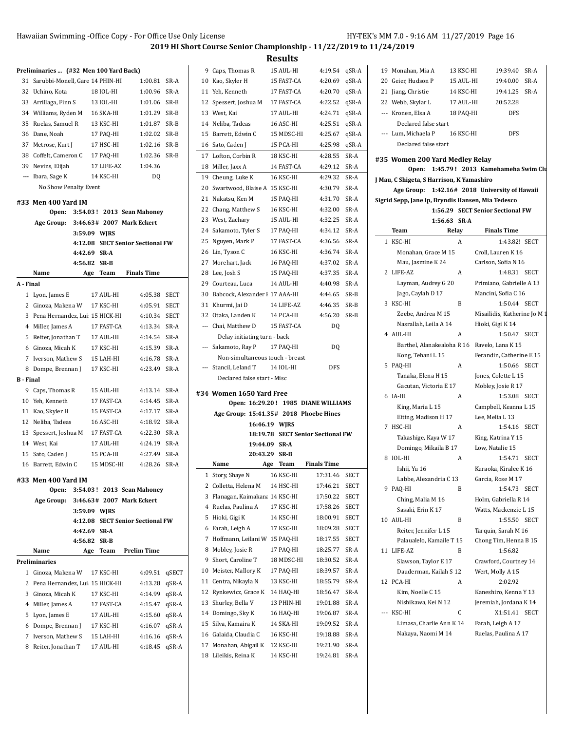## **2019 HI Short Course Senior Championship - 11/22/2019 to 11/24/2019**

|                  | Preliminaries  (#32 Men 100 Yard Back)   |     |              |                                  |             |
|------------------|------------------------------------------|-----|--------------|----------------------------------|-------------|
| 31               | Sarubbi-Monell, Gare 14 PHIN-HI          |     |              | 1:00.81                          | SR-A        |
| 32               | Uchino, Kota                             |     | 18 IOL-HI    | 1:00.96                          | SR-A        |
| 33               | Arrillaga, Finn S                        |     | 13 IOL-HI    | 1:01.06                          | $SR-B$      |
| 34               | Williams, Ryden M                        |     | 16 SKA-HI    | 1:01.29                          | $SR-B$      |
| 35               | Ruelas, Samuel R                         |     | 13 KSC-HI    | 1:01.87                          | SR-B        |
| 36               | Dane, Noah                               |     | 17 PAQ-HI    | 1:02.02                          | $SR-B$      |
| 37               | Metrose, Kurt J                          |     | 17 HSC-HI    | 1:02.16                          | $SR-B$      |
| 38               | Coffelt, Cameron C                       |     | 17 PAQ-HI    | 1:02.36                          | $SR-B$      |
| 39               | Nevins, Elijah                           |     | 17 LIFE-AZ   | 1:04.36                          |             |
| ---              | Ibara, Sage K                            |     | 14 KSC-HI    | D <sub>0</sub>                   |             |
|                  | No Show Penalty Event                    |     |              |                                  |             |
|                  |                                          |     |              |                                  |             |
|                  | #33 Men 400 Yard IM<br>3:54.03!<br>Open: |     |              | 2013 Sean Mahoney                |             |
|                  |                                          |     |              | 2007 Mark Eckert                 |             |
|                  | Age Group:<br>3:46.63#                   |     |              |                                  |             |
|                  | 3:59.09                                  |     | <b>WIRS</b>  | <b>SECT Senior Sectional FW</b>  |             |
|                  | 4:12.08<br>4:42.69                       |     | SR-A         |                                  |             |
|                  | 4:56.82                                  |     | SR-B         |                                  |             |
|                  | Name                                     | Age | Team         | <b>Finals Time</b>               |             |
| A - Final        |                                          |     |              |                                  |             |
| 1                | Lyon, James E                            |     | 17 AUL-HI    | 4:05.38                          | <b>SECT</b> |
| 2                |                                          |     | 17 KSC-HI    | 4:05.91                          | <b>SECT</b> |
|                  | Ginoza, Makena W                         |     |              |                                  |             |
| 3                | Pena Hernandez, Lui 15 HICK-HI           |     |              | 4:10.34                          | <b>SECT</b> |
| 4                | Miller, James A                          |     | 17 FAST-CA   | 4:13.34                          | SR-A        |
| 5                | Reiter, Jonathan T                       |     | 17 AUL-HI    | 4:14.54                          | SR-A        |
| 6                | Ginoza, Micah K                          |     | 17 KSC-HI    | 4:15.39                          | SR-A        |
| 7                | Iverson, Mathew S                        |     | 15 LAH-HI    | 4:16.78                          | SR-A        |
| 8                | Dompe, Brennan J                         |     | 17 KSC-HI    | 4:23.49                          | SR-A        |
| <b>B</b> - Final |                                          |     |              |                                  |             |
| 9                | Caps, Thomas R                           |     | 15 AUL-HI    | 4:13.14                          | SR-A        |
| 10               | Yeh, Kenneth                             |     | 17 FAST-CA   | 4:14.45                          | SR-A        |
| 11               | Kao, Skyler H                            |     | 15 FAST-CA   | 4:17.17                          | SR-A        |
| 12               | Neliba, Tadeas                           |     | 16 ASC-HI    | 4:18.92                          | SR-A        |
| 13               | Spessert, Joshua M                       |     | 17 FAST-CA   | 4:22.30                          | SR-A        |
|                  | 14 West, Kai                             |     | 17 AUL-HI    | 4:24.19                          | SR-A        |
| 15               | Sato, Caden J                            |     | 15 PCA-HI    | 4:27.49                          | SR-A        |
| 16               | Barrett, Edwin C                         |     | 15 MDSC-HI   | 4:28.26                          | SR-A        |
|                  |                                          |     |              |                                  |             |
|                  | #33 Men 400 Yard IM<br>Open:<br>3:54.03! |     |              | 2013 Sean Mahoney                |             |
|                  | Age Group:<br>3:46.63#                   |     |              | 2007 Mark Eckert                 |             |
|                  | 3:59.09                                  |     | <b>WJRS</b>  |                                  |             |
|                  |                                          |     |              | 4:12.08 SECT Senior Sectional FW |             |
|                  |                                          |     | 4:42.69 SR-A |                                  |             |
|                  | 4:56.82                                  |     | SR-B         |                                  |             |
|                  | Name                                     |     | Age Team     | <b>Prelim Time</b>               |             |
|                  | <b>Preliminaries</b>                     |     |              |                                  |             |
| 1                | Ginoza, Makena W                         |     | 17 KSC-HI    | 4:09.51                          | qSECT       |
| 2                | Pena Hernandez, Lui 15 HICK-HI           |     |              | 4:13.28                          | qSR-A       |
| 3                | Ginoza, Micah K                          |     | 17 KSC-HI    | 4:14.99                          | qSR-A       |
| 4                | Miller, James A                          |     | 17 FAST-CA   | 4:15.47                          | qSR-A       |
| 5                |                                          |     | 17 AUL-HI    |                                  |             |
|                  | Lyon, James E                            |     |              | 4:15.60                          | qSR-A       |
| 6                | Dompe, Brennan J                         |     | 17 KSC-HI    | 4:16.07                          | qSR-A       |
| 7                | Iverson, Mathew S                        |     | 15 LAH-HI    | 4:16.16                          | qSR-A       |
| 8                | Reiter, Jonathan T                       |     | 17 AUL-HI    | 4:18.45                          | qSR-A       |
|                  |                                          |     |              |                                  |             |

|                          | 9 Caps, Thomas R                                        | 15 AUL-HI              |                                 | 4:19.54              | qSR-A        |
|--------------------------|---------------------------------------------------------|------------------------|---------------------------------|----------------------|--------------|
|                          | 10 Kao, Skyler H                                        | 15 FAST-CA             |                                 | 4:20.69              | qSR-A        |
|                          | 11 Yeh, Kenneth                                         | 17 FAST-CA             |                                 | 4:20.70              | qSR-A        |
|                          | 12 Spessert, Joshua M                                   | 17 FAST-CA             |                                 | 4:22.52              | qSR-A        |
|                          | 13 West, Kai                                            | 17 AUL-HI              |                                 | 4:24.71              | qSR-A        |
|                          | 14 Neliba, Tadeas                                       | 16 ASC-HI              |                                 | 4:25.51              | qSR-A        |
|                          | 15 Barrett, Edwin C                                     | 15 MDSC-HI             |                                 | 4:25.67              | qSR-A        |
|                          | 16 Sato, Caden J                                        | 15 PCA-HI              |                                 | 4:25.98              | qSR-A        |
|                          | 17 Lofton. Corbin R                                     | 18 KSC-HI              |                                 | 4:28.55              | SR-A         |
|                          | 18 Miller, Jaxx A                                       | 14 FAST-CA             |                                 | 4:29.12              | SR-A         |
|                          | 19 Cheung, Luke K                                       | 16 KSC-HI              |                                 | 4.29.32              | SR-A         |
|                          | 20 Swartwood, Blaise A 15 KSC-HI                        |                        |                                 | 4:30.79              | SR-A         |
|                          | 21 Nakatsu, Ken M                                       | 15 PAQ-HI              |                                 | 4:31.70              | SR-A         |
|                          | 22 Chang, Matthew S                                     | 16 KSC-HI              |                                 | 4:32.00              | SR-A         |
|                          | 23 West, Zachary                                        | 15 AUL-HI              |                                 | 4:32.25              | SR-A         |
| 24                       | Sakamoto, Tyler S                                       | 17 PAQ-HI              |                                 | 4:34.12              | SR-A         |
| 25                       | Nguyen, Mark P                                          | 17 FAST-CA             |                                 | 4:36.56              | SR-A         |
| 26                       | Lin, Tyson C                                            | 16 KSC-HI              |                                 | 4:36.74              | SR-A         |
| 27                       | Morehart, Jack                                          | 16 PAQ-HI              |                                 | 4:37.02              | SR-A         |
| 28                       | Lee, Josh S                                             | 15 PAQ-HI              |                                 | 4.37.35              | SR-A         |
| 29                       | Courteau, Luca                                          | 14 AUL-HI              |                                 | 4.40.98              | SR-A         |
| 30                       | Babcock, Alexander I 17 AAA-HI                          |                        |                                 | 4:44.65              | SR-B         |
|                          | 31 Khurmi, Jai D                                        | 14 LIFE-AZ             |                                 | 4:46.35              | SR-B         |
|                          | 32 Otaka, Landen K                                      | 14 PCA-HI              |                                 | 4:56.20              | SR-B         |
|                          | --- Chai, Matthew D                                     | 15 FAST-CA             |                                 | DQ                   |              |
|                          | Delay initiating turn - back                            |                        |                                 |                      |              |
| $\overline{\phantom{a}}$ | Sakamoto, Ray P                                         | 17 PAQ-HI              |                                 | DQ                   |              |
|                          | Non-simultaneous touch - breast                         |                        |                                 |                      |              |
|                          |                                                         |                        |                                 |                      |              |
|                          | --- Stancil, Leland T                                   | 14 IOL-HI              |                                 | <b>DFS</b>           |              |
|                          | Declared false start - Misc                             |                        |                                 |                      |              |
|                          |                                                         |                        |                                 |                      |              |
|                          | #34 Women 1650 Yard Free                                |                        |                                 |                      |              |
|                          | Open: 16:29.20! 1985 DIANE WILLIAMS                     |                        |                                 |                      |              |
|                          | Age Group: 15:41.35# 2018 Phoebe Hines<br>16:46.19 WIRS |                        |                                 |                      |              |
|                          | 18:19.78                                                |                        | <b>SECT Senior Sectional FW</b> |                      |              |
|                          | 19:44.09 SR A                                           |                        |                                 |                      |              |
|                          | 20:43.29 SR-B                                           |                        |                                 |                      |              |
|                          | Name<br>Age                                             | <b>Team</b>            |                                 | <b>Finals Time</b>   |              |
| 1                        | Story, Shaye N                                          | 16 KSC-HI              |                                 | 17:31.46             | <b>SECT</b>  |
| 2                        | Colletta, Helena M                                      | 14 HSC-HI              |                                 | 17:46.21             | SECT         |
| 3                        | Flanagan, Kaimakana 14 KSC-HI                           |                        |                                 | 17:50.22             | <b>SECT</b>  |
| 4                        | Ruelas, Paulina A                                       | 17 KSC-HI              |                                 | 17:58.26             | SECT         |
| 5                        | Hioki, Gigi K                                           | 14 KSC-HI              |                                 | 18:00.91             | SECT         |
| 6                        | Farah, Leigh A                                          | 17 KSC-HI              |                                 | 18:09.28             | SECT         |
| 7                        | Hoffmann, Leilani W                                     | 15 PAQ-HI              |                                 | 18:17.55             | SECT         |
| 8                        | Mobley, Josie R                                         | 17 PAQ-HI              |                                 | 18:25.77             | SR-A         |
| 9                        | Short. Caroline T                                       | 18 MDSC-HI             |                                 | 18:30.52             | SR-A         |
| 10                       | Meister, Mallory K                                      | 17 PAQ-HI              |                                 | 18:39.57             | SR-A         |
| 11                       | Centra, Nikayla N                                       | 13 KSC-HI              |                                 | 18:55.79             | SR-A         |
| 12                       | Rynkewicz, Grace K                                      | 14 HAQ-HI              |                                 | 18:56.47             | SR-A         |
| 13                       | Shurley, Bella V                                        | 13 PHIN-HI             |                                 | 19:01.88             | SR-A         |
| 14                       | Domingo, Sky K                                          | 16 HAQ-HI              |                                 | 19:06.87             | SR-A         |
| 15                       | Silva, Kamaira K                                        | 14 SKA-HI              |                                 | 19:09.52             | SR-A         |
| 16                       | Galaida, Claudia C                                      | 16 KSC-HI              |                                 | 19:18.88             | SR-A         |
| 17<br>18                 | Monahan, Abigail K<br>Lileikis, Reina K                 | 12 KSC-HI<br>14 KSC-HI |                                 | 19:21.90<br>19:24.81 | SR-A<br>SR-A |

|     | 19 Monahan, Mia A                         |         | 13 KSC-HI | 19:39.40                                          | SR-A        |
|-----|-------------------------------------------|---------|-----------|---------------------------------------------------|-------------|
|     | 20 Geier, Hudson P                        |         | 15 AUL-HI | 19:40.00                                          | SR-A        |
|     | 21 Jiang, Christie                        |         | 14 KSC-HI | 19:41.25                                          | SR-A        |
|     | 22 Webb, Skylar L                         |         | 17 AUL-HI | 20:52.28                                          |             |
|     | --- Kronen, Elsa A                        |         | 18 PAQ-HI | <b>DFS</b>                                        |             |
|     | Declared false start                      |         |           |                                                   |             |
| --- | Lum, Michaela P                           |         | 16 KSC-HI | <b>DFS</b>                                        |             |
|     |                                           |         |           |                                                   |             |
|     | Declared false start                      |         |           |                                                   |             |
|     | #35  Women 200 Yard Medley Relay          |         |           |                                                   |             |
|     | Open:                                     |         |           | 1:45.79! 2013 Kamehameha Swim Clu                 |             |
|     | J Mau, C Shigeta, S Harrison, K Yamashiro |         |           |                                                   |             |
|     |                                           |         |           | Age Group: 1:42.16# 2018 University of Hawaii     |             |
|     |                                           |         |           | Sigrid Sepp, Jane Ip, Bryndis Hansen, Mia Tedesco |             |
|     |                                           |         |           | 1:56.29 SECT Senior Sectional FW                  |             |
|     |                                           | 1:56.63 | SR-A      |                                                   |             |
|     | Team                                      |         |           | <b>Finals Time</b>                                |             |
|     |                                           | Relay   |           |                                                   |             |
|     | 1 KSC-HI                                  |         | A         | 1:43.82! SECT                                     |             |
|     | Monahan, Grace M 15                       |         |           | Croll, Lauren K 16                                |             |
|     | Mau, Jasmine K 24                         |         |           | Carlson, Sofia N 16                               |             |
|     | 2 LIFE-AZ                                 |         | A         | 1:48.31 SECT                                      |             |
|     | Layman, Audrey G 20                       |         |           | Primiano, Gabrielle A 13                          |             |
|     | Jago, Caylah D 17                         |         |           | Mancini, Sofia C 16                               |             |
|     | 3 KSC-HI                                  |         | B         | 1:50.44 SECT                                      |             |
|     | Zeebe, Andrea M 15                        |         |           | Misailidis, Katherine Jo M 1                      |             |
|     | Nasrallah, Leila A 14                     |         |           | Hioki, Gigi K 14                                  |             |
|     | 4 AUL-HI                                  |         | A         | 1:50.47 SECT                                      |             |
|     | Barthel, Alanakealoha R 16                |         |           | Ravelo, Lana K 15                                 |             |
|     | Kong, Tehani L 15                         |         |           | Ferandin, Catherine E 15                          |             |
|     |                                           |         |           |                                                   |             |
|     | 5 PAQ-HI                                  |         | A         | 1:50.66 SECT                                      |             |
|     | Tanaka, Elena H 15                        |         |           | Jones, Colette L 15                               |             |
|     | Gacutan, Victoria E 17                    |         |           | Mobley, Josie R 17                                |             |
| 6   | IA-HI                                     |         | A         | 1:53.08 SECT                                      |             |
|     | King, Maria L 15                          |         |           | Campbell, Keanna L 15                             |             |
|     | Eiting, Madison H 17                      |         |           | Lee, Melia L 13                                   |             |
| 7   | HSC-HI                                    |         | A         | 1:54.16 SECT                                      |             |
|     | Takashige, Kaya W 17                      |         |           | King, Katrina Y 15                                |             |
|     | Domingo, Mikaila B 17                     |         |           | Low, Natalie 15                                   |             |
| 8   | IOL-HI                                    |         | A         | 1:54.71 SECT                                      |             |
|     | Ishii, Yu 16                              |         |           | Kuraoka, Kiralee K 16                             |             |
|     | Labbe, Alexandria C 13                    |         |           | Garcia, Rose M 17                                 |             |
| 9   | PAQ-HI                                    |         | B         | 1:54.73                                           | <b>SECT</b> |
|     | Ching, Malia M 16                         |         |           | Holm, Gabriella R 14                              |             |
|     | Sasaki, Erin K 17                         |         |           | Watts, Mackenzie L 15                             |             |
|     | 10 AUL-HI                                 |         | B         | 1:55.50                                           | <b>SECT</b> |
|     | Reiter, Jennifer L 15                     |         |           | Tarquin, Sarah M 16                               |             |
|     | Palaualelo, Kamaile T 15                  |         |           | Chong Tim, Henna B 15                             |             |
| 11  | LIFE-AZ                                   |         | B         | 1:56.82                                           |             |
|     |                                           |         |           | Crawford, Courtney 14                             |             |
|     | Slawson, Taylor E 17                      |         |           |                                                   |             |
|     | Dauderman, Kailah S 12                    |         |           | Wert, Molly A 15                                  |             |
| 12  | PCA-HI                                    |         | A         | 2:02.92                                           |             |
|     | Kim, Noelle C 15                          |         |           | Kaneshiro, Kenna Y 13                             |             |
|     | Nishikawa, Kei N 12                       |         |           | Jeremiah, Jordana K 14                            |             |
|     | KSC-HI                                    |         | C         | X1:51.41                                          | <b>SECT</b> |
|     | Limasa, Charlie Ann K 14                  |         |           | Farah, Leigh A 17                                 |             |
|     | Nakaya, Naomi M 14                        |         |           | Ruelas, Paulina A 17                              |             |
|     |                                           |         |           |                                                   |             |
|     |                                           |         |           |                                                   |             |
|     |                                           |         |           |                                                   |             |